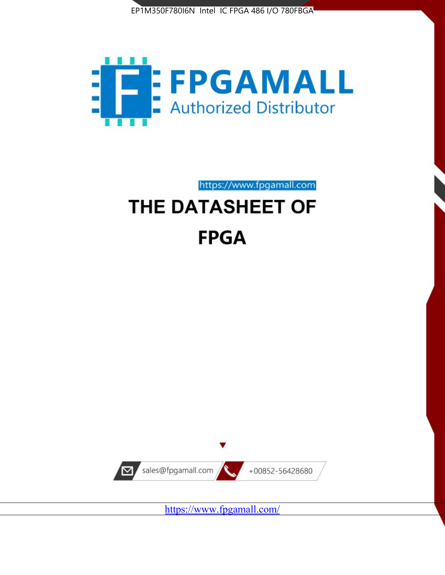



https://www.fpgamall.com

# THE DATASHEET OF **FPGA**



<https://www.fpgamall.com/>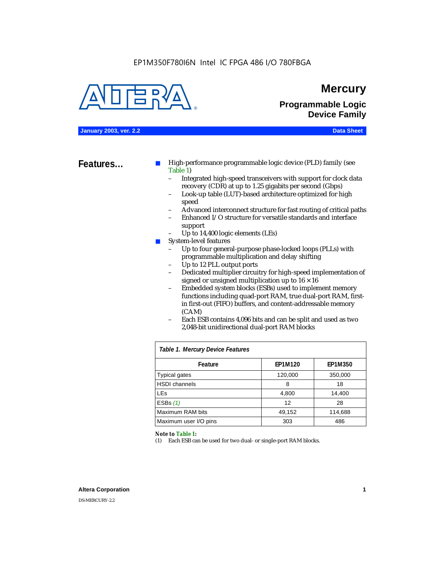

### **Mercury**

**Programmable Logic Device Family**

#### **January 2003, ver. 2.2 Data Sheet**

**Features...** ■ High-performance programmable logic device (PLD) family (see Table 1)

- Integrated high-speed transceivers with support for clock data recovery (CDR) at up to 1.25 gigabits per second (Gbps)
- Look-up table (LUT)-based architecture optimized for high speed
- Advanced interconnect structure for fast routing of critical paths
- Enhanced I/O structure for versatile standards and interface support
- Up to 14,400 logic elements (LEs)
- System-level features
	- Up to four general-purpose phase-locked loops (PLLs) with programmable multiplication and delay shifting
	- Up to 12 PLL output ports
	- Dedicated multiplier circuitry for high-speed implementation of signed or unsigned multiplication up to  $16 \times 16$
	- Embedded system blocks (ESBs) used to implement memory functions including quad-port RAM, true dual-port RAM, firstin first-out (FIFO) buffers, and content-addressable memory (CAM)
	- Each ESB contains 4,096 bits and can be split and used as two 2,048-bit unidirectional dual-port RAM blocks

| Table 1. Mercury Device Features |         |         |  |  |  |  |  |  |  |  |
|----------------------------------|---------|---------|--|--|--|--|--|--|--|--|
| Feature                          | EP1M120 | EP1M350 |  |  |  |  |  |  |  |  |
| <b>Typical gates</b>             | 120,000 | 350,000 |  |  |  |  |  |  |  |  |
| <b>HSDI</b> channels             | 8       | 18      |  |  |  |  |  |  |  |  |
| <b>LEs</b>                       | 4,800   | 14,400  |  |  |  |  |  |  |  |  |
| ESBs $(1)$                       | 12      | 28      |  |  |  |  |  |  |  |  |
| Maximum RAM bits                 | 49,152  | 114,688 |  |  |  |  |  |  |  |  |
| Maximum user I/O pins            | 303     | 486     |  |  |  |  |  |  |  |  |

#### *Note to Table 1:*

(1) Each ESB can be used for two dual- or single-port RAM blocks.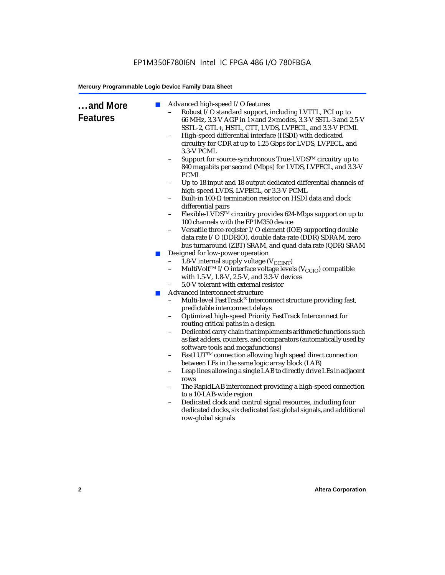| and More<br><b>Features</b> | $\mathbb{R}^n$<br>ш<br><b>COL</b> | Advanced high-speed I/O features<br>Robust I/O standard support, including LVTTL, PCI up to<br>$\qquad \qquad -$<br>66 MHz, 3.3-V AGP in 1x and 2x modes, 3.3-V SSTL-3 and 2.5-V<br>SSTL-2, GTL+, HSTL, CTT, LVDS, LVPECL, and 3.3-V PCML<br>High-speed differential interface (HSDI) with dedicated<br>$\qquad \qquad -$<br>circuitry for CDR at up to 1.25 Gbps for LVDS, LVPECL, and<br>3.3-V PCML<br>Support for source-synchronous True-LVDS™ circuitry up to<br>840 megabits per second (Mbps) for LVDS, LVPECL, and 3.3-V<br><b>PCML</b><br>Up to 18 input and 18 output dedicated differential channels of<br>high-speed LVDS, LVPECL, or 3.3-V PCML<br>Built-in 100-Ω termination resistor on HSDI data and clock<br>$\qquad \qquad -$<br>differential pairs<br>Flexible-LVDS™ circuitry provides 624-Mbps support on up to<br>100 channels with the EP1M350 device<br>Versatile three-register I/O element (IOE) supporting double<br>$\qquad \qquad -$<br>data rate I/O (DDRIO), double data-rate (DDR) SDRAM, zero<br>bus turnaround (ZBT) SRAM, and quad data rate (QDR) SRAM<br>Designed for low-power operation<br>1.8-V internal supply voltage ( $V_{\text{CCINT}}$ )<br>$\overline{\phantom{0}}$<br>MultiVolt <sup>™</sup> I/O interface voltage levels ( $V_{\text{CCIO}}$ ) compatible<br>with 1.5-V, 1.8-V, 2.5-V, and 3.3-V devices<br>5.0-V tolerant with external resistor<br>Advanced interconnect structure<br>Multi-level FastTrack® Interconnect structure providing fast,<br>predictable interconnect delays<br>Optimized high-speed Priority FastTrack Interconnect for<br>routing critical paths in a design<br>Dedicated carry chain that implements arithmetic functions such<br>$\overline{\phantom{a}}$<br>as fast adders, counters, and comparators (automatically used by<br>software tools and megafunctions)<br>FastLUT <sup>TM</sup> connection allowing high speed direct connection<br>between LEs in the same logic array block (LAB)<br>Leap lines allowing a single LAB to directly drive LEs in adjacent<br>$\overline{\phantom{a}}$<br>rows<br>The RapidLAB interconnect providing a high-speed connection<br>to a 10-LAB-wide region<br>Dedicated clock and control signal resources, including four<br>dedicated clocks, six dedicated fast global signals, and additional<br>row-global signals |
|-----------------------------|-----------------------------------|---------------------------------------------------------------------------------------------------------------------------------------------------------------------------------------------------------------------------------------------------------------------------------------------------------------------------------------------------------------------------------------------------------------------------------------------------------------------------------------------------------------------------------------------------------------------------------------------------------------------------------------------------------------------------------------------------------------------------------------------------------------------------------------------------------------------------------------------------------------------------------------------------------------------------------------------------------------------------------------------------------------------------------------------------------------------------------------------------------------------------------------------------------------------------------------------------------------------------------------------------------------------------------------------------------------------------------------------------------------------------------------------------------------------------------------------------------------------------------------------------------------------------------------------------------------------------------------------------------------------------------------------------------------------------------------------------------------------------------------------------------------------------------------------------------------------------------------------------------------------------------------------------------------------------------------------------------------------------------------------------------------------------------------------------------------------------------------------------------------------------------------------------------------------------------------------------------------------------------------------------------------------------------------------------------------------------------------------------|
|                             |                                   |                                                                                                                                                                                                                                                                                                                                                                                                                                                                                                                                                                                                                                                                                                                                                                                                                                                                                                                                                                                                                                                                                                                                                                                                                                                                                                                                                                                                                                                                                                                                                                                                                                                                                                                                                                                                                                                                                                                                                                                                                                                                                                                                                                                                                                                                                                                                                   |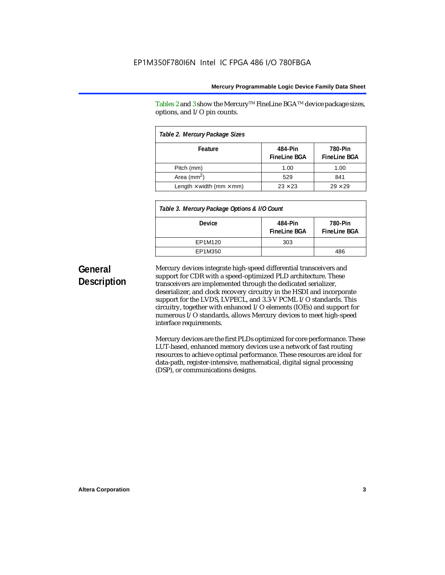Tables 2 and 3 show the Mercury<sup>TM</sup> FineLine BGA<sup>TM</sup> device package sizes, options, and I/O pin counts.

| Table 2. Mercury Package Sizes         |                                |                                |  |  |  |  |  |  |  |
|----------------------------------------|--------------------------------|--------------------------------|--|--|--|--|--|--|--|
| Feature                                | 484-Pin<br><b>FineLine BGA</b> | 780-Pin<br><b>FineLine BGA</b> |  |  |  |  |  |  |  |
| Pitch (mm)                             | 1.00                           | 1.00                           |  |  |  |  |  |  |  |
| Area (mm <sup>2</sup> )                | 529                            | 841                            |  |  |  |  |  |  |  |
| Length $\times$ width (mm $\times$ mm) | $23 \times 23$                 | $29 \times 29$                 |  |  |  |  |  |  |  |

| Table 3. Mercury Package Options & I/O Count |                                |                                |  |  |  |  |  |  |  |
|----------------------------------------------|--------------------------------|--------------------------------|--|--|--|--|--|--|--|
| Device                                       | 484-Pin<br><b>FineLine BGA</b> | 780-Pin<br><b>FineLine BGA</b> |  |  |  |  |  |  |  |
| EP1M120                                      | 303                            |                                |  |  |  |  |  |  |  |
| EP1M350                                      |                                | 486                            |  |  |  |  |  |  |  |

### **General Description**

Mercury devices integrate high-speed differential transceivers and support for CDR with a speed-optimized PLD architecture. These transceivers are implemented through the dedicated serializer, deserializer, and clock recovery circuitry in the HSDI and incorporate support for the LVDS, LVPECL, and 3.3-V PCML I/O standards. This circuitry, together with enhanced I/O elements (IOEs) and support for numerous I/O standards, allows Mercury devices to meet high-speed interface requirements.

Mercury devices are the first PLDs optimized for core performance. These LUT-based, enhanced memory devices use a network of fast routing resources to achieve optimal performance. These resources are ideal for data-path, register-intensive, mathematical, digital signal processing (DSP), or communications designs.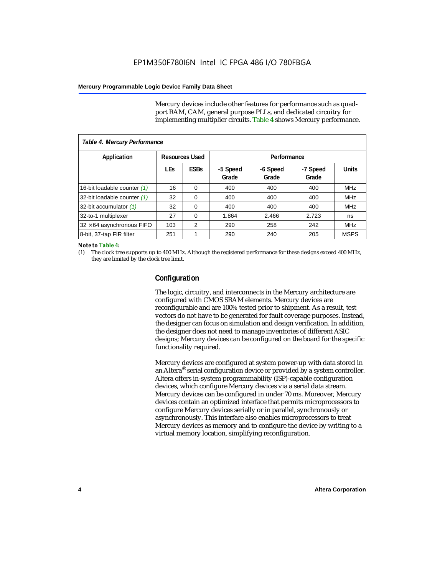Mercury devices include other features for performance such as quadport RAM, CAM, general purpose PLLs, and dedicated circuitry for implementing multiplier circuits. Table 4 shows Mercury performance.

| Table 4. Mercury Performance     |            |                       |                   |                   |                   |              |  |  |  |  |
|----------------------------------|------------|-----------------------|-------------------|-------------------|-------------------|--------------|--|--|--|--|
| Application                      |            | <b>Resources Used</b> |                   | Performance       |                   |              |  |  |  |  |
|                                  | <b>LEs</b> | <b>ESBs</b>           | -5 Speed<br>Grade | -6 Speed<br>Grade | -7 Speed<br>Grade | <b>Units</b> |  |  |  |  |
| 16-bit loadable counter (1)      | 16         | $\Omega$              | 400               | 400               | 400               | <b>MHz</b>   |  |  |  |  |
| 32-bit loadable counter (1)      | 32         | 0                     | 400               | 400               | 400               | <b>MHz</b>   |  |  |  |  |
| 32-bit accumulator (1)           | 32         | 0                     | 400               | 400               | 400               | <b>MHz</b>   |  |  |  |  |
| 32-to-1 multiplexer              | 27         | 0                     | 1.864             | 2.466             | 2.723             | ns           |  |  |  |  |
| $32 \times 64$ asynchronous FIFO | 103        | 2                     | 290               | 258               | 242               | <b>MHz</b>   |  |  |  |  |
| 8-bit, 37-tap FIR filter         | 251        | 1                     | 290               | 240               | 205               | <b>MSPS</b>  |  |  |  |  |

#### *Note to Table 4:*

(1) The clock tree supports up to 400 MHz. Although the registered performance for these designs exceed 400 MHz, they are limited by the clock tree limit.

#### **Configuration**

The logic, circuitry, and interconnects in the Mercury architecture are configured with CMOS SRAM elements. Mercury devices are reconfigurable and are 100% tested prior to shipment. As a result, test vectors do not have to be generated for fault coverage purposes. Instead, the designer can focus on simulation and design verification. In addition, the designer does not need to manage inventories of different ASIC designs; Mercury devices can be configured on the board for the specific functionality required.

Mercury devices are configured at system power-up with data stored in an Altera® serial configuration device or provided by a system controller. Altera offers in-system programmability (ISP)-capable configuration devices, which configure Mercury devices via a serial data stream. Mercury devices can be configured in under 70 ms. Moreover, Mercury devices contain an optimized interface that permits microprocessors to configure Mercury devices serially or in parallel, synchronously or asynchronously. This interface also enables microprocessors to treat Mercury devices as memory and to configure the device by writing to a virtual memory location, simplifying reconfiguration.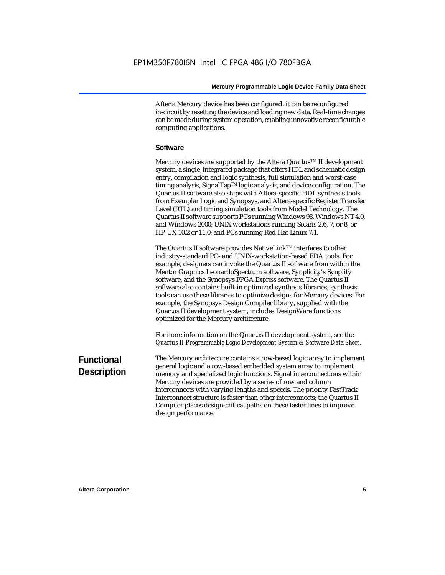After a Mercury device has been configured, it can be reconfigured in-circuit by resetting the device and loading new data. Real-time changes can be made during system operation, enabling innovative reconfigurable computing applications.

#### **Software**

Mercury devices are supported by the Altera Quartus<sup>™</sup> II development system, a single, integrated package that offers HDL and schematic design entry, compilation and logic synthesis, full simulation and worst-case timing analysis, SignalTap™ logic analysis, and device configuration. The Quartus II software also ships with Altera-specific HDL synthesis tools from Exemplar Logic and Synopsys, and Altera-specific Register Transfer Level (RTL) and timing simulation tools from Model Technology. The Quartus II software supports PCs running Windows 98, Windows NT 4.0, and Windows 2000; UNIX workstations running Solaris 2.6, 7, or 8, or HP-UX 10.2 or 11.0; and PCs running Red Hat Linux 7.1.

The Quartus II software provides NativeLink<sup>TM</sup> interfaces to other industry-standard PC- and UNIX-workstation-based EDA tools. For example, designers can invoke the Quartus II software from within the Mentor Graphics LeonardoSpectrum software, Synplicity's Synplify software, and the Synopsys FPGA *Express* software. The Quartus II software also contains built-in optimized synthesis libraries; synthesis tools can use these libraries to optimize designs for Mercury devices. For example, the Synopsys Design Compiler library, supplied with the Quartus II development system, includes DesignWare functions optimized for the Mercury architecture.

For more information on the Quartus II development system, see the *Quartus II Programmable Logic Development System & Software Data Sheet*.

### **Functional Description**

The Mercury architecture contains a row-based logic array to implement general logic and a row-based embedded system array to implement memory and specialized logic functions. Signal interconnections within Mercury devices are provided by a series of row and column interconnects with varying lengths and speeds. The priority FastTrack Interconnect structure is faster than other interconnects; the Quartus II Compiler places design-critical paths on these faster lines to improve design performance.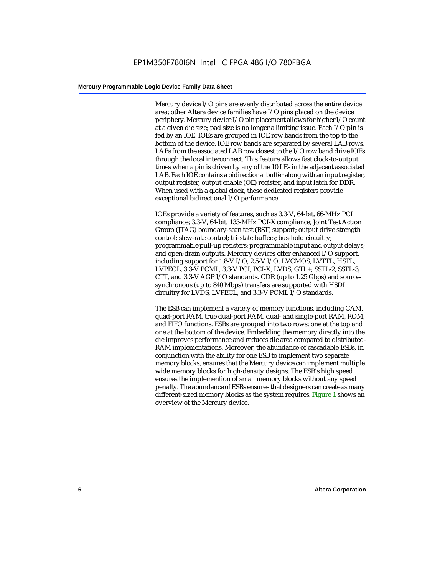Mercury device I/O pins are evenly distributed across the entire device area; other Altera device families have I/O pins placed on the device periphery. Mercury device I/O pin placement allows for higher I/O count at a given die size; pad size is no longer a limiting issue. Each I/O pin is fed by an IOE. IOEs are grouped in IOE row bands from the top to the bottom of the device. IOE row bands are separated by several LAB rows. LABs from the associated LAB row closest to the I/O row band drive IOEs through the local interconnect. This feature allows fast clock-to-output times when a pin is driven by any of the 10 LEs in the adjacent associated LAB. Each IOE contains a bidirectional buffer along with an input register, output register, output enable (OE) register, and input latch for DDR. When used with a global clock, these dedicated registers provide exceptional bidirectional I/O performance.

IOEs provide a variety of features, such as 3.3-V, 64-bit, 66-MHz PCI compliance; 3.3-V, 64-bit, 133-MHz PCI-X compliance; Joint Test Action Group (JTAG) boundary-scan test (BST) support; output drive strength control; slew-rate control; tri-state buffers; bus-hold circuitry; programmable pull-up resisters; programmable input and output delays; and open-drain outputs. Mercury devices offer enhanced I/O support, including support for 1.8-V I/O, 2.5-V I/O, LVCMOS, LVTTL, HSTL, LVPECL, 3.3-V PCML, 3.3-V PCI, PCI-X, LVDS, GTL+, SSTL-2, SSTL-3, CTT, and 3.3-V AGP I/O standards. CDR (up to 1.25 Gbps) and sourcesynchronous (up to 840 Mbps) transfers are supported with HSDI circuitry for LVDS, LVPECL, and 3.3-V PCML I/O standards.

The ESB can implement a variety of memory functions, including CAM, quad-port RAM, true dual-port RAM, dual- and single-port RAM, ROM, and FIFO functions. ESBs are grouped into two rows: one at the top and one at the bottom of the device. Embedding the memory directly into the die improves performance and reduces die area compared to distributed-RAM implementations. Moreover, the abundance of cascadable ESBs, in conjunction with the ability for one ESB to implement two separate memory blocks, ensures that the Mercury device can implement multiple wide memory blocks for high-density designs. The ESB's high speed ensures the implemention of small memory blocks without any speed penalty. The abundance of ESBs ensures that designers can create as many different-sized memory blocks as the system requires. Figure 1 shows an overview of the Mercury device.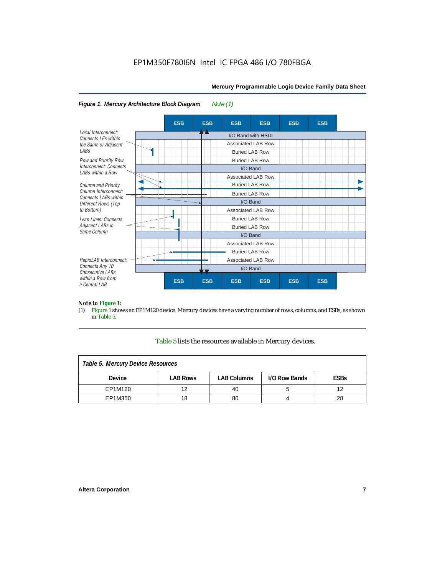

#### *Figure 1. Mercury Architecture Block Diagram Note (1)*

## *Note to Figure 1:*<br>(1) Figure 1 shove

Figure 1 shows an EP1M120 device. Mercury devices have a varying number of rows, columns, and ESBs, as shown in Table 5.

#### Table 5 lists the resources available in Mercury devices.

| Table 5. Mercury Device Resources |                 |                    |               |             |  |  |  |  |  |  |
|-----------------------------------|-----------------|--------------------|---------------|-------------|--|--|--|--|--|--|
| <b>Device</b>                     | <b>LAB Rows</b> | <b>LAB Columns</b> | I/O Row Bands | <b>ESBs</b> |  |  |  |  |  |  |
| EP1M120                           | 12              | 40                 |               | 12          |  |  |  |  |  |  |
| EP1M350                           | 18              | 80                 |               | 28          |  |  |  |  |  |  |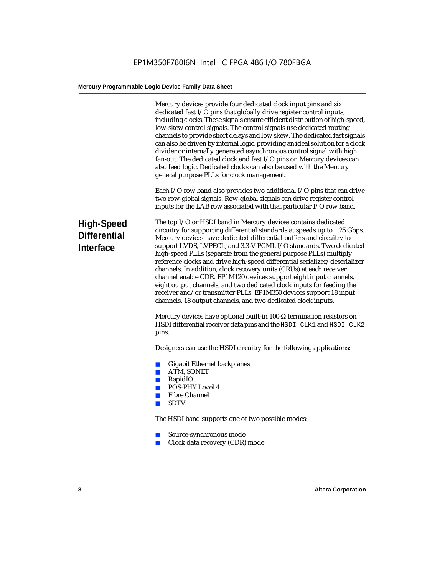|                                                       | Mercury devices provide four dedicated clock input pins and six<br>dedicated fast I/O pins that globally drive register control inputs,<br>including clocks. These signals ensure efficient distribution of high-speed,<br>low-skew control signals. The control signals use dedicated routing<br>channels to provide short delays and low skew. The dedicated fast signals<br>can also be driven by internal logic, providing an ideal solution for a clock<br>divider or internally generated asynchronous control signal with high<br>fan-out. The dedicated clock and fast I/O pins on Mercury devices can<br>also feed logic. Dedicated clocks can also be used with the Mercury<br>general purpose PLLs for clock management.                                                                      |
|-------------------------------------------------------|----------------------------------------------------------------------------------------------------------------------------------------------------------------------------------------------------------------------------------------------------------------------------------------------------------------------------------------------------------------------------------------------------------------------------------------------------------------------------------------------------------------------------------------------------------------------------------------------------------------------------------------------------------------------------------------------------------------------------------------------------------------------------------------------------------|
|                                                       | Each I/O row band also provides two additional I/O pins that can drive<br>two row-global signals. Row-global signals can drive register control<br>inputs for the LAB row associated with that particular I/O row band.                                                                                                                                                                                                                                                                                                                                                                                                                                                                                                                                                                                  |
| High-Speed<br><b>Differential</b><br><b>Interface</b> | The top I/O or HSDI band in Mercury devices contains dedicated<br>circuitry for supporting differential standards at speeds up to 1.25 Gbps.<br>Mercury devices have dedicated differential buffers and circuitry to<br>support LVDS, LVPECL, and 3.3-V PCML I/O standards. Two dedicated<br>high-speed PLLs (separate from the general purpose PLLs) multiply<br>reference clocks and drive high-speed differential serializer/deserializer<br>channels. In addition, clock recovery units (CRUs) at each receiver<br>channel enable CDR. EP1M120 devices support eight input channels,<br>eight output channels, and two dedicated clock inputs for feeding the<br>receiver and/or transmitter PLLs. EP1M350 devices support 18 input<br>channels, 18 output channels, and two dedicated clock inputs. |
|                                                       | Mercury devices have optional built-in 100- $\Omega$ termination resistors on<br>HSDI differential receiver data pins and the HSDI_CLK1 and HSDI_CLK2<br>pins.                                                                                                                                                                                                                                                                                                                                                                                                                                                                                                                                                                                                                                           |
|                                                       | Designers can use the HSDI circuitry for the following applications:                                                                                                                                                                                                                                                                                                                                                                                                                                                                                                                                                                                                                                                                                                                                     |
|                                                       | <b>Gigabit Ethernet backplanes</b><br><b>College</b><br>ATM, SONET<br><b>College</b><br>RapidIO<br><b>College</b><br><b>POS-PHY Level 4</b><br><b>College</b><br><b>Fibre Channel</b><br>п<br><b>SDTV</b><br><b>College</b>                                                                                                                                                                                                                                                                                                                                                                                                                                                                                                                                                                              |
|                                                       | The HSDI band supports one of two possible modes:                                                                                                                                                                                                                                                                                                                                                                                                                                                                                                                                                                                                                                                                                                                                                        |
|                                                       | Source-synchronous mode<br>$\mathcal{L}_{\mathcal{A}}$<br>Clock data recovery (CDR) mode<br><b>COL</b>                                                                                                                                                                                                                                                                                                                                                                                                                                                                                                                                                                                                                                                                                                   |
|                                                       |                                                                                                                                                                                                                                                                                                                                                                                                                                                                                                                                                                                                                                                                                                                                                                                                          |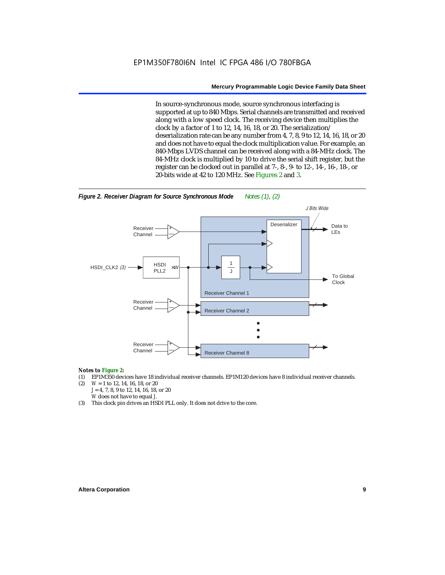In source-synchronous mode, source synchronous interfacing is supported at up to 840 Mbps. Serial channels are transmitted and received along with a low speed clock. The receiving device then multiplies the clock by a factor of 1 to 12, 14, 16, 18, or 20. The serialization/ deserialization rate can be any number from 4, 7, 8, 9 to 12, 14, 16, 18, or 20 and does not have to equal the clock multiplication value. For example, an 840-Mbps LVDS channel can be received along with a 84-MHz clock. The 84-MHz clock is multiplied by 10 to drive the serial shift register, but the register can be clocked out in parallel at 7-, 8-, 9- to 12-, 14-, 16-, 18-, or 20-bits wide at 42 to 120 MHz. See Figures 2 and 3.



### *Notes to Figure 2:*

- (1) EP1M350 devices have 18 individual receiver channels. EP1M120 devices have 8 individual receiver channels.<br>(2)  $W = 1$  to 12, 14, 16, 18, or 20
- (2) *W* = 1 to 12, 14, 16, 18, or 20 *J* = 4, 7, 8, 9 to 12, 14, 16, 18, or 20 *W* does not have to equal *J*.
- (3) This clock pin drives an HSDI PLL only. It does not drive to the core.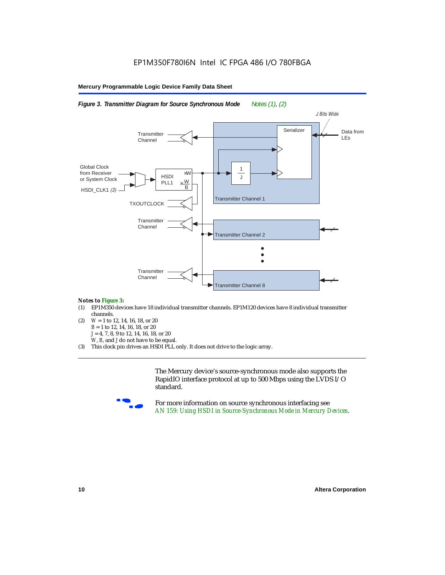

*Figure 3. Transmitter Diagram for Source Synchronous Mode Notes (1), (2)*

#### *Notes to Figure 3:*

- (1) EP1M350 devices have 18 individual transmitter channels. EP1M120 devices have 8 individual transmitter channels.
- (2) *W* = 1 to 12, 14, 16, 18, or 20 *B* = 1 to 12, 14, 16, 18, or 20 *J* = 4, 7, 8, 9 to 12, 14, 16, 18, or 20 *W*, *B*, and *J* do not have to be equal.
- (3) This clock pin drives an HSDI PLL only. It does not drive to the logic array.

The Mercury device's source-synchronous mode also supports the RapidIO interface protocol at up to 500 Mbps using the LVDS I/O standard.



For more information on source synchronous interfacing see *AN 159: Using HSDI in Source-Synchronous Mode in Mercury Devices*.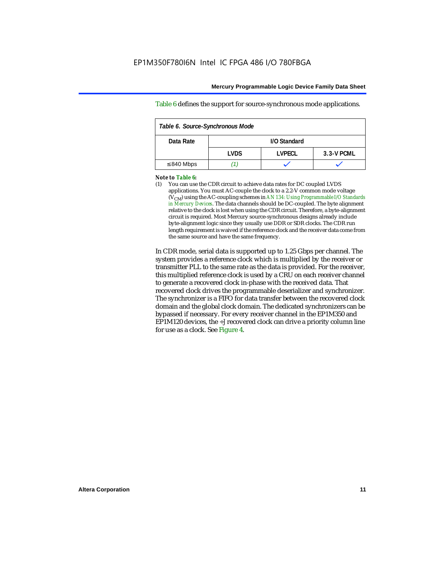Table 6 defines the support for source-synchronous mode applications.

| Table 6. Source-Synchronous Mode |       |              |            |  |  |  |  |  |  |
|----------------------------------|-------|--------------|------------|--|--|--|--|--|--|
| Data Rate                        |       | I/O Standard |            |  |  |  |  |  |  |
|                                  | I VDS | I VPFCL      | 3.3-V PCML |  |  |  |  |  |  |
| $\leq 840$ Mbps                  |       |              |            |  |  |  |  |  |  |

#### *Note to Table 6:*

(1) You can use the CDR circuit to achieve data rates for DC coupled LVDS applications. You must AC-couple the clock to a 2.2-V common mode voltage (VCM) using the AC-coupling schemes in *AN 134: Using Programmable I/O Standards in Mercury Devices*. The data channels should be DC-coupled. The byte alignment relative to the clock is lost when using the CDR circuit. Therefore, a byte-alignment circuit is required. Most Mercury source-synchronous designs already include byte-alignment logic since they usually use DDR or SDR clocks. The CDR run length requirement is waived if the reference clock and the receiver data come from the same source and have the same frequency.

In CDR mode, serial data is supported up to 1.25 Gbps per channel. The system provides a reference clock which is multiplied by the receiver or transmitter PLL to the same rate as the data is provided. For the receiver, this multiplied reference clock is used by a CRU on each receiver channel to generate a recovered clock in-phase with the received data. That recovered clock drives the programmable deserializer and synchronizer. The synchronizer is a FIFO for data transfer between the recovered clock domain and the global clock domain. The dedicated synchronizers can be bypassed if necessary. For every receiver channel in the EP1M350 and EP1M120 devices, the ÷*J* recovered clock can drive a priority column line for use as a clock. See Figure 4.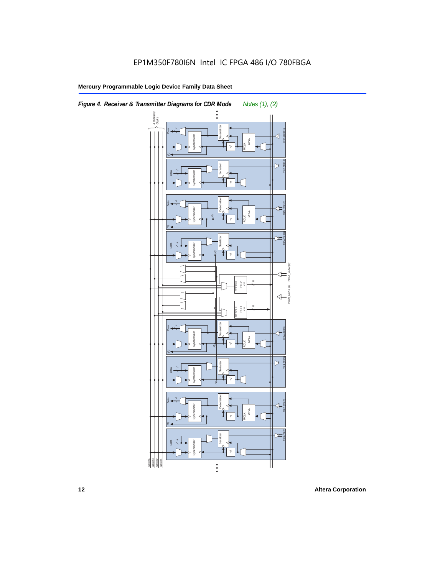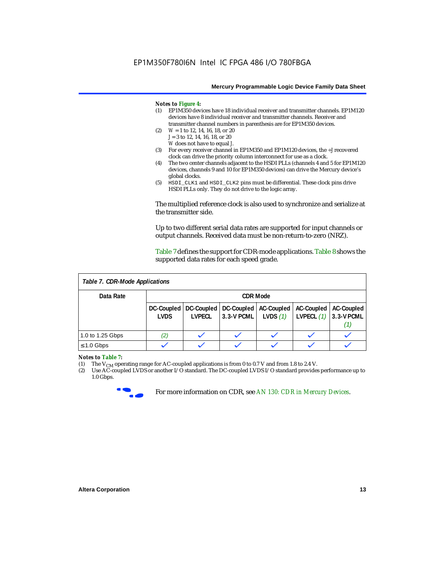#### *Notes to Figure 4:*

- (1) EP1M350 devices have 18 individual receiver and transmitter channels. EP1M120 devices have 8 individual receiver and transmitter channels. Receiver and transmitter channel numbers in parenthesis are for EP1M350 devices.
- (2) *W* = 1 to 12, 14, 16, 18, or 20 *J* = 3 to 12, 14, 16, 18, or 20 *W* does not have to equal *J*.
- (3) For every receiver channel in EP1M350 and EP1M120 devices, the ÷*J* recovered clock can drive the priority column interconnect for use as a clock.
- (4) The two center channels adjacent to the HSDI PLLs (channels 4 and 5 for EP1M120 devices, channels 9 and 10 for EP1M350 devices) can drive the Mercury device's global clocks.
- (5) HSDI\_CLK1 and HSDI\_CLK2 pins must be differential. These clock pins drive HSDI PLLs only. They do not drive to the logic array.

The multiplied reference clock is also used to synchronize and serialize at the transmitter side.

Up to two different serial data rates are supported for input channels or output channels. Received data must be non-return-to-zero (NRZ).

Table 7 defines the support for CDR-mode applications. Table 8 shows the supported data rates for each speed grade.

| Table 7. CDR-Mode Applications |                           |               |                                                           |            |                                                           |    |  |  |  |  |
|--------------------------------|---------------------------|---------------|-----------------------------------------------------------|------------|-----------------------------------------------------------|----|--|--|--|--|
| Data Rate                      | <b>CDR Mode</b>           |               |                                                           |            |                                                           |    |  |  |  |  |
|                                | DC-Coupled<br><b>LVDS</b> | <b>LVPECL</b> | DC-Coupled   DC-Coupled  <br>$ 3.3-V$ PCML $ $ LVDS $(1)$ | AC-Coupled | AC-Coupled   AC-Coupled<br><b>LVPECL</b> $(1)$ 3.3-V PCML | Π, |  |  |  |  |
| 1.0 to 1.25 Gbps               | (2)                       |               |                                                           |            |                                                           |    |  |  |  |  |
| $\leq 1.0$ Gbps                |                           |               |                                                           |            |                                                           |    |  |  |  |  |

### *Notes to Table 7:*<br>(1) The V<sub>CM</sub> ope

(1) The  $V_{CM}$  operating range for AC-coupled applications is from 0 to 0.7 V and from 1.8 to 2.4 V.<br>(2) Use AC-coupled LVDS or another I/O standard. The DC-coupled LVDS I/O standard provides

Use AC-coupled LVDS or another I/O standard. The DC-coupled LVDS I/O standard provides performance up to 1.0 Gbps.



For more information on CDR, see *AN 130: CDR in Mercury Devices*.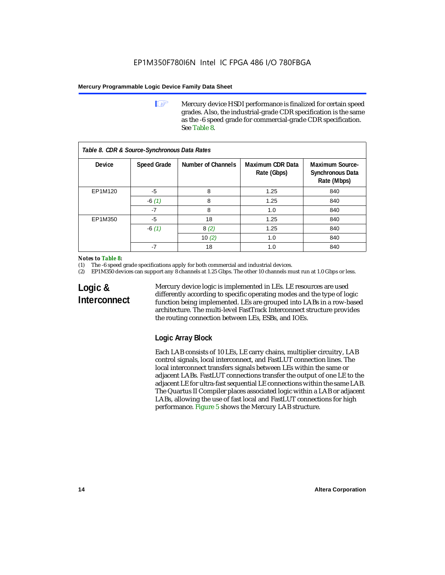**1 Mercury device HSDI performance is finalized for certain speed** grades. Also, the industrial-grade CDR specification is the same as the -6 speed grade for commercial-grade CDR specification. See Table 8.

| Table 8. CDR & Source-Synchronous Data Rates |                    |                    |                                 |                                                                  |  |  |  |  |  |  |
|----------------------------------------------|--------------------|--------------------|---------------------------------|------------------------------------------------------------------|--|--|--|--|--|--|
| Device                                       | <b>Speed Grade</b> | Number of Channels | Maximum CDR Data<br>Rate (Gbps) | <b>Maximum Source-</b><br><b>Synchronous Data</b><br>Rate (Mbps) |  |  |  |  |  |  |
| EP1M120                                      | $-5$               | 8                  | 1.25                            | 840                                                              |  |  |  |  |  |  |
|                                              | $-6(1)$            | 8                  | 1.25                            | 840                                                              |  |  |  |  |  |  |
|                                              | $-7$               | 8                  | 1.0                             | 840                                                              |  |  |  |  |  |  |
| EP1M350                                      | $-5$               | 18                 | 1.25                            | 840                                                              |  |  |  |  |  |  |
|                                              | $-6(1)$            | 8(2)               | 1.25                            | 840                                                              |  |  |  |  |  |  |
|                                              |                    | 10 $(2)$           | 1.0                             | 840                                                              |  |  |  |  |  |  |
|                                              | $-7$               | 18                 | 1.0                             | 840                                                              |  |  |  |  |  |  |

#### *Notes to Table 8:*

(1) The -6 speed grade specifications apply for both commercial and industrial devices.

(2) EP1M350 devices can support any 8 channels at 1.25 Gbps. The other 10 channels must run at 1.0 Gbps or less.

### **Logic & Interconnect**

Mercury device logic is implemented in LEs. LE resources are used differently according to specific operating modes and the type of logic function being implemented. LEs are grouped into LABs in a row-based architecture. The multi-level FastTrack Interconnect structure provides the routing connection between LEs, ESBs, and IOEs.

### **Logic Array Block**

Each LAB consists of 10 LEs, LE carry chains, multiplier circuitry, LAB control signals, local interconnect, and FastLUT connection lines. The local interconnect transfers signals between LEs within the same or adjacent LABs. FastLUT connections transfer the output of one LE to the adjacent LE for ultra-fast sequential LE connections within the same LAB. The Quartus II Compiler places associated logic within a LAB or adjacent LABs, allowing the use of fast local and FastLUT connections for high performance. Figure 5 shows the Mercury LAB structure.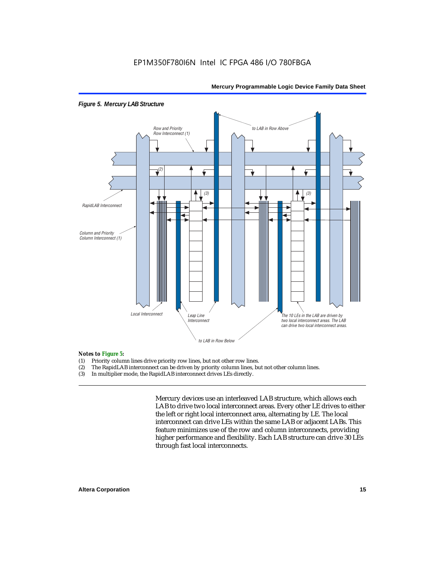

#### *Figure 5. Mercury LAB Structure*

### **Notes to Figure 5:**<br>(1) Priority colum

- Priority column lines drive priority row lines, but not other row lines.
- (2) The RapidLAB interconnect can be driven by priority column lines, but not other column lines.
- (3) In multiplier mode, the RapidLAB interconnect drives LEs directly.

Mercury devices use an interleaved LAB structure, which allows each LAB to drive two local interconnect areas. Every other LE drives to either the left or right local interconnect area, alternating by LE. The local interconnect can drive LEs within the same LAB or adjacent LABs. This feature minimizes use of the row and column interconnects, providing higher performance and flexibility. Each LAB structure can drive 30 LEs through fast local interconnects.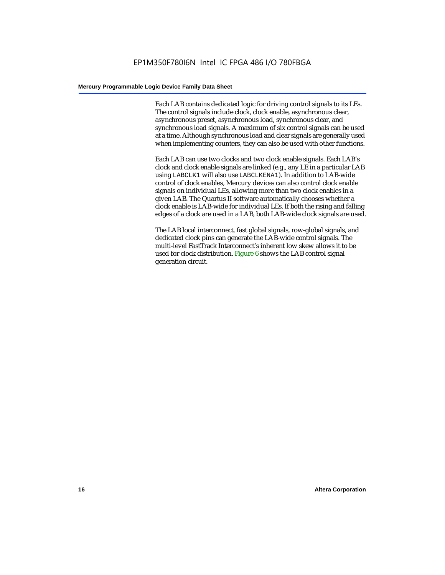Each LAB contains dedicated logic for driving control signals to its LEs. The control signals include clock, clock enable, asynchronous clear, asynchronous preset, asynchronous load, synchronous clear, and synchronous load signals. A maximum of six control signals can be used at a time. Although synchronous load and clear signals are generally used when implementing counters, they can also be used with other functions.

Each LAB can use two clocks and two clock enable signals. Each LAB's clock and clock enable signals are linked (e.g., any LE in a particular LAB using LABCLK1 will also use LABCLKENA1). In addition to LAB-wide control of clock enables, Mercury devices can also control clock enable signals on individual LEs, allowing more than two clock enables in a given LAB. The Quartus II software automatically chooses whether a clock enable is LAB-wide for individual LEs. If both the rising and falling edges of a clock are used in a LAB, both LAB-wide clock signals are used.

The LAB local interconnect, fast global signals, row-global signals, and dedicated clock pins can generate the LAB-wide control signals. The multi-level FastTrack Interconnect's inherent low skew allows it to be used for clock distribution. Figure 6 shows the LAB control signal generation circuit.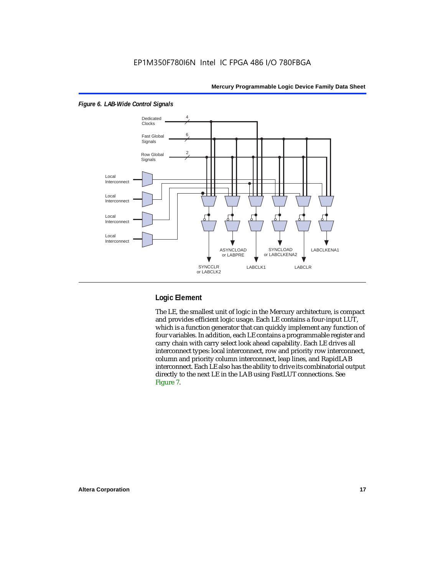

#### *Figure 6. LAB-Wide Control Signals*

### **Logic Element**

The LE, the smallest unit of logic in the Mercury architecture, is compact and provides efficient logic usage. Each LE contains a four-input LUT, which is a function generator that can quickly implement any function of four variables. In addition, each LE contains a programmable register and carry chain with carry select look ahead capability. Each LE drives all interconnect types: local interconnect, row and priority row interconnect, column and priority column interconnect, leap lines, and RapidLAB interconnect. Each LE also has the ability to drive its combinatorial output directly to the next LE in the LAB using FastLUT connections. See Figure 7.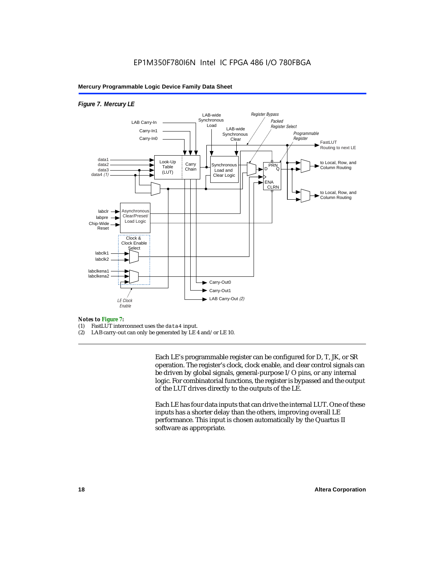#### *Figure 7. Mercury LE*



### *Notes to Figure 7:*

- FastLUT interconnect uses the data4 input.
- (2) LAB carry-out can only be generated by LE 4 and/or LE 10.

Each LE's programmable register can be configured for D, T, JK, or SR operation. The register's clock, clock enable, and clear control signals can be driven by global signals, general-purpose I/O pins, or any internal logic. For combinatorial functions, the register is bypassed and the output of the LUT drives directly to the outputs of the LE.

Each LE has four data inputs that can drive the internal LUT. One of these inputs has a shorter delay than the others, improving overall LE performance. This input is chosen automatically by the Quartus II software as appropriate.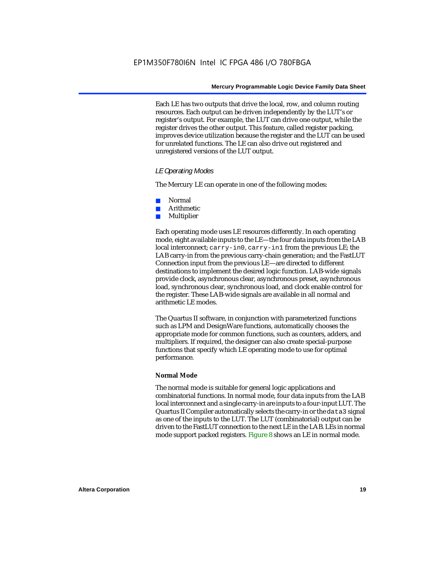Each LE has two outputs that drive the local, row, and column routing resources. Each output can be driven independently by the LUT's or register's output. For example, the LUT can drive one output, while the register drives the other output. This feature, called register packing, improves device utilization because the register and the LUT can be used for unrelated functions. The LE can also drive out registered and unregistered versions of the LUT output.

#### *LE Operating Modes*

The Mercury LE can operate in one of the following modes:

- Normal
- **Arithmetic**
- **Multiplier**

Each operating mode uses LE resources differently. In each operating mode, eight available inputs to the LE—the four data inputs from the LAB local interconnect; carry-in0, carry-in1 from the previous LE; the LAB carry-in from the previous carry-chain generation; and the FastLUT Connection input from the previous LE—are directed to different destinations to implement the desired logic function. LAB-wide signals provide clock, asynchronous clear, asynchronous preset, asynchronous load, synchronous clear, synchronous load, and clock enable control for the register. These LAB-wide signals are available in all normal and arithmetic LE modes.

The Quartus II software, in conjunction with parameterized functions such as LPM and DesignWare functions, automatically chooses the appropriate mode for common functions, such as counters, adders, and multipliers. If required, the designer can also create special-purpose functions that specify which LE operating mode to use for optimal performance.

#### **Normal Mode**

The normal mode is suitable for general logic applications and combinatorial functions. In normal mode, four data inputs from the LAB local interconnect and a single carry-in are inputs to a four-input LUT. The Quartus II Compiler automatically selects the carry-in or the data3 signal as one of the inputs to the LUT. The LUT (combinatorial) output can be driven to the FastLUT connection to the next LE in the LAB. LEs in normal mode support packed registers. Figure 8 shows an LE in normal mode.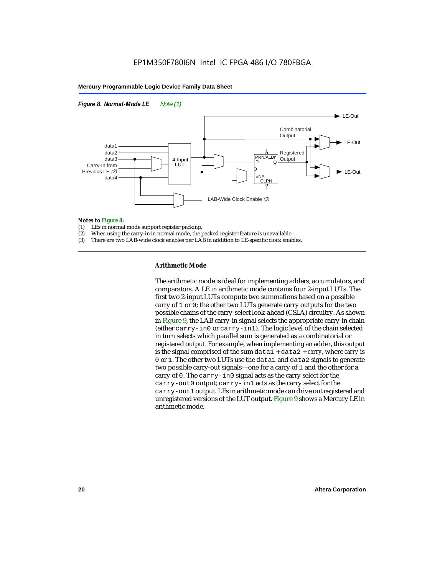



### **Notes to Figure 8:**<br>(1) LEs in normal

- (1) LEs in normal mode support register packing.<br>(2) When using the carry-in in normal mode, the i
- When using the carry-in in normal mode, the packed register feature is unavailable.
- (3) There are two LAB-wide clock enables per LAB in addition to LE-specific clock enables.

#### **Arithmetic Mode**

The arithmetic mode is ideal for implementing adders, accumulators, and comparators. A LE in arithmetic mode contains four 2-input LUTs. The first two 2-input LUTs compute two summations based on a possible carry of 1 or 0; the other two LUTs generate carry outputs for the two possible chains of the carry-select look-ahead (CSLA) circuitry. As shown in Figure 9, the LAB carry-in signal selects the appropriate carry-in chain (either carry-in0 or carry-in1). The logic level of the chain selected in turn selects which parallel sum is generated as a combinatorial or registered output. For example, when implementing an adder, this output is the signal comprised of the sum data1 + data2 + *carry*, where *carry* is 0 or 1. The other two LUTs use the data1 and data2 signals to generate two possible carry-out signals—one for a carry of 1 and the other for a carry of 0. The carry-in0 signal acts as the carry select for the carry-out0 output; carry-in1 acts as the carry select for the carry-out1 output. LEs in arithmetic mode can drive out registered and unregistered versions of the LUT output. Figure 9 shows a Mercury LE in arithmetic mode.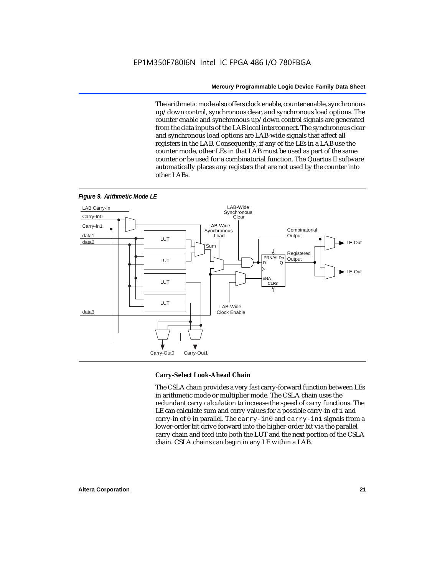The arithmetic mode also offers clock enable, counter enable, synchronous up/down control, synchronous clear, and synchronous load options. The counter enable and synchronous up/down control signals are generated from the data inputs of the LAB local interconnect. The synchronous clear and synchronous load options are LAB-wide signals that affect all registers in the LAB. Consequently, if any of the LEs in a LAB use the counter mode, other LEs in that LAB must be used as part of the same counter or be used for a combinatorial function. The Quartus II software automatically places any registers that are not used by the counter into other LABs.



#### *Figure 9. Arithmetic Mode LE*

#### **Carry-Select Look-Ahead Chain**

The CSLA chain provides a very fast carry-forward function between LEs in arithmetic mode or multiplier mode. The CSLA chain uses the redundant carry calculation to increase the speed of carry functions. The LE can calculate sum and carry values for a possible carry-in of 1 and carry-in of 0 in parallel. The carry-in0 and carry-in1 signals from a lower-order bit drive forward into the higher-order bit via the parallel carry chain and feed into both the LUT and the next portion of the CSLA chain. CSLA chains can begin in any LE within a LAB.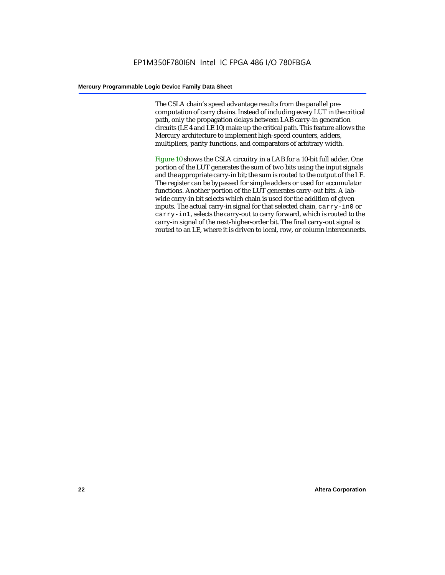The CSLA chain's speed advantage results from the parallel precomputation of carry chains. Instead of including every LUT in the critical path, only the propagation delays between LAB carry-in generation circuits (LE 4 and LE 10) make up the critical path. This feature allows the Mercury architecture to implement high-speed counters, adders, multipliers, parity functions, and comparators of arbitrary width.

Figure 10 shows the CSLA circuitry in a LAB for a 10-bit full adder. One portion of the LUT generates the sum of two bits using the input signals and the appropriate carry-in bit; the sum is routed to the output of the LE. The register can be bypassed for simple adders or used for accumulator functions. Another portion of the LUT generates carry-out bits. A labwide carry-in bit selects which chain is used for the addition of given inputs. The actual carry-in signal for that selected chain, carry-in0 or carry-in1, selects the carry-out to carry forward, which is routed to the carry-in signal of the next-higher-order bit. The final carry-out signal is routed to an LE, where it is driven to local, row, or column interconnects.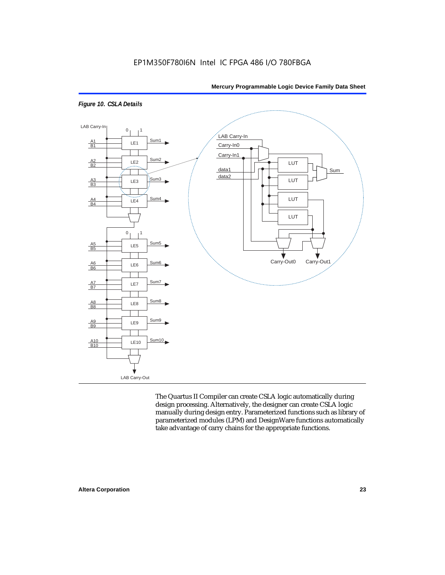

#### *Figure 10. CSLA Details*

LAB Carry-Out

The Quartus II Compiler can create CSLA logic automatically during design processing. Alternatively, the designer can create CSLA logic manually during design entry. Parameterized functions such as library of parameterized modules (LPM) and DesignWare functions automatically take advantage of carry chains for the appropriate functions.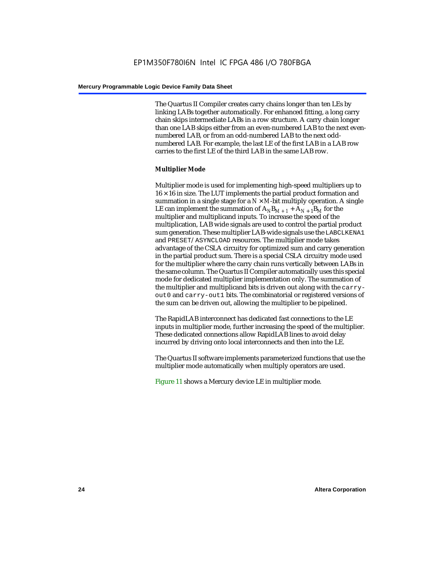The Quartus II Compiler creates carry chains longer than ten LEs by linking LABs together automatically. For enhanced fitting, a long carry chain skips intermediate LABs in a row structure. A carry chain longer than one LAB skips either from an even-numbered LAB to the next evennumbered LAB, or from an odd-numbered LAB to the next oddnumbered LAB. For example, the last LE of the first LAB in a LAB row carries to the first LE of the third LAB in the same LAB row.

#### **Multiplier Mode**

Multiplier mode is used for implementing high-speed multipliers up to  $16 \times 16$  in size. The LUT implements the partial product formation and summation in a single stage for a  $N \times M$ -bit multiply operation. A single LE can implement the summation of  $A_NB_{M+1} + A_{N+1}B_M$  for the multiplier and multiplicand inputs. To increase the speed of the multiplication, LAB wide signals are used to control the partial product sum generation. These multiplier LAB-wide signals use the LABCLKENA1 and PRESET/ASYNCLOAD resources. The multiplier mode takes advantage of the CSLA circuitry for optimized sum and carry generation in the partial product sum. There is a special CSLA circuitry mode used for the multiplier where the carry chain runs vertically between LABs in the same column. The Quartus II Compiler automatically uses this special mode for dedicated multiplier implementation only. The summation of the multiplier and multiplicand bits is driven out along with the carryout0 and carry-out1 bits. The combinatorial or registered versions of the sum can be driven out, allowing the multiplier to be pipelined.

The RapidLAB interconnect has dedicated fast connections to the LE inputs in multiplier mode, further increasing the speed of the multiplier. These dedicated connections allow RapidLAB lines to avoid delay incurred by driving onto local interconnects and then into the LE.

The Quartus II software implements parameterized functions that use the multiplier mode automatically when multiply operators are used.

Figure 11 shows a Mercury device LE in multiplier mode.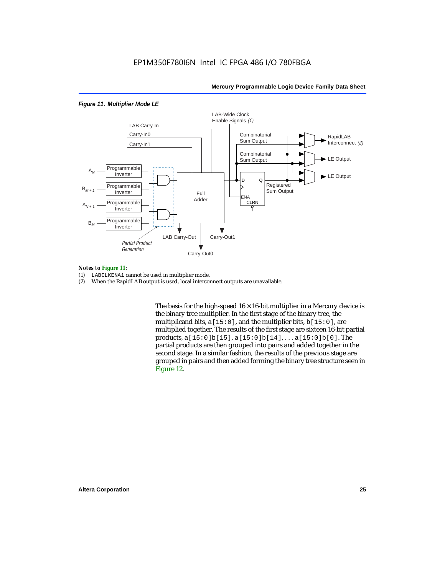#### *Figure 11. Multiplier Mode LE*



#### *Notes to Figure 11:*

- (1) LABCLKENA1 cannot be used in multiplier mode.
- (2) When the RapidLAB output is used, local interconnect outputs are unavailable.

The basis for the high-speed  $16 \times 16$ -bit multiplier in a Mercury device is the binary tree multiplier. In the first stage of the binary tree, the multiplicand bits,  $a[15:0]$ , and the multiplier bits,  $b[15:0]$ , are multiplied together. The results of the first stage are sixteen 16-bit partial products, a[15:0]b[15], a[15:0]b[14], . . . a[15:0]b[0]. The partial products are then grouped into pairs and added together in the second stage. In a similar fashion, the results of the previous stage are grouped in pairs and then added forming the binary tree structure seen in Figure 12.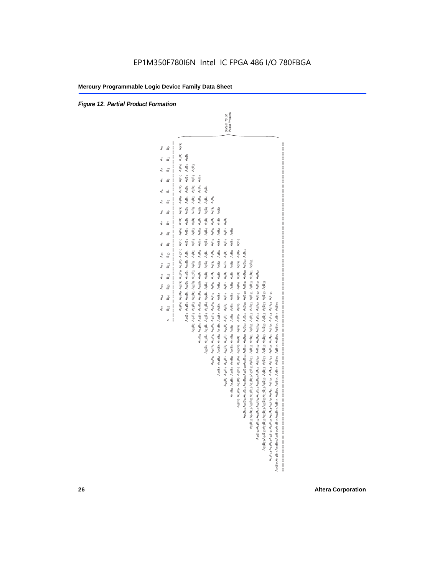*Figure 12. Partial Product Formation*

-Bit<br> $ducts$ Partial Products Sixteen 16-Bit

| <br> <br> <br> <br> <br>နှ<br>å | A:sBo A:4Bo A:3Bo A:2Bo A:1Bo A:0Bo A9Bo A9Bo A7Bo AsBo AsBo A4Bo A3Bo A:Bo A:Bo A0Bo |                                                                             |                                                                                           |                                                                                           |                                                              |                                                                              | Sixteen 16                                                       | Partial Pro                                                                 |                                                                               |                                                                                            |                                                                                           |                                                                                           |                                                                                     |                                                                                           |                                                                                                 |
|---------------------------------|---------------------------------------------------------------------------------------|-----------------------------------------------------------------------------|-------------------------------------------------------------------------------------------|-------------------------------------------------------------------------------------------|--------------------------------------------------------------|------------------------------------------------------------------------------|------------------------------------------------------------------|-----------------------------------------------------------------------------|-------------------------------------------------------------------------------|--------------------------------------------------------------------------------------------|-------------------------------------------------------------------------------------------|-------------------------------------------------------------------------------------------|-------------------------------------------------------------------------------------|-------------------------------------------------------------------------------------------|-------------------------------------------------------------------------------------------------|
| ക്                              |                                                                                       | $A_0B_2$                                                                    |                                                                                           |                                                                                           |                                                              |                                                                              |                                                                  |                                                                             |                                                                               |                                                                                            |                                                                                           |                                                                                           |                                                                                     |                                                                                           |                                                                                                 |
| ക്                              |                                                                                       |                                                                             | $A_0B_3$                                                                                  |                                                                                           |                                                              |                                                                              |                                                                  |                                                                             |                                                                               |                                                                                            |                                                                                           |                                                                                           |                                                                                     |                                                                                           |                                                                                                 |
| යි                              |                                                                                       |                                                                             | A <sub>3</sub> B <sub>3</sub> A <sub>2</sub> B <sub>3</sub> A <sub>1</sub> B <sub>3</sub> | A <sub>0</sub> B <sub>4</sub>                                                             |                                                              |                                                                              |                                                                  |                                                                             |                                                                               |                                                                                            |                                                                                           |                                                                                           |                                                                                     |                                                                                           |                                                                                                 |
| ക്                              |                                                                                       |                                                                             |                                                                                           | $A_1B_4$                                                                                  | A <sub>0</sub> B <sub>5</sub>                                |                                                                              |                                                                  |                                                                             |                                                                               |                                                                                            |                                                                                           |                                                                                           |                                                                                     |                                                                                           |                                                                                                 |
| മ്                              |                                                                                       | A16B2 A14B2 A13B2 A13B2 A11B2 A10B2 A9B2 A9B2 A7B2 A6B2 A4B2 A3B2 A2B2 A1B2 |                                                                                           | $A_2B_4$                                                                                  | A4B5 A3B5 A2B5 A1B5                                          | A <sub>0</sub> B <sub>6</sub>                                                |                                                                  |                                                                             |                                                                               |                                                                                            |                                                                                           |                                                                                           |                                                                                     |                                                                                           |                                                                                                 |
| 6                               |                                                                                       |                                                                             | AGB <sub>3</sub> A <sub>5</sub> B <sub>3</sub> A4B <sub>3</sub>                           | A <sub>5</sub> B <sub>4</sub> A <sub>4</sub> B <sub>4</sub> A <sub>3</sub> B <sub>4</sub> |                                                              | A3B <sub>6</sub> A <sub>2</sub> B <sub>6</sub> A <sub>1</sub> B <sub>6</sub> | $A_0B_7$                                                         |                                                                             |                                                                               |                                                                                            |                                                                                           |                                                                                           |                                                                                     |                                                                                           |                                                                                                 |
| മ്                              |                                                                                       |                                                                             |                                                                                           |                                                                                           |                                                              |                                                                              | $A_2B_7$ $A_1B_7$                                                | $A_0B_8$                                                                    |                                                                               |                                                                                            |                                                                                           |                                                                                           |                                                                                     |                                                                                           |                                                                                                 |
| മ്                              |                                                                                       |                                                                             |                                                                                           |                                                                                           |                                                              |                                                                              |                                                                  | $A_1B_8$                                                                    | A <sub>0</sub> B <sub>9</sub>                                                 |                                                                                            |                                                                                           |                                                                                           |                                                                                     |                                                                                           |                                                                                                 |
| $B_{10}$                        |                                                                                       |                                                                             |                                                                                           |                                                                                           |                                                              |                                                                              |                                                                  |                                                                             |                                                                               |                                                                                            |                                                                                           |                                                                                           |                                                                                     |                                                                                           |                                                                                                 |
| 모<br>민                          |                                                                                       |                                                                             |                                                                                           |                                                                                           |                                                              |                                                                              |                                                                  |                                                                             |                                                                               |                                                                                            |                                                                                           |                                                                                           |                                                                                     |                                                                                           |                                                                                                 |
| $B_{12}$                        |                                                                                       |                                                                             | A15B3 A14B3 A13B3 A12B3 A11B3 A10B3 A9B3 A9B3 A7B3                                        | A15B4 A14B4 A13B4 A12B4 A11B4 A10B4 A9B4 A8B4 A7B4 A6B4                                   | A15B5 A14B5 A13B5 A12B5 A11B5 A10B5 A9B5 A9B5 A7B5 A6B5 A5B5 | A15B6 A14B6 A13B6 A12B6 A1B6 A1B6 A3B6 A2B6 A7B6 A6B6 A5B6 A4B6              | A16B7 A14B7 A13B7 A13B7 A187 A16B7 A9B7 A2B7 A6B7 A6B7 A4B7 A3B7 | A15B8 A14B8 A13B8 A12B8 A11B8 A10B8 A9B8 A9B8 A7B8 A6B8 A5B8 A4B8 A2B8 A2B8 | A189 A189 A139 A129 A1189 A109 A99 A99 A799 A69 A69 A59 A19 A39 A39 A299 A199 | A1aB1oA14B1oA13B1oA12B1oA11B1oA10B1o A9B1o A9B1o A9B1o A9B1o A4B1o A3B1o A2B1o A1B1o A1B1o | A16B11A14B11A13B11A12B11A11B11A10B11A3B11 A3B11 A7B11 A6B11 A4B11 A3B11 A2B11 A1B11 A0B11 | AtsBtzAtuBtzAt3BtzAtzBtzAt1BtzAt0BtzAgBtz AsBtz AzBtz AsBtz AsBtz AsBtz A3Btz A1Btz A1Btz |                                                                                     |                                                                                           |                                                                                                 |
| $B_{13}$                        |                                                                                       |                                                                             |                                                                                           |                                                                                           |                                                              |                                                                              |                                                                  |                                                                             |                                                                               |                                                                                            |                                                                                           |                                                                                           |                                                                                     |                                                                                           |                                                                                                 |
| $B_{14}$                        |                                                                                       |                                                                             |                                                                                           |                                                                                           |                                                              |                                                                              |                                                                  |                                                                             |                                                                               |                                                                                            |                                                                                           |                                                                                           | АқаВқзАқ4ВқзАқзВқзАқ1ВқзАқнВқзАдВқз АдВқз АдВқз АдВқз АдВқз АдВқз АдВқз АдВқз АдВқз | A15B14A14B14A13B14A12B14A11B14A10B14A6B14 A5B14 A5B14 A5B14 A4B14 A3B14 A2B14 A1B14 A1B14 |                                                                                                 |
| $B_{15}$                        |                                                                                       |                                                                             |                                                                                           |                                                                                           |                                                              |                                                                              |                                                                  |                                                                             |                                                                               |                                                                                            |                                                                                           |                                                                                           |                                                                                     |                                                                                           | A1sB1sA14B1sA13B1sA12B1sA11B1sA10B1sA9B1s A0B1s A7B1s A6B1s A3B1s A3B1s A3B1s A2B1s A1B1s A0B1s |
| ₩<br>$\parallel$<br>$\times$    |                                                                                       |                                                                             |                                                                                           |                                                                                           |                                                              |                                                                              |                                                                  |                                                                             |                                                                               |                                                                                            |                                                                                           |                                                                                           |                                                                                     |                                                                                           |                                                                                                 |
|                                 |                                                                                       |                                                                             |                                                                                           |                                                                                           |                                                              |                                                                              |                                                                  |                                                                             |                                                                               |                                                                                            |                                                                                           |                                                                                           |                                                                                     |                                                                                           |                                                                                                 |
|                                 |                                                                                       |                                                                             |                                                                                           |                                                                                           |                                                              |                                                                              |                                                                  |                                                                             |                                                                               |                                                                                            |                                                                                           |                                                                                           |                                                                                     |                                                                                           |                                                                                                 |
|                                 |                                                                                       |                                                                             |                                                                                           |                                                                                           |                                                              |                                                                              |                                                                  |                                                                             |                                                                               |                                                                                            |                                                                                           |                                                                                           |                                                                                     |                                                                                           |                                                                                                 |
|                                 |                                                                                       |                                                                             |                                                                                           |                                                                                           |                                                              |                                                                              |                                                                  |                                                                             |                                                                               |                                                                                            |                                                                                           |                                                                                           |                                                                                     |                                                                                           |                                                                                                 |
|                                 |                                                                                       |                                                                             |                                                                                           |                                                                                           |                                                              |                                                                              |                                                                  |                                                                             |                                                                               |                                                                                            |                                                                                           |                                                                                           |                                                                                     |                                                                                           |                                                                                                 |
|                                 |                                                                                       |                                                                             |                                                                                           |                                                                                           |                                                              |                                                                              |                                                                  |                                                                             |                                                                               |                                                                                            |                                                                                           |                                                                                           |                                                                                     |                                                                                           |                                                                                                 |
|                                 |                                                                                       |                                                                             |                                                                                           |                                                                                           |                                                              |                                                                              |                                                                  |                                                                             |                                                                               |                                                                                            |                                                                                           |                                                                                           |                                                                                     |                                                                                           |                                                                                                 |
|                                 |                                                                                       |                                                                             |                                                                                           |                                                                                           |                                                              |                                                                              |                                                                  |                                                                             |                                                                               |                                                                                            |                                                                                           |                                                                                           |                                                                                     |                                                                                           |                                                                                                 |
|                                 |                                                                                       |                                                                             |                                                                                           |                                                                                           |                                                              |                                                                              |                                                                  |                                                                             |                                                                               |                                                                                            |                                                                                           |                                                                                           |                                                                                     |                                                                                           |                                                                                                 |
|                                 |                                                                                       |                                                                             |                                                                                           |                                                                                           |                                                              |                                                                              |                                                                  |                                                                             |                                                                               |                                                                                            |                                                                                           |                                                                                           |                                                                                     |                                                                                           |                                                                                                 |
|                                 |                                                                                       |                                                                             |                                                                                           |                                                                                           |                                                              |                                                                              |                                                                  |                                                                             |                                                                               |                                                                                            |                                                                                           |                                                                                           |                                                                                     |                                                                                           |                                                                                                 |
|                                 |                                                                                       |                                                                             |                                                                                           |                                                                                           |                                                              |                                                                              |                                                                  |                                                                             |                                                                               |                                                                                            |                                                                                           |                                                                                           |                                                                                     |                                                                                           |                                                                                                 |
|                                 |                                                                                       |                                                                             |                                                                                           |                                                                                           |                                                              |                                                                              |                                                                  |                                                                             |                                                                               |                                                                                            |                                                                                           |                                                                                           |                                                                                     |                                                                                           |                                                                                                 |
|                                 |                                                                                       |                                                                             |                                                                                           |                                                                                           |                                                              |                                                                              |                                                                  |                                                                             |                                                                               |                                                                                            |                                                                                           |                                                                                           |                                                                                     |                                                                                           |                                                                                                 |
|                                 |                                                                                       |                                                                             |                                                                                           |                                                                                           |                                                              |                                                                              |                                                                  |                                                                             |                                                                               |                                                                                            |                                                                                           |                                                                                           |                                                                                     |                                                                                           |                                                                                                 |
|                                 |                                                                                       |                                                                             |                                                                                           |                                                                                           |                                                              |                                                                              |                                                                  |                                                                             |                                                                               |                                                                                            |                                                                                           |                                                                                           |                                                                                     |                                                                                           |                                                                                                 |
|                                 |                                                                                       |                                                                             |                                                                                           |                                                                                           |                                                              |                                                                              |                                                                  |                                                                             |                                                                               |                                                                                            |                                                                                           |                                                                                           |                                                                                     |                                                                                           |                                                                                                 |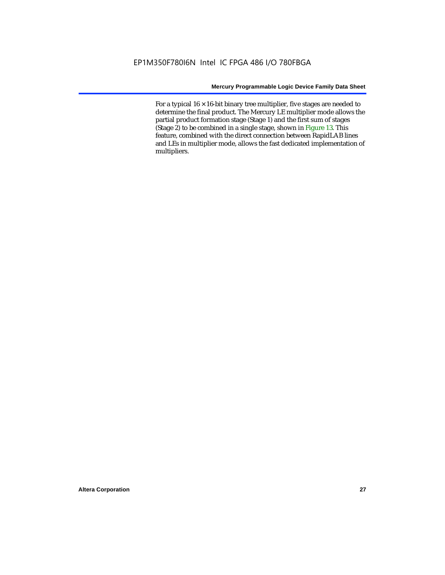For a typical  $16 \times 16$ -bit binary tree multiplier, five stages are needed to determine the final product. The Mercury LE multiplier mode allows the partial product formation stage (Stage 1) and the first sum of stages (Stage 2) to be combined in a single stage, shown in Figure 13. This feature, combined with the direct connection between RapidLAB lines and LEs in multiplier mode, allows the fast dedicated implementation of multipliers.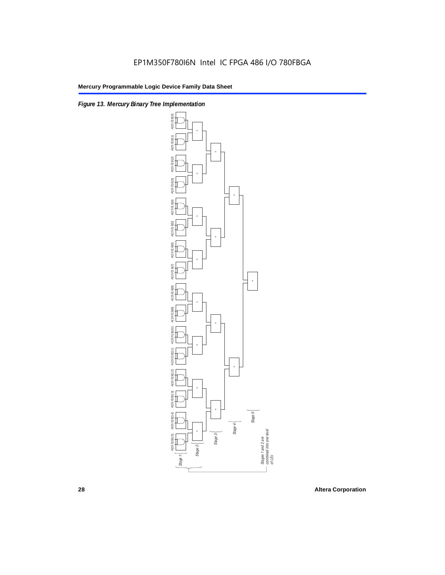

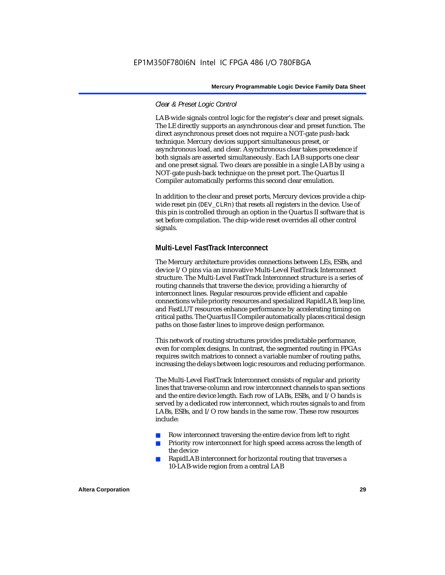#### *Clear & Preset Logic Control*

LAB-wide signals control logic for the register's clear and preset signals. The LE directly supports an asynchronous clear and preset function. The direct asynchronous preset does not require a NOT-gate push-back technique. Mercury devices support simultaneous preset, or asynchronous load, and clear. Asynchronous clear takes precedence if both signals are asserted simultaneously. Each LAB supports one clear and one preset signal. Two clears are possible in a single LAB by using a NOT-gate push-back technique on the preset port. The Quartus II Compiler automatically performs this second clear emulation.

In addition to the clear and preset ports, Mercury devices provide a chipwide reset pin (DEV\_CLRn) that resets all registers in the device. Use of this pin is controlled through an option in the Quartus II software that is set before compilation. The chip-wide reset overrides all other control signals.

#### **Multi-Level FastTrack Interconnect**

The Mercury architecture provides connections between LEs, ESBs, and device I/O pins via an innovative Multi-Level FastTrack Interconnect structure. The Multi-Level FastTrack Interconnect structure is a series of routing channels that traverse the device, providing a hierarchy of interconnect lines. Regular resources provide efficient and capable connections while priority resources and specialized RapidLAB, leap line, and FastLUT resources enhance performance by accelerating timing on critical paths. The Quartus II Compiler automatically places critical design paths on those faster lines to improve design performance.

This network of routing structures provides predictable performance, even for complex designs. In contrast, the segmented routing in FPGAs requires switch matrices to connect a variable number of routing paths, increasing the delays between logic resources and reducing performance.

The Multi-Level FastTrack Interconnect consists of regular and priority lines that traverse column and row interconnect channels to span sections and the entire device length. Each row of LABs, ESBs, and I/O bands is served by a dedicated row interconnect, which routes signals to and from LABs, ESBs, and I/O row bands in the same row. These row resources include:

- Row interconnect traversing the entire device from left to right
- Priority row interconnect for high speed access across the length of the device
- RapidLAB interconnect for horizontal routing that traverses a 10-LAB-wide region from a central LAB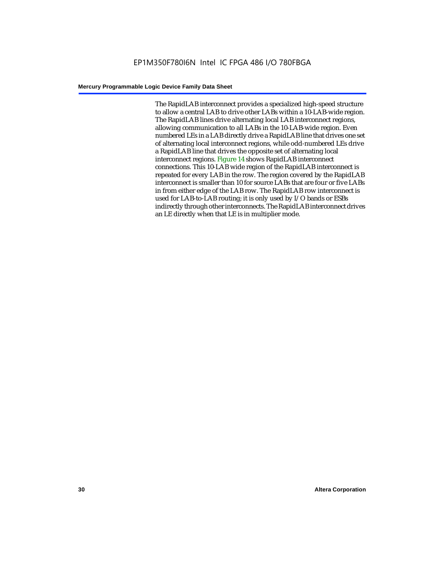The RapidLAB interconnect provides a specialized high-speed structure to allow a central LAB to drive other LABs within a 10-LAB-wide region. The RapidLAB lines drive alternating local LAB interconnect regions, allowing communication to all LABs in the 10-LAB-wide region. Even numbered LEs in a LAB directly drive a RapidLAB line that drives one set of alternating local interconnect regions, while odd-numbered LEs drive a RapidLAB line that drives the opposite set of alternating local interconnect regions. Figure 14 shows RapidLAB interconnect connections. This 10-LAB wide region of the RapidLAB interconnect is repeated for every LAB in the row. The region covered by the RapidLAB interconnect is smaller than 10 for source LABs that are four or five LABs in from either edge of the LAB row. The RapidLAB row interconnect is used for LAB-to-LAB routing; it is only used by I/O bands or ESBs indirectly through other interconnects. The RapidLAB interconnect drives an LE directly when that LE is in multiplier mode.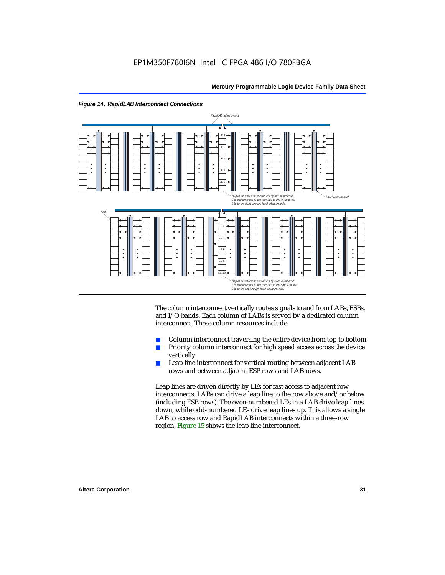

The column interconnect vertically routes signals to and from LABs, ESBs, and I/O bands. Each column of LABs is served by a dedicated column interconnect. These column resources include:

- Column interconnect traversing the entire device from top to bottom
- Priority column interconnect for high speed access across the device vertically
- Leap line interconnect for vertical routing between adjacent LAB rows and between adjacent ESP rows and LAB rows.

Leap lines are driven directly by LEs for fast access to adjacent row interconnects. LABs can drive a leap line to the row above and/or below (including ESB rows). The even-numbered LEs in a LAB drive leap lines down, while odd-numbered LEs drive leap lines up. This allows a single LAB to access row and RapidLAB interconnects within a three-row region. Figure 15 shows the leap line interconnect.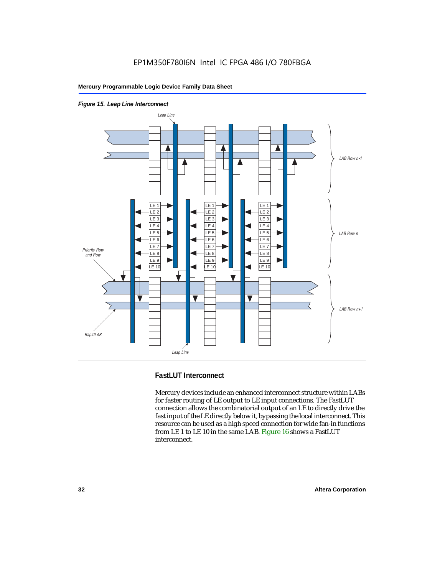

*Figure 15. Leap Line Interconnect*

### **FastLUT Interconnect**

Mercury devices include an enhanced interconnect structure within LABs for faster routing of LE output to LE input connections. The FastLUT connection allows the combinatorial output of an LE to directly drive the fast input of the LE directly below it, bypassing the local interconnect. This resource can be used as a high speed connection for wide fan-in functions from LE 1 to LE 10 in the same LAB. Figure 16 shows a FastLUT interconnect.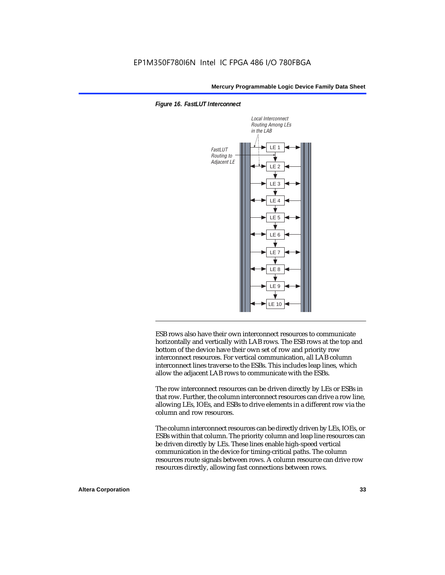



ESB rows also have their own interconnect resources to communicate horizontally and vertically with LAB rows. The ESB rows at the top and bottom of the device have their own set of row and priority row interconnect resources. For vertical communication, all LAB column interconnect lines traverse to the ESBs. This includes leap lines, which allow the adjacent LAB rows to communicate with the ESBs.

The row interconnect resources can be driven directly by LEs or ESBs in that row. Further, the column interconnect resources can drive a row line, allowing LEs, IOEs, and ESBs to drive elements in a different row via the column and row resources.

The column interconnect resources can be directly driven by LEs, IOEs, or ESBs within that column. The priority column and leap line resources can be driven directly by LEs. These lines enable high-speed vertical communication in the device for timing-critical paths. The column resources route signals between rows. A column resource can drive row resources directly, allowing fast connections between rows.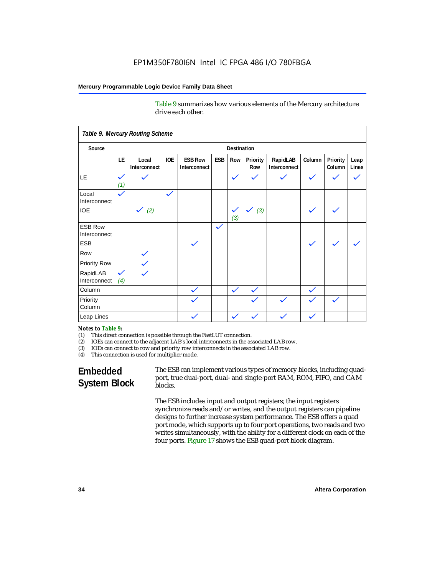Table 9 summarizes how various elements of the Mercury architecture drive each other.

|                                |                     | Table 9. Mercury Routing Scheme |              |                                |              |                     |                     |                          |              |                    |               |
|--------------------------------|---------------------|---------------------------------|--------------|--------------------------------|--------------|---------------------|---------------------|--------------------------|--------------|--------------------|---------------|
| Source                         |                     | <b>Destination</b>              |              |                                |              |                     |                     |                          |              |                    |               |
|                                | LE                  | Local<br>Interconnect           | <b>IOE</b>   | <b>ESB Row</b><br>Interconnect | ESB          | Row                 | Priority<br>Row     | RapidLAB<br>Interconnect | Column       | Priority<br>Column | Leap<br>Lines |
| LE                             | $\checkmark$<br>(1) | $\checkmark$                    |              |                                |              | $\checkmark$        | $\checkmark$        | $\checkmark$             | $\checkmark$ |                    |               |
| Local<br>Interconnect          | $\checkmark$        |                                 | $\checkmark$ |                                |              |                     |                     |                          |              |                    |               |
| <b>IOE</b>                     |                     | $\checkmark$ (2)                |              |                                |              | $\checkmark$<br>(3) | $\checkmark$<br>(3) |                          | $\checkmark$ | $\checkmark$       |               |
| <b>ESB Row</b><br>Interconnect |                     |                                 |              |                                | $\checkmark$ |                     |                     |                          |              |                    |               |
| <b>ESB</b>                     |                     |                                 |              | $\checkmark$                   |              |                     |                     |                          | $\checkmark$ | $\checkmark$       |               |
| Row                            |                     | $\checkmark$                    |              |                                |              |                     |                     |                          |              |                    |               |
| <b>Priority Row</b>            |                     | $\checkmark$                    |              |                                |              |                     |                     |                          |              |                    |               |
| RapidLAB<br>Interconnect       | $\checkmark$<br>(4) | $\checkmark$                    |              |                                |              |                     |                     |                          |              |                    |               |
| Column                         |                     |                                 |              | $\checkmark$                   |              | $\checkmark$        | $\checkmark$        |                          | $\checkmark$ |                    |               |
| Priority<br>Column             |                     |                                 |              | $\checkmark$                   |              |                     | $\checkmark$        |                          | $\checkmark$ |                    |               |
| Leap Lines                     |                     |                                 |              | $\checkmark$                   |              | $\checkmark$        |                     |                          |              |                    |               |

#### *Notes to Table 9:*

- (1) This direct connection is possible through the FastLUT connection.
- (2) IOEs can connect to the adjacent LAB's local interconnects in the associated LAB row.
- (3) IOEs can connect to row and priority row interconnects in the associated LAB row.
- (4) This connection is used for multiplier mode.

### **Embedded System Block**

The ESB can implement various types of memory blocks, including quadport, true dual-port, dual- and single-port RAM, ROM, FIFO, and CAM blocks.

The ESB includes input and output registers; the input registers synchronize reads and/or writes, and the output registers can pipeline designs to further increase system performance. The ESB offers a quad port mode, which supports up to four port operations, two reads and two writes simultaneously, with the ability for a different clock on each of the four ports. Figure 17 shows the ESB quad-port block diagram.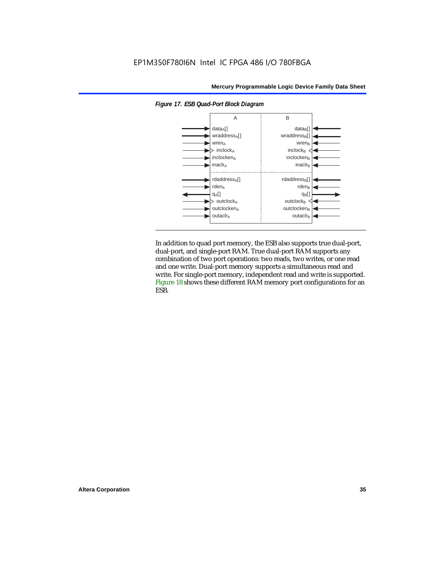

*Figure 17. ESB Quad-Port Block Diagram*

In addition to quad port memory, the ESB also supports true dual-port, dual-port, and single-port RAM. True dual-port RAM supports any combination of two port operations: two reads, two writes, or one read and one write. Dual-port memory supports a simultaneous read and write. For single-port memory, independent read and write is supported. Figure 18 shows these different RAM memory port configurations for an ESB.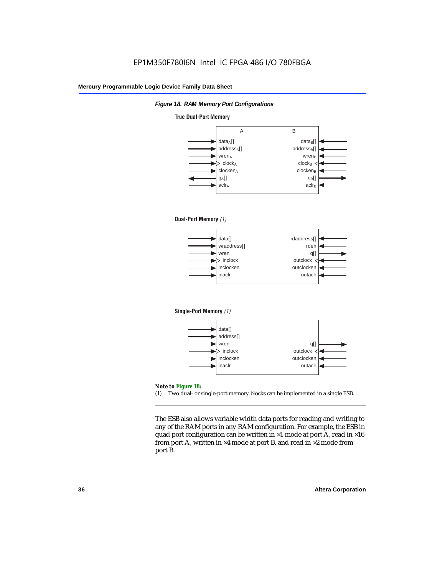

#### **True Dual-Port Memory**



(1) Two dual- or single-port memory blocks can be implemented in a single ESB.

The ESB also allows variable width data ports for reading and writing to any of the RAM ports in any RAM configuration. For example, the ESB in quad port configuration can be written in  $\times 1$  mode at port A, read in  $\times 16$ from port A, written in  $\times 4$  mode at port B, and read in  $\times 2$  mode from port B.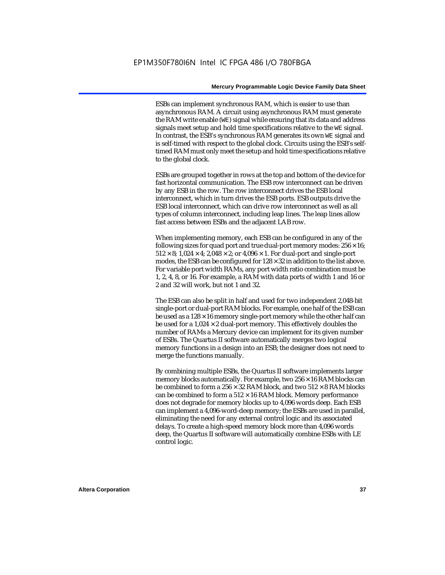ESBs can implement synchronous RAM, which is easier to use than asynchronous RAM. A circuit using asynchronous RAM must generate the RAM write enable (WE) signal while ensuring that its data and address signals meet setup and hold time specifications relative to the WE signal. In contrast, the ESB's synchronous RAM generates its own WE signal and is self-timed with respect to the global clock. Circuits using the ESB's selftimed RAM must only meet the setup and hold time specifications relative to the global clock.

ESBs are grouped together in rows at the top and bottom of the device for fast horizontal communication. The ESB row interconnect can be driven by any ESB in the row. The row interconnect drives the ESB local interconnect, which in turn drives the ESB ports. ESB outputs drive the ESB local interconnect, which can drive row interconnect as well as all types of column interconnect, including leap lines. The leap lines allow fast access between ESBs and the adjacent LAB row.

When implementing memory, each ESB can be configured in any of the following sizes for quad port and true dual-port memory modes:  $256 \times 16$ ;  $512 \times 8$ ;  $1,024 \times 4$ ;  $2,048 \times 2$ ; or  $4,096 \times 1$ . For dual-port and single-port modes, the ESB can be configured for  $128 \times 32$  in addition to the list above. For variable port width RAMs, any port width ratio combination must be 1, 2, 4, 8, or 16. For example, a RAM with data ports of width 1 and 16 or 2 and 32 will work, but not 1 and 32.

The ESB can also be split in half and used for two independent 2,048-bit single-port or dual-port RAM blocks. For example, one half of the ESB can be used as a  $128 \times 16$  memory single-port memory while the other half can be used for a  $1,024 \times 2$  dual-port memory. This effectively doubles the number of RAMs a Mercury device can implement for its given number of ESBs. The Quartus II software automatically merges two logical memory functions in a design into an ESB; the designer does not need to merge the functions manually.

By combining multiple ESBs, the Quartus II software implements larger memory blocks automatically. For example, two  $256 \times 16$  RAM blocks can be combined to form a  $256 \times 32$  RAM block, and two  $512 \times 8$  RAM blocks can be combined to form a  $512 \times 16$  RAM block. Memory performance does not degrade for memory blocks up to 4,096 words deep. Each ESB can implement a 4,096-word-deep memory; the ESBs are used in parallel, eliminating the need for any external control logic and its associated delays. To create a high-speed memory block more than 4,096 words deep, the Quartus II software will automatically combine ESBs with LE control logic.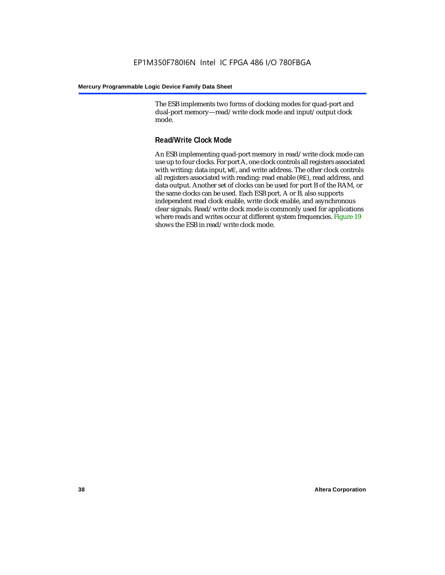The ESB implements two forms of clocking modes for quad-port and dual-port memory—read/write clock mode and input/output clock mode.

### **Read/Write Clock Mode**

An ESB implementing quad-port memory in read/write clock mode can use up to four clocks. For port A, one clock controls all registers associated with writing: data input, WE, and write address. The other clock controls all registers associated with reading: read enable (RE), read address, and data output. Another set of clocks can be used for port B of the RAM, or the same clocks can be used. Each ESB port, A or B, also supports independent read clock enable, write clock enable, and asynchronous clear signals. Read/write clock mode is commonly used for applications where reads and writes occur at different system frequencies. Figure 19 shows the ESB in read/write clock mode.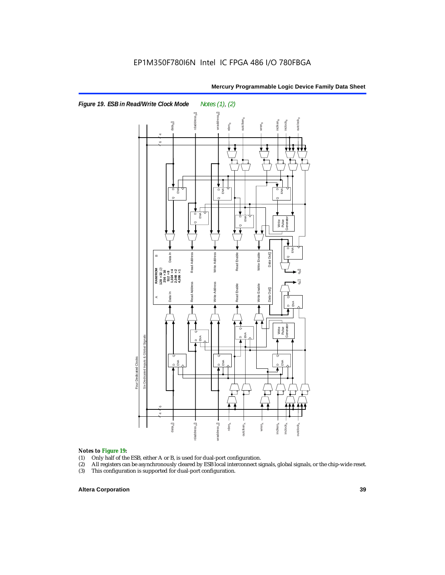

### *Notes to Figure 19:*

- (1) Only half of the ESB, either A or B, is used for dual-port configuration.
- (2) All registers can be asynchronously cleared by ESB local interconnect signals, global signals, or the chip-wide reset.
- 

### **Altera Corporation 39**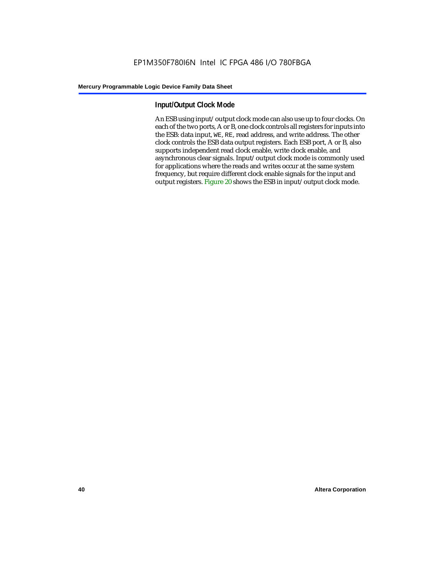### **Input/Output Clock Mode**

An ESB using input/output clock mode can also use up to four clocks. On each of the two ports, A or B, one clock controls all registers for inputs into the ESB: data input, WE, RE, read address, and write address. The other clock controls the ESB data output registers. Each ESB port, A or B, also supports independent read clock enable, write clock enable, and asynchronous clear signals. Input/output clock mode is commonly used for applications where the reads and writes occur at the same system frequency, but require different clock enable signals for the input and output registers. Figure 20 shows the ESB in input/output clock mode.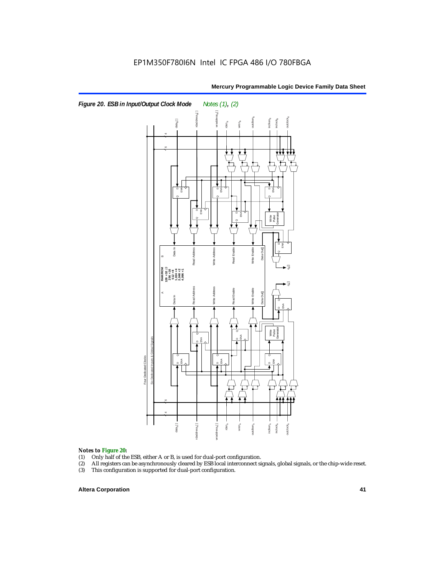

# **Notes to Figure 20:**<br>(1) Only half of the

- (1) Only half of the ESB, either A or B, is used for dual-port configuration.<br>(2) All registers can be asynchronously cleared by ESB local interconnect si
- All registers can be asynchronously cleared by ESB local interconnect signals, global signals, or the chip-wide reset.<br>This configuration is supported for dual-port configuration.
- 

### **Altera Corporation 41**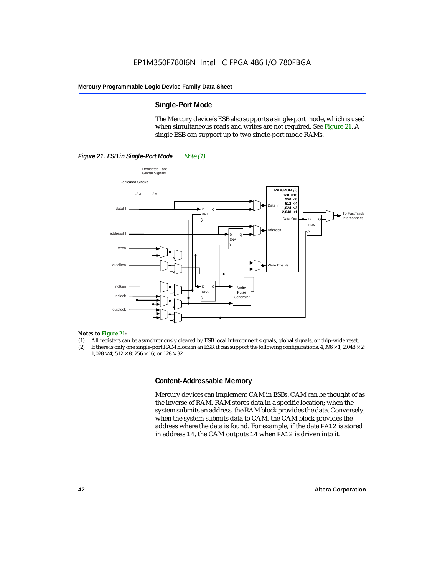### **Single-Port Mode**

The Mercury device's ESB also supports a single-port mode, which is used when simultaneous reads and writes are not required. See Figure 21. A single ESB can support up to two single-port mode RAMs.



#### *Notes to Figure 21:*

- (1) All registers can be asynchronously cleared by ESB local interconnect signals, global signals, or chip-wide reset.
- (2) If there is only one single-port RAM block in an ESB, it can support the following configurations:  $4,096 \times 1$ ;  $2,048 \times 2$ ;  $1.028 \times 4$ ;  $512 \times 8$ ;  $256 \times 16$ ; or  $128 \times 32$ .

### **Content-Addressable Memory**

Mercury devices can implement CAM in ESBs. CAM can be thought of as the inverse of RAM. RAM stores data in a specific location; when the system submits an address, the RAM block provides the data. Conversely, when the system submits data to CAM, the CAM block provides the address where the data is found. For example, if the data FA12 is stored in address 14, the CAM outputs 14 when FA12 is driven into it.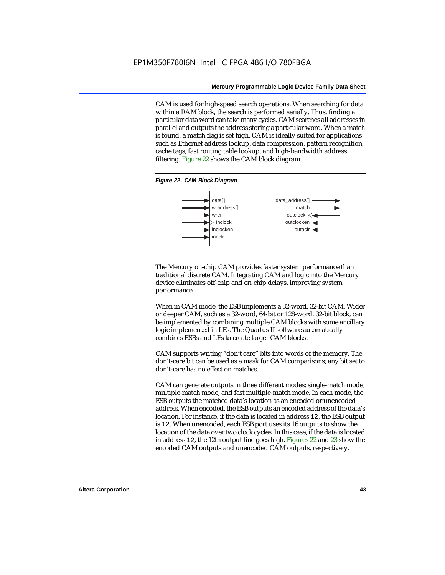CAM is used for high-speed search operations. When searching for data within a RAM block, the search is performed serially. Thus, finding a particular data word can take many cycles. CAM searches all addresses in parallel and outputs the address storing a particular word. When a match is found, a match flag is set high. CAM is ideally suited for applications such as Ethernet address lookup, data compression, pattern recognition, cache tags, fast routing table lookup, and high-bandwidth address filtering. Figure 22 shows the CAM block diagram.

#### *Figure 22. CAM Block Diagram*



The Mercury on-chip CAM provides faster system performance than traditional discrete CAM. Integrating CAM and logic into the Mercury device eliminates off-chip and on-chip delays, improving system performance.

When in CAM mode, the ESB implements a 32-word, 32-bit CAM. Wider or deeper CAM, such as a 32-word, 64-bit or 128-word, 32-bit block, can be implemented by combining multiple CAM blocks with some ancillary logic implemented in LEs. The Quartus II software automatically combines ESBs and LEs to create larger CAM blocks.

CAM supports writing "don't care" bits into words of the memory. The don't-care bit can be used as a mask for CAM comparisons; any bit set to don't-care has no effect on matches.

CAM can generate outputs in three different modes: single-match mode, multiple-match mode, and fast multiple-match mode. In each mode, the ESB outputs the matched data's location as an encoded or unencoded address. When encoded, the ESB outputs an encoded address of the data's location. For instance, if the data is located in address 12, the ESB output is 12. When unencoded, each ESB port uses its 16 outputs to show the location of the data over two clock cycles. In this case, if the data is located in address 12, the 12th output line goes high. Figures 22 and 23 show the encoded CAM outputs and unencoded CAM outputs, respectively.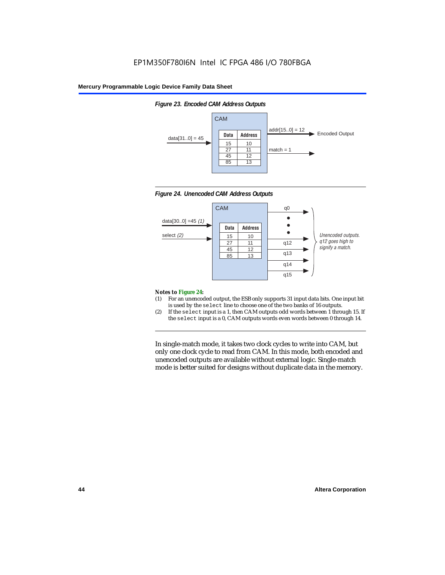*Figure 23. Encoded CAM Address Outputs*

### **Mercury Programmable Logic Device Family Data Sheet**







#### *Notes to Figure 24:*

- (1) For an unencoded output, the ESB only supports 31 input data bits. One input bit is used by the select line to choose one of the two banks of 16 outputs.
- (2) If the select input is a 1, then CAM outputs odd words between 1 through 15. If the select input is a 0, CAM outputs words even words between 0 through 14.

In single-match mode, it takes two clock cycles to write into CAM, but only one clock cycle to read from CAM. In this mode, both encoded and unencoded outputs are available without external logic. Single-match mode is better suited for designs without duplicate data in the memory.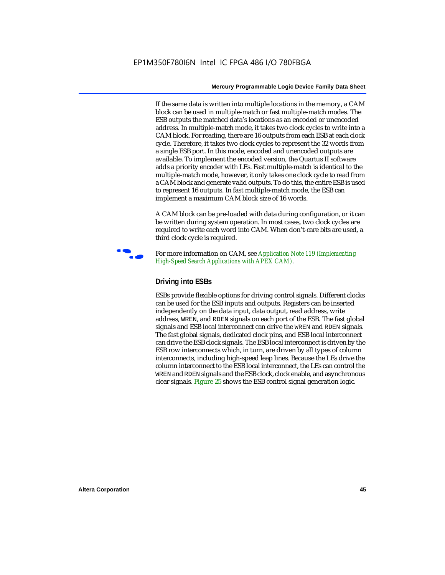If the same data is written into multiple locations in the memory, a CAM block can be used in multiple-match or fast multiple-match modes. The ESB outputs the matched data's locations as an encoded or unencoded address. In multiple-match mode, it takes two clock cycles to write into a CAM block. For reading, there are 16 outputs from each ESB at each clock cycle. Therefore, it takes two clock cycles to represent the 32 words from a single ESB port. In this mode, encoded and unencoded outputs are available. To implement the encoded version, the Quartus II software adds a priority encoder with LEs. Fast multiple-match is identical to the multiple-match mode, however, it only takes one clock cycle to read from a CAM block and generate valid outputs. To do this, the entire ESB is used to represent 16 outputs. In fast multiple-match mode, the ESB can implement a maximum CAM block size of 16 words.

A CAM block can be pre-loaded with data during configuration, or it can be written during system operation. In most cases, two clock cycles are required to write each word into CAM. When don't-care bits are used, a third clock cycle is required.



f For more information on CAM, see *Application Note 119 (Implementing High-Speed Search Applications with APEX CAM)*.

### **Driving into ESBs**

ESBs provide flexible options for driving control signals. Different clocks can be used for the ESB inputs and outputs. Registers can be inserted independently on the data input, data output, read address, write address, WREN, and RDEN signals on each port of the ESB. The fast global signals and ESB local interconnect can drive the WREN and RDEN signals. The fast global signals, dedicated clock pins, and ESB local interconnect can drive the ESB clock signals. The ESB local interconnect is driven by the ESB row interconnects which, in turn, are driven by all types of column interconnects, including high-speed leap lines. Because the LEs drive the column interconnect to the ESB local interconnect, the LEs can control the WREN and RDEN signals and the ESB clock, clock enable, and asynchronous clear signals. Figure 25 shows the ESB control signal generation logic.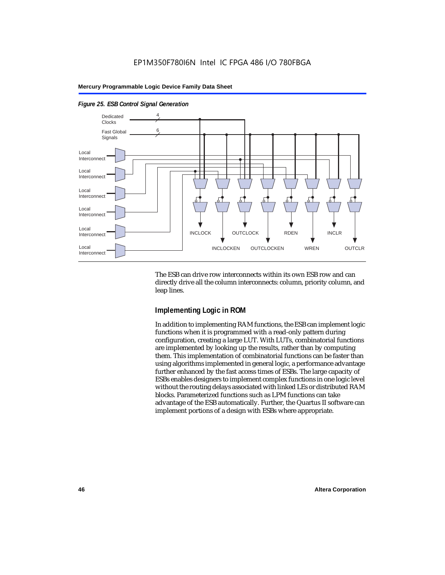

### *Figure 25. ESB Control Signal Generation*

The ESB can drive row interconnects within its own ESB row and can directly drive all the column interconnects: column, priority column, and leap lines.

### **Implementing Logic in ROM**

In addition to implementing RAM functions, the ESB can implement logic functions when it is programmed with a read-only pattern during configuration, creating a large LUT. With LUTs, combinatorial functions are implemented by looking up the results, rather than by computing them. This implementation of combinatorial functions can be faster than using algorithms implemented in general logic, a performance advantage further enhanced by the fast access times of ESBs. The large capacity of ESBs enables designers to implement complex functions in one logic level without the routing delays associated with linked LEs or distributed RAM blocks. Parameterized functions such as LPM functions can take advantage of the ESB automatically. Further, the Quartus II software can implement portions of a design with ESBs where appropriate.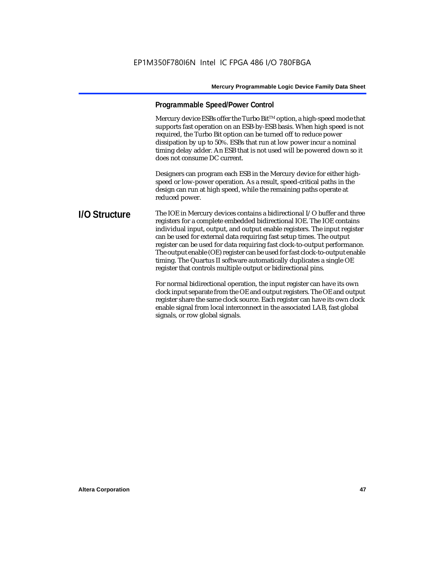### **Programmable Speed/Power Control**

Mercury device ESBs offer the Turbo Bit<sup>TM</sup> option, a high-speed mode that supports fast operation on an ESB-by-ESB basis. When high speed is not required, the Turbo Bit option can be turned off to reduce power dissipation by up to 50%. ESBs that run at low power incur a nominal timing delay adder. An ESB that is not used will be powered down so it does not consume DC current.

Designers can program each ESB in the Mercury device for either highspeed or low-power operation. As a result, speed-critical paths in the design can run at high speed, while the remaining paths operate at reduced power.

**I/O Structure** The IOE in Mercury devices contains a bidirectional I/O buffer and three registers for a complete embedded bidirectional IOE. The IOE contains individual input, output, and output enable registers. The input register can be used for external data requiring fast setup times. The output register can be used for data requiring fast clock-to-output performance. The output enable (OE) register can be used for fast clock-to-output enable timing. The Quartus II software automatically duplicates a single OE register that controls multiple output or bidirectional pins.

> For normal bidirectional operation, the input register can have its own clock input separate from the OE and output registers. The OE and output register share the same clock source. Each register can have its own clock enable signal from local interconnect in the associated LAB, fast global signals, or row global signals.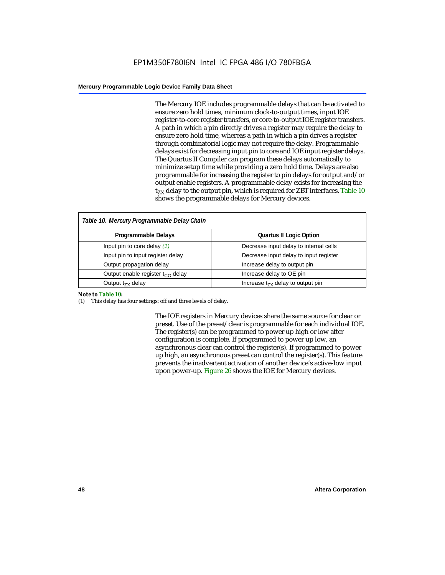The Mercury IOE includes programmable delays that can be activated to ensure zero hold times, minimum clock-to-output times, input IOE register-to-core register transfers, or core-to-output IOE register transfers. A path in which a pin directly drives a register may require the delay to ensure zero hold time, whereas a path in which a pin drives a register through combinatorial logic may not require the delay. Programmable delays exist for decreasing input pin to core and IOE input register delays. The Quartus II Compiler can program these delays automatically to minimize setup time while providing a zero hold time. Delays are also programmable for increasing the register to pin delays for output and/or output enable registers. A programmable delay exists for increasing the  $t_{zx}$  delay to the output pin, which is required for ZBT interfaces. Table 10 shows the programmable delays for Mercury devices.

| Table 10. Mercury Programmable Delay Chain   |                                        |  |  |  |
|----------------------------------------------|----------------------------------------|--|--|--|
| Programmable Delays                          | <b>Quartus II Logic Option</b>         |  |  |  |
| Input pin to core delay $(1)$                | Decrease input delay to internal cells |  |  |  |
| Input pin to input register delay            | Decrease input delay to input register |  |  |  |
| Output propagation delay                     | Increase delay to output pin           |  |  |  |
| Output enable register t <sub>CO</sub> delay | Increase delay to OE pin               |  |  |  |
| Output $t_{zx}$ delay                        | Increase $t_{zx}$ delay to output pin  |  |  |  |

#### *Note to Table 10:*

(1) This delay has four settings: off and three levels of delay.

The IOE registers in Mercury devices share the same source for clear or preset. Use of the preset/clear is programmable for each individual IOE. The register(s) can be programmed to power up high or low after configuration is complete. If programmed to power up low, an asynchronous clear can control the register(s). If programmed to power up high, an asynchronous preset can control the register(s). This feature prevents the inadvertent activation of another device's active-low input upon power-up. Figure 26 shows the IOE for Mercury devices.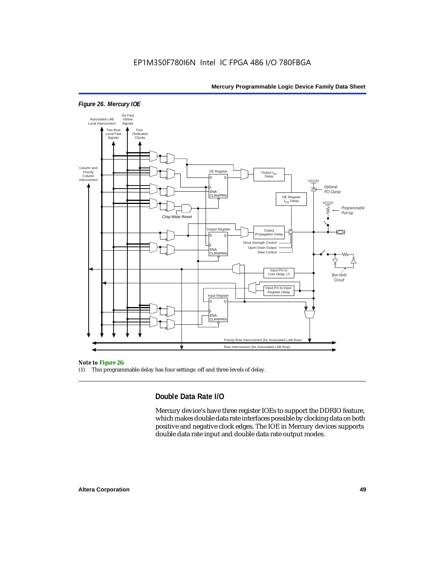

### *Figure 26. Mercury IOE*

#### *Note to Figure 26:*

(1) This programmable delay has four settings: off and three levels of delay.

### **Double Data Rate I/O**

Mercury device's have three register IOEs to support the DDRIO feature, which makes double data rate interfaces possible by clocking data on both positive and negative clock edges. The IOE in Mercury devices supports double data rate input and double data rate output modes.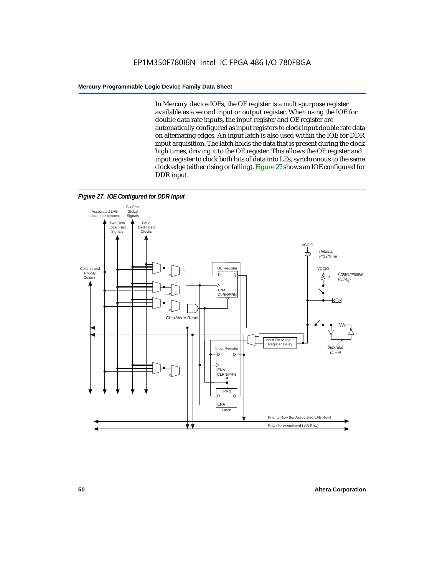In Mercury device IOEs, the OE register is a multi-purpose register available as a second input or output register. When using the IOE for double data rate inputs, the input register and OE register are automatically configured as input registers to clock input double rate data on alternating edges. An input latch is also used within the IOE for DDR input acquisition. The latch holds the data that is present during the clock high times, driving it to the OE register. This allows the OE register and input register to clock both bits of data into LEs, synchronous to the same clock edge (either rising or falling). Figure 27 shows an IOE configured for DDR input.



*Figure 27. IOE Configured for DDR Input*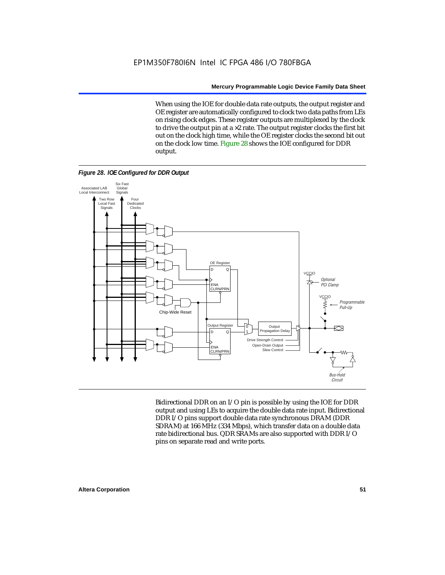When using the IOE for double data rate outputs, the output register and OE register are automatically configured to clock two data paths from LEs on rising clock edges. These register outputs are multiplexed by the clock to drive the output pin at a  $\times$ 2 rate. The output register clocks the first bit out on the clock high time, while the OE register clocks the second bit out on the clock low time. Figure 28 shows the IOE configured for DDR output.

*Figure 28. IOE Configured for DDR Output*



Bidirectional DDR on an I/O pin is possible by using the IOE for DDR output and using LEs to acquire the double data rate input. Bidirectional DDR I/O pins support double data rate synchronous DRAM (DDR SDRAM) at 166 MHz (334 Mbps), which transfer data on a double data rate bidirectional bus. QDR SRAMs are also supported with DDR I/O pins on separate read and write ports.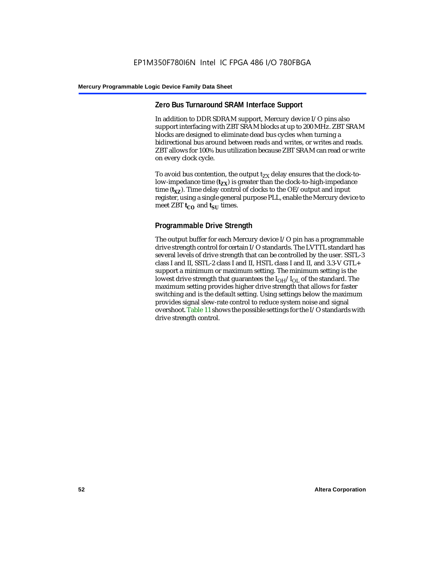### **Zero Bus Turnaround SRAM Interface Support**

In addition to DDR SDRAM support, Mercury device I/O pins also support interfacing with ZBT SRAM blocks at up to 200 MHz. ZBT SRAM blocks are designed to eliminate dead bus cycles when turning a bidirectional bus around between reads and writes, or writes and reads. ZBT allows for 100% bus utilization because ZBT SRAM can read or write on every clock cycle.

To avoid bus contention, the output  $t_{ZX}$  delay ensures that the clock-tolow-impedance time  $(t_{zx})$  is greater than the clock-to-high-impedance time  $(t_{\text{XZ}})$ . Time delay control of clocks to the OE/output and input register, using a single general purpose PLL, enable the Mercury device to meet ZBT **t<sub>CO</sub>** and **t**<sub>SU</sub> times.

### **Programmable Drive Strength**

The output buffer for each Mercury device I/O pin has a programmable drive strength control for certain I/O standards. The LVTTL standard has several levels of drive strength that can be controlled by the user. SSTL-3 class I and II, SSTL-2 class I and II, HSTL class I and II, and 3.3-V GTL+ support a minimum or maximum setting. The minimum setting is the lowest drive strength that guarantees the  $I_{OH}/I_{OL}$  of the standard. The maximum setting provides higher drive strength that allows for faster switching and is the default setting. Using settings below the maximum provides signal slew-rate control to reduce system noise and signal overshoot. Table 11 shows the possible settings for the I/O standards with drive strength control.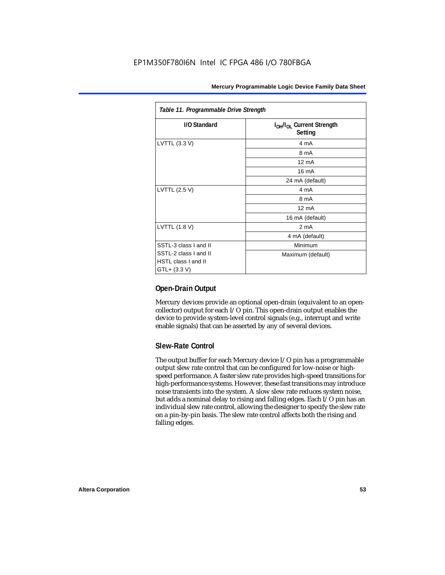| Table 11. Programmable Drive Strength               |                                                              |  |  |
|-----------------------------------------------------|--------------------------------------------------------------|--|--|
| I/O Standard                                        | I <sub>OH</sub> /I <sub>OL</sub> Current Strength<br>Setting |  |  |
| LVTTL (3.3 V)                                       | 4 mA                                                         |  |  |
|                                                     | 8 mA                                                         |  |  |
|                                                     | $12 \text{ mA}$                                              |  |  |
|                                                     | $16 \text{ mA}$                                              |  |  |
|                                                     | 24 mA (default)                                              |  |  |
| LVTTL (2.5 V)                                       | 4 mA                                                         |  |  |
|                                                     | 8 mA                                                         |  |  |
|                                                     | $12 \text{ mA}$                                              |  |  |
|                                                     | 16 mA (default)                                              |  |  |
| LVTTL (1.8 V)                                       | 2 <sub>m</sub> A                                             |  |  |
|                                                     | 4 mA (default)                                               |  |  |
| SSTL-3 class I and II                               | Minimum                                                      |  |  |
| SSTL-2 class I and II<br><b>HSTL class I and II</b> | Maximum (default)                                            |  |  |
| GTL+ (3.3 V)                                        |                                                              |  |  |

### **Open-Drain Output**

Mercury devices provide an optional open-drain (equivalent to an opencollector) output for each I/O pin. This open-drain output enables the device to provide system-level control signals (e.g., interrupt and write enable signals) that can be asserted by any of several devices.

### **Slew-Rate Control**

The output buffer for each Mercury device I/O pin has a programmable output slew rate control that can be configured for low-noise or highspeed performance. A faster slew rate provides high-speed transitions for high-performance systems. However, these fast transitions may introduce noise transients into the system. A slow slew rate reduces system noise, but adds a nominal delay to rising and falling edges. Each I/O pin has an individual slew rate control, allowing the designer to specify the slew rate on a pin-by-pin basis. The slew rate control affects both the rising and falling edges.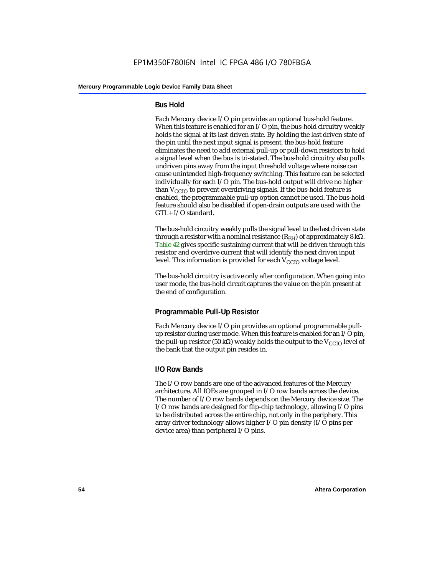### **Bus Hold**

Each Mercury device I/O pin provides an optional bus-hold feature. When this feature is enabled for an I/O pin, the bus-hold circuitry weakly holds the signal at its last driven state. By holding the last driven state of the pin until the next input signal is present, the bus-hold feature eliminates the need to add external pull-up or pull-down resistors to hold a signal level when the bus is tri-stated. The bus-hold circuitry also pulls undriven pins away from the input threshold voltage where noise can cause unintended high-frequency switching. This feature can be selected individually for each I/O pin. The bus-hold output will drive no higher than  $V_{CCIO}$  to prevent overdriving signals. If the bus-hold feature is enabled, the programmable pull-up option cannot be used. The bus-hold feature should also be disabled if open-drain outputs are used with the GTL+ I/O standard.

The bus-hold circuitry weakly pulls the signal level to the last driven state through a resistor with a nominal resistance  $(R_{BH})$  of approximately 8 kΩ. Table 42 gives specific sustaining current that will be driven through this resistor and overdrive current that will identify the next driven input level. This information is provided for each  $V_{CCIO}$  voltage level.

The bus-hold circuitry is active only after configuration. When going into user mode, the bus-hold circuit captures the value on the pin present at the end of configuration.

### **Programmable Pull-Up Resistor**

Each Mercury device I/O pin provides an optional programmable pullup resistor during user mode. When this feature is enabled for an I/O pin, the pull-up resistor (50 kΩ) weakly holds the output to the  $V_{CCIO}$  level of the bank that the output pin resides in.

### **I/O Row Bands**

The I/O row bands are one of the advanced features of the Mercury architecture. All IOEs are grouped in I/O row bands across the device. The number of I/O row bands depends on the Mercury device size. The I/O row bands are designed for flip-chip technology, allowing I/O pins to be distributed across the entire chip, not only in the periphery. This array driver technology allows higher I/O pin density (I/O pins per device area) than peripheral I/O pins.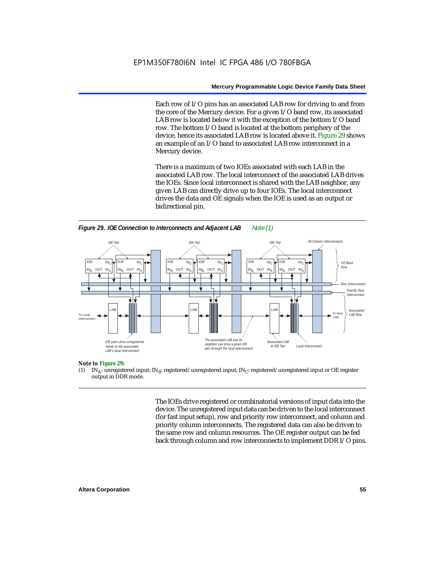Each row of I/O pins has an associated LAB row for driving to and from the core of the Mercury device. For a given I/O band row, its associated LAB row is located below it with the exception of the bottom I/O band row. The bottom I/O band is located at the bottom periphery of the device, hence its associated LAB row is located above it. Figure 29 shows an example of an I/O band to associated LAB row interconnect in a Mercury device.

There is a maximum of two IOEs associated with each LAB in the associated LAB row. The local interconnect of the associated LAB drives the IOEs. Since local interconnect is shared with the LAB neighbor, any given LAB can directly drive up to four IOEs. The local interconnect drives the data and OE signals when the IOE is used as an output or bidirectional pin.





#### *Note to Figure 29:*

(1) IN<sub>A</sub>: unregistered input; IN<sub>B</sub>: registered/unregistered input; IN<sub>C</sub>: registered/unregistered input or OE register output in DDR mode.

> The IOEs drive registered or combinatorial versions of input data into the device. The unregistered input data can be driven to the local interconnect (for fast input setup), row and priority row interconnect, and column and priority column interconnects. The registered data can also be driven to the same row and column resources. The OE register output can be fed back through column and row interconnects to implement DDR I/O pins.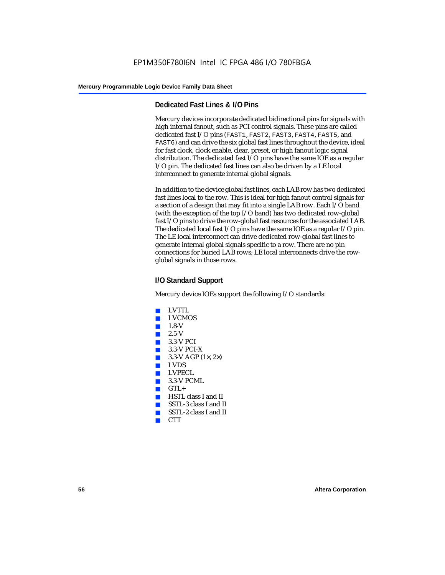### **Dedicated Fast Lines & I/O Pins**

Mercury devices incorporate dedicated bidirectional pins for signals with high internal fanout, such as PCI control signals. These pins are called dedicated fast I/O pins (FAST1, FAST2, FAST3, FAST4, FAST5, and FAST6) and can drive the six global fast lines throughout the device, ideal for fast clock, clock enable, clear, preset, or high fanout logic signal distribution. The dedicated fast I/O pins have the same IOE as a regular I/O pin. The dedicated fast lines can also be driven by a LE local interconnect to generate internal global signals.

In addition to the device global fast lines, each LAB row has two dedicated fast lines local to the row. This is ideal for high fanout control signals for a section of a design that may fit into a single LAB row. Each I/O band (with the exception of the top I/O band) has two dedicated row-global fast I/O pins to drive the row-global fast resources for the associated LAB. The dedicated local fast I/O pins have the same IOE as a regular I/O pin. The LE local interconnect can drive dedicated row-global fast lines to generate internal global signals specific to a row. There are no pin connections for buried LAB rows; LE local interconnects drive the rowglobal signals in those rows.

### **I/O Standard Support**

Mercury device IOEs support the following I/O standards:

- LVTTL
- **LVCMOS**
- $1.8-V$
- 2.5-V
- 3.3-V PCI
- $\blacksquare$  3.3-V PCI-X
- $3.3-V$  AGP (1 $\times$ , 2 $\times$ )
- LVDS
- LVPECL
- $\blacksquare$  3.3-V PCML
- $GTL +$
- HSTL class I and II
- SSTL-3 class I and II
- SSTL-2 class I and II
- CTT<sub></sub>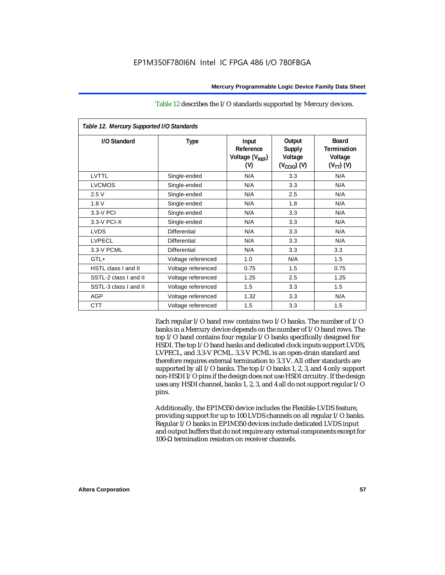| Table 12. Mercury Supported I/O Standards |                     |                                                          |                                                               |                                                                 |  |
|-------------------------------------------|---------------------|----------------------------------------------------------|---------------------------------------------------------------|-----------------------------------------------------------------|--|
| I/O Standard                              | <b>Type</b>         | Input<br>Reference<br>Voltage (V <sub>REF</sub> )<br>(V) | Output<br><b>Supply</b><br>Voltage<br>$(V_{\text{CCIO}})$ (V) | <b>Board</b><br><b>Termination</b><br>Voltage<br>$(V_{TT})$ (V) |  |
| LVTTL                                     | Single-ended        | N/A                                                      | 3.3                                                           | N/A                                                             |  |
| <b>LVCMOS</b>                             | Single-ended        | N/A                                                      | 3.3                                                           | N/A                                                             |  |
| 2.5V                                      | Single-ended        | N/A                                                      | 2.5                                                           | N/A                                                             |  |
| 1.8V                                      | Single-ended        | N/A                                                      | 1.8                                                           | N/A                                                             |  |
| 3.3-V PCI                                 | Single-ended        | N/A                                                      | 3.3                                                           | N/A                                                             |  |
| 3.3-V PCI-X                               | Single-ended        | N/A                                                      | 3.3                                                           | N/A                                                             |  |
| <b>LVDS</b>                               | <b>Differential</b> | N/A                                                      | 3.3                                                           | N/A                                                             |  |
| <b>LVPECL</b>                             | Differential        | N/A                                                      | 3.3                                                           | N/A                                                             |  |
| 3.3-V PCML                                | <b>Differential</b> | N/A                                                      | 3.3                                                           | 3.3                                                             |  |
| GTL+                                      | Voltage referenced  | 1.0                                                      | N/A                                                           | 1.5                                                             |  |
| <b>HSTL class I and II</b>                | Voltage referenced  | 0.75                                                     | 1.5                                                           | 0.75                                                            |  |
| SSTL-2 class I and II                     | Voltage referenced  | 1.25                                                     | 2.5                                                           | 1.25                                                            |  |
| SSTL-3 class I and II                     | Voltage referenced  | 1.5                                                      | 3.3                                                           | 1.5                                                             |  |
| <b>AGP</b>                                | Voltage referenced  | 1.32                                                     | 3.3                                                           | N/A                                                             |  |
| <b>CTT</b>                                | Voltage referenced  | 1.5                                                      | 3.3                                                           | 1.5                                                             |  |

### Table 12 describes the I/O standards supported by Mercury devices.

Each regular I/O band row contains two I/O banks. The number of I/O banks in a Mercury device depends on the number of I/O band rows. The top I/O band contains four regular I/O banks specifically designed for HSDI. The top I/O band banks and dedicated clock inputs support LVDS, LVPECL, and 3.3-V PCML. 3.3-V PCML is an open-drain standard and therefore requires external termination to 3.3 V. All other standards are supported by all I/O banks. The top I/O banks 1, 2, 3, and 4 only support non-HSDI I/O pins if the design does not use HSDI circuitry. If the design uses any HSDI channel, banks 1, 2, 3, and 4 all do not support regular I/O pins.

Additionally, the EP1M350 device includes the Flexible-LVDS feature, providing support for up to 100 LVDS channels on all regular I/O banks. Regular I/O banks in EP1M350 devices include dedicated LVDS input and output buffers that do not require any external components except for 100-Ω termination resistors on receiver channels.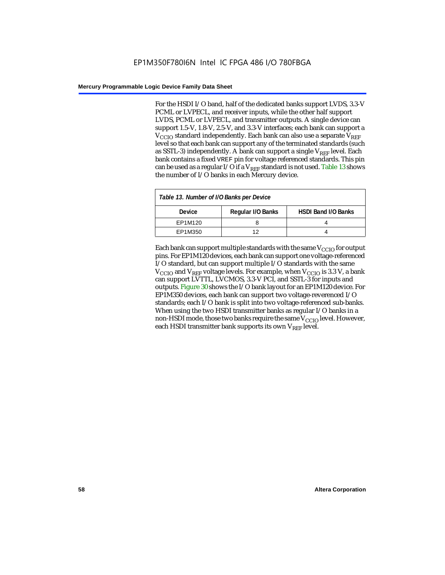For the HSDI I/O band, half of the dedicated banks support LVDS, 3.3-V PCML or LVPECL, and receiver inputs, while the other half support LVDS, PCML or LVPECL, and transmitter outputs. A single device can support 1.5-V, 1.8-V, 2.5-V, and 3.3-V interfaces; each bank can support a  $V_{\text{CCIO}}$  standard independently. Each bank can also use a separate  $V_{\text{RFE}}$ level so that each bank can support any of the terminated standards (such as SSTL-3) independently. A bank can support a single  $V_{REF}$  level. Each bank contains a fixed VREF pin for voltage referenced standards. This pin can be used as a regular I/O if a  $V_{REF}$  standard is not used. Table 13 shows the number of I/O banks in each Mercury device.

| Table 13. Number of I/O Banks per Device |                   |                            |  |  |
|------------------------------------------|-------------------|----------------------------|--|--|
| <b>Device</b>                            | Regular I/O Banks | <b>HSDI Band I/O Banks</b> |  |  |
| EP1M120                                  |                   |                            |  |  |
| EP1M350                                  | 1つ                |                            |  |  |

Each bank can support multiple standards with the same  $V_{\text{CCIO}}$  for output pins. For EP1M120 devices, each bank can support one voltage-referenced I/O standard, but can support multiple I/O standards with the same  $V_{\text{CCIO}}$  and  $V_{\text{REF}}$  voltage levels. For example, when  $V_{\text{CCIO}}$  is 3.3 V, a bank can support LVTTL, LVCMOS, 3.3-V PCI, and SSTL-3 for inputs and outputs. Figure 30 shows the I/O bank layout for an EP1M120 device. For EP1M350 devices, each bank can support two voltage-reverenced I/O standards; each I/O bank is split into two voltage-referenced sub-banks. When using the two HSDI transmitter banks as regular I/O banks in a non-HSDI mode, those two banks require the same  $V_{CCIO}$  level. However, each HSDI transmitter bank supports its own  $V_{REF}$  level.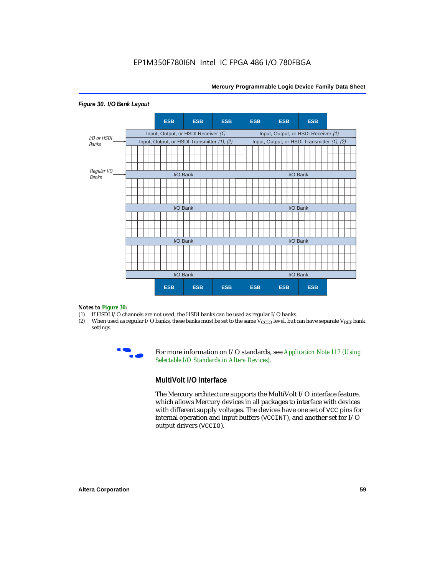

#### *Figure 30. I/O Bank Layout*

# *Notes to Figure 30:*<br>(1) If HSDI I/O ch

- (1) If HSDI I/O channels are not used, the HSDI banks can be used as regular I/O banks.<br>(2) When used as regular I/O banks, these banks must be set to the same  $V_{\text{CCIO}}$  level, but of
- When used as regular I/O banks, these banks must be set to the same  $V_{\text{CCIO}}$  level, but can have separate V<sub>REF</sub> bank settings.



**For more information on I/O standards, see Application Note 117 (Using** *Selectable I/O Standards in Altera Devices)*.

### **MultiVolt I/O Interface**

The Mercury architecture supports the MultiVolt I/O interface feature, which allows Mercury devices in all packages to interface with devices with different supply voltages. The devices have one set of VCC pins for internal operation and input buffers (VCCINT), and another set for I/O output drivers (VCCIO).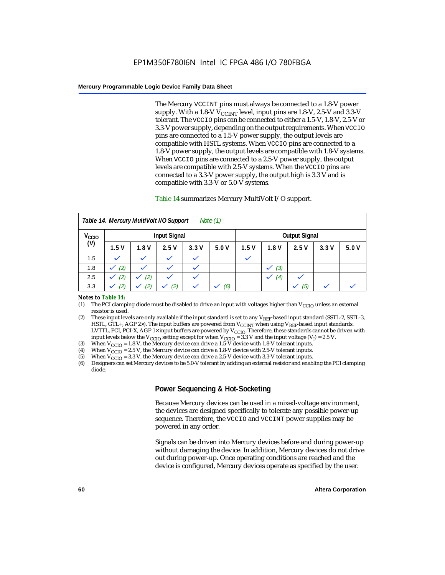The Mercury VCCINT pins must always be connected to a 1.8-V power supply. With a 1.8-V  $V_{\text{CCINT}}$  level, input pins are 1.8-V, 2.5-V and 3.3-V tolerant. The VCCIO pins can be connected to either a 1.5-V, 1.8-V, 2.5-V or 3.3-V power supply, depending on the output requirements. When VCCIO pins are connected to a 1.5-V power supply, the output levels are compatible with HSTL systems. When VCCIO pins are connected to a 1.8-V power supply, the output levels are compatible with 1.8-V systems. When VCCIO pins are connected to a 2.5-V power supply, the output levels are compatible with 2.5-V systems. When the VCCIO pins are connected to a 3.3-V power supply, the output high is 3.3 V and is compatible with 3.3-V or 5.0-V systems.

### Table 14 summarizes Mercury MultiVolt I/O support.

| Note $(1)$<br>Table 14. Mercury MultiVolt I/O Support |                     |      |              |              |      |      |      |                      |      |      |
|-------------------------------------------------------|---------------------|------|--------------|--------------|------|------|------|----------------------|------|------|
| V <sub>CCIO</sub>                                     | <b>Input Signal</b> |      |              |              |      |      |      | <b>Output Signal</b> |      |      |
| (V)                                                   | 1.5V                | 1.8V | 2.5V         | 3.3V         | 5.0V | 1.5V | 1.8V | 2.5V                 | 3.3V | 5.0V |
| 1.5                                                   |                     |      |              |              |      |      |      |                      |      |      |
| 1.8                                                   | (2)                 |      |              |              |      |      | (3)  |                      |      |      |
| 2.5                                                   | (2)                 | (2)  | $\checkmark$ | $\checkmark$ |      |      | (4)  |                      |      |      |
| 3.3                                                   | (2)                 | (2)  | (2)          |              | (6)  |      |      | (5)                  |      |      |

#### *Notes to Table 14:*

- (1) The PCI clamping diode must be disabled to drive an input with voltages higher than  $V_{CCIO}$  unless an external resistor is used.
- (2) These input levels are only available if the input standard is set to any  $V_{REF}$ -based input standard (SSTL-2, SSTL-3, HSTL, GTL+, AGP 2×). The input buffers are powered from  $V_{CCTNT}$  when using  $V_{REF}$ -based input standards. LVTTL, PCI, PCI-X, AGP 1× input buffers are powered by V<sub>CCIO</sub>. Therefore, these standards cannot be driven with input levels below the V<sub>CCIO</sub> setting except for when V<sub>CCIO</sub> = 3.3 V and the input voltage (V<sub>I</sub>) = 2.5 V.
- (3) When  $V_{\text{CCIO}} = 1.8 \text{ V}$ , the Mercury device can drive a 1.5-V device with 1.8-V tolerant inputs.
- (4) When  $V_{\text{CCIO}} = 2.5$  V, the Mercury device can drive a 1.8-V device with 2.5-V tolerant inputs.
- (5) When  $V_{\text{CCIO}} = 3.3$  V, the Mercury device can drive a 2.5-V device with 3.3-V tolerant inputs.<br>(6) Designers can set Mercury devices to be 5.0-V tolerant by adding an external resistor and enab
- (6) Designers can set Mercury devices to be 5.0-V tolerant by adding an external resistor and enabling the PCI clamping diode.

### **Power Sequencing & Hot-Socketing**

Because Mercury devices can be used in a mixed-voltage environment, the devices are designed specifically to tolerate any possible power-up sequence. Therefore, the VCCIO and VCCINT power supplies may be powered in any order.

Signals can be driven into Mercury devices before and during power-up without damaging the device. In addition, Mercury devices do not drive out during power-up. Once operating conditions are reached and the device is configured, Mercury devices operate as specified by the user.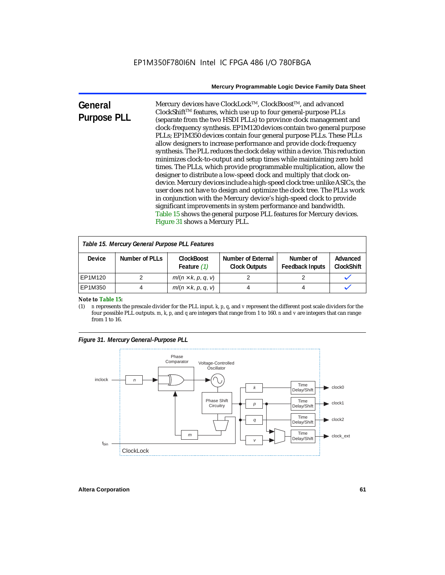| General            | Mercury devices have ClockLock™, ClockBoost™, and advanced                 |
|--------------------|----------------------------------------------------------------------------|
|                    | ClockShift™ features, which use up to four general-purpose PLLs            |
| <b>Purpose PLL</b> | (separate from the two HSDI PLLs) to province clock management and         |
|                    | clock-frequency synthesis. EP1M120 devices contain two general purpose     |
|                    | PLLs; EP1M350 devices contain four general purpose PLLs. These PLLs        |
|                    | allow designers to increase performance and provide clock-frequency        |
|                    | synthesis. The PLL reduces the clock delay within a device. This reduction |
|                    | minimizes clock-to-output and setup times while maintaining zero hold      |
|                    | times. The PLLs, which provide programmable multiplication, allow the      |
|                    | designer to distribute a low-speed clock and multiply that clock on-       |
|                    | device. Mercury devices include a high-speed clock tree: unlike ASICs, the |
|                    | user does not have to design and optimize the clock tree. The PLLs work    |
|                    | in conjunction with the Mercury device's high-speed clock to provide       |
|                    | significant improvements in system performance and bandwidth.              |
|                    | Table 15 shows the general purpose PLL features for Mercury devices.       |
|                    | Figure 31 shows a Mercury PLL.                                             |

| Table 15. Mercury General Purpose PLL Features |                |                                    |                                            |                                     |                               |  |
|------------------------------------------------|----------------|------------------------------------|--------------------------------------------|-------------------------------------|-------------------------------|--|
| <b>Device</b>                                  | Number of PLLs | <b>ClockBoost</b><br>Feature $(1)$ | Number of External<br><b>Clock Outputs</b> | Number of<br><b>Feedback Inputs</b> | Advanced<br><b>ClockShift</b> |  |
| EP1M120                                        |                | $m/(n \times k, p, q, v)$          |                                            |                                     |                               |  |
| EP1M350                                        |                | $m/(n \times k, p, q, v)$          |                                            |                                     |                               |  |

*Note to Table 15:*<br>(1) *n* represents t

(1) *n* represents the prescale divider for the PLL input. *k*, *p*, *q*, and *v* represent the different post scale dividers for the four possible PLL outputs. *m*, *k*, *p*, and *q* are integers that range from 1 to 160. *n* and *v* are integers that can range from 1 to 16.

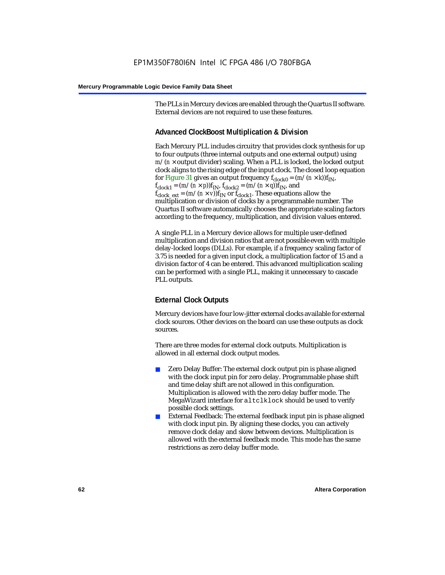The PLLs in Mercury devices are enabled through the Quartus II software. External devices are not required to use these features.

### **Advanced ClockBoost Multiplication & Division**

Each Mercury PLL includes circuitry that provides clock synthesis for up to four outputs (three internal outputs and one external output) using  $m/(n \times$  output divider) scaling. When a PLL is locked, the locked output clock aligns to the rising edge of the input clock. The closed loop equation for Figure 31 gives an output frequency  $f_{clock0} = (m/(n \times k)) f_{IN}$ ,  $f_{clock1} = (m/(n \times p))f_{IN}$ ,  $f_{clock2} = (m/(n \times q))f_{IN}$ , and  $f_{clock\_ext} = (m/(n \times v))f_{IN}$  or  $f_{clock1}$ . These equations allow the multiplication or division of clocks by a programmable number. The Quartus II software automatically chooses the appropriate scaling factors according to the frequency, multiplication, and division values entered.

A single PLL in a Mercury device allows for multiple user-defined multiplication and division ratios that are not possible even with multiple delay-locked loops (DLLs). For example, if a frequency scaling factor of 3.75 is needed for a given input clock, a multiplication factor of 15 and a division factor of 4 can be entered. This advanced multiplication scaling can be performed with a single PLL, making it unnecessary to cascade PLL outputs.

### **External Clock Outputs**

Mercury devices have four low-jitter external clocks available for external clock sources. Other devices on the board can use these outputs as clock sources.

There are three modes for external clock outputs. Multiplication is allowed in all external clock output modes.

- Zero Delay Buffer: The external clock output pin is phase aligned with the clock input pin for zero delay. Programmable phase shift and time delay shift are not allowed in this configuration. Multiplication is allowed with the zero delay buffer mode. The MegaWizard interface for altclklock should be used to verify possible clock settings.
- External Feedback: The external feedback input pin is phase aligned with clock input pin. By aligning these clocks, you can actively remove clock delay and skew between devices. Multiplication is allowed with the external feedback mode. This mode has the same restrictions as zero delay buffer mode.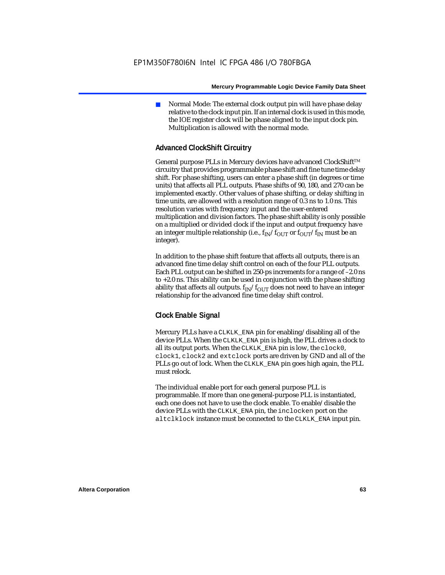Normal Mode: The external clock output pin will have phase delay relative to the clock input pin. If an internal clock is used in this mode, the IOE register clock will be phase aligned to the input clock pin. Multiplication is allowed with the normal mode.

### **Advanced ClockShift Circuitry**

General purpose PLLs in Mercury devices have advanced ClockShift™ circuitry that provides programmable phase shift and fine tune time delay shift. For phase shifting, users can enter a phase shift (in degrees or time units) that affects all PLL outputs. Phase shifts of 90, 180, and 270 can be implemented exactly. Other values of phase shifting, or delay shifting in time units, are allowed with a resolution range of 0.3 ns to 1.0 ns. This resolution varies with frequency input and the user-entered multiplication and division factors. The phase shift ability is only possible on a multiplied or divided clock if the input and output frequency have an integer multiple relationship (i.e.,  $f_{IN}/f_{OUT}$  or  $f_{OUT}/f_{IN}$  must be an integer).

In addition to the phase shift feature that affects all outputs, there is an advanced fine time delay shift control on each of the four PLL outputs. Each PLL output can be shifted in 250-ps increments for a range of –2.0 ns to +2.0 ns. This ability can be used in conjunction with the phase shifting ability that affects all outputs.  $f_{IN}/f_{OIII}$  does not need to have an integer relationship for the advanced fine time delay shift control.

### **Clock Enable Signal**

Mercury PLLs have a CLKLK\_ENA pin for enabling/disabling all of the device PLLs. When the CLKLK\_ENA pin is high, the PLL drives a clock to all its output ports. When the CLKLK\_ENA pin is low, the clock0, clock1, clock2 and extclock ports are driven by GND and all of the PLLs go out of lock. When the CLKLK ENA pin goes high again, the PLL must relock.

The individual enable port for each general purpose PLL is programmable. If more than one general-purpose PLL is instantiated, each one does not have to use the clock enable. To enable/disable the device PLLs with the CLKLK\_ENA pin, the inclocken port on the altclklock instance must be connected to the CLKLK\_ENA input pin.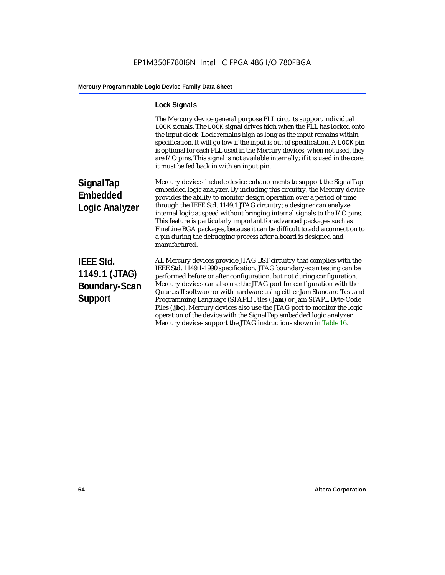## **Lock Signals**

|                                                                             | The Mercury device general purpose PLL circuits support individual<br>LOCK signals. The LOCK signal drives high when the PLL has locked onto<br>the input clock. Lock remains high as long as the input remains within<br>specification. It will go low if the input is out of specification. A LOCK pin<br>is optional for each PLL used in the Mercury devices; when not used, they<br>are I/O pins. This signal is not available internally; if it is used in the core,<br>it must be fed back in with an input pin.                                                                                                                                                   |
|-----------------------------------------------------------------------------|---------------------------------------------------------------------------------------------------------------------------------------------------------------------------------------------------------------------------------------------------------------------------------------------------------------------------------------------------------------------------------------------------------------------------------------------------------------------------------------------------------------------------------------------------------------------------------------------------------------------------------------------------------------------------|
| <b>SignalTap</b><br><b>Embedded</b><br><b>Logic Analyzer</b>                | Mercury devices include device enhancements to support the SignalTap<br>embedded logic analyzer. By including this circuitry, the Mercury device<br>provides the ability to monitor design operation over a period of time<br>through the IEEE Std. 1149.1 JTAG circuitry; a designer can analyze<br>internal logic at speed without bringing internal signals to the I/O pins.<br>This feature is particularly important for advanced packages such as<br>FineLine BGA packages, because it can be difficult to add a connection to<br>a pin during the debugging process after a board is designed and<br>manufactured.                                                 |
| <b>IEEE Std.</b><br>1149.1 (JTAG)<br><b>Boundary-Scan</b><br><b>Support</b> | All Mercury devices provide JTAG BST circuitry that complies with the<br>IEEE Std. 1149.1-1990 specification. JTAG boundary-scan testing can be<br>performed before or after configuration, but not during configuration.<br>Mercury devices can also use the JTAG port for configuration with the<br>Quartus II software or with hardware using either Jam Standard Test and<br>Programming Language (STAPL) Files (.jam) or Jam STAPL Byte-Code<br>Files (.jbc). Mercury devices also use the JTAG port to monitor the logic<br>operation of the device with the SignalTap embedded logic analyzer.<br>Mercury devices support the JTAG instructions shown in Table 16. |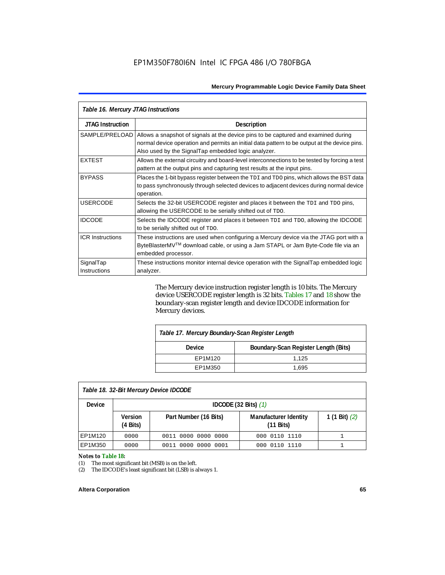| Table 16. Mercury JTAG Instructions |                                                                                                                                                                                                                                           |  |  |
|-------------------------------------|-------------------------------------------------------------------------------------------------------------------------------------------------------------------------------------------------------------------------------------------|--|--|
| <b>JTAG Instruction</b>             | <b>Description</b>                                                                                                                                                                                                                        |  |  |
| SAMPLE/PRELOAD                      | Allows a snapshot of signals at the device pins to be captured and examined during<br>normal device operation and permits an initial data pattern to be output at the device pins.<br>Also used by the SignalTap embedded logic analyzer. |  |  |
| <b>EXTEST</b>                       | Allows the external circuitry and board-level interconnections to be tested by forcing a test<br>pattern at the output pins and capturing test results at the input pins.                                                                 |  |  |
| <b>BYPASS</b>                       | Places the 1-bit bypass register between the TDI and TDO pins, which allows the BST data<br>to pass synchronously through selected devices to adjacent devices during normal device<br>operation.                                         |  |  |
| <b>USERCODE</b>                     | Selects the 32-bit USERCODE register and places it between the TDI and TDO pins,<br>allowing the USERCODE to be serially shifted out of TDO.                                                                                              |  |  |
| <b>IDCODE</b>                       | Selects the IDCODE register and places it between TDI and TDO, allowing the IDCODE<br>to be serially shifted out of TDO.                                                                                                                  |  |  |
| <b>ICR Instructions</b>             | These instructions are used when configuring a Mercury device via the JTAG port with a<br>ByteBlasterMV™ download cable, or using a Jam STAPL or Jam Byte-Code file via an<br>embedded processor.                                         |  |  |
| SignalTap<br>Instructions           | These instructions monitor internal device operation with the SignalTap embedded logic<br>analyzer.                                                                                                                                       |  |  |

The Mercury device instruction register length is 10 bits. The Mercury device USERCODE register length is 32 bits. Tables 17 and 18 show the boundary-scan register length and device IDCODE information for Mercury devices.

| Table 17. Mercury Boundary-Scan Register Length |                                      |  |  |
|-------------------------------------------------|--------------------------------------|--|--|
| <b>Device</b>                                   | Boundary-Scan Register Length (Bits) |  |  |
| EP1M120                                         | 1.125                                |  |  |
| EP1M350                                         | 1.695                                |  |  |
|                                                 |                                      |  |  |

### *Table 18. 32-Bit Mercury Device IDCODE*

| <b>Device</b> | IDCODE $(32 \text{ Bits})$ $(1)$     |                       |                                                     |                 |  |  |
|---------------|--------------------------------------|-----------------------|-----------------------------------------------------|-----------------|--|--|
|               | <b>Version</b><br>$(4 \text{ Bits})$ | Part Number (16 Bits) | <b>Manufacturer Identity</b><br>$(11 \text{ bits})$ | 1 (1 Bit) $(2)$ |  |  |
| EP1M120       | 0000                                 | 0011 0000 0000 0000   | 000 0110 1110                                       |                 |  |  |
| EP1M350       | 0000                                 | 0011 0000 0000 0001   | 000 0110 1110                                       |                 |  |  |

#### *Notes to Table 18:*

(1) The most significant bit (MSB) is on the left.

(2) The IDCODE's least significant bit (LSB) is always 1.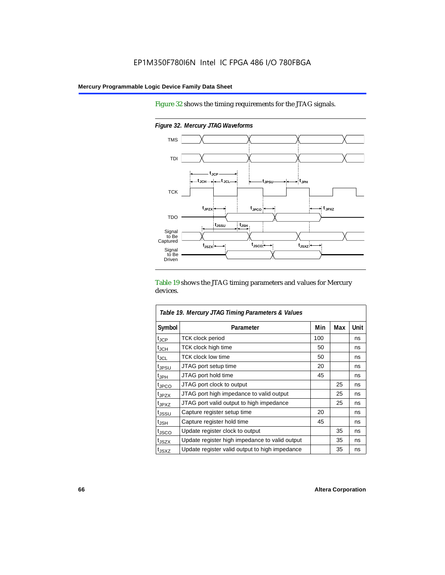TDO

Signal<br>to Be<br>Captured

Signal to Be Driven

TCK

Figure 32 shows the timing requirements for the JTAG signals.



 $t_{JPZX}$  **t**<sub>JPCO</sub>

**tJSSU tJSH**

*Figure 32. Mercury JTAG Waveforms*

**tJSZX**

Table 19 shows the JTAG timing parameters and values for Mercury devices.

**t**<sub>JSCO</sub> **t**<sub>JSXZ</sub>

| Table 19. Mercury JTAG Timing Parameters & Values |                                                |     |     |      |  |
|---------------------------------------------------|------------------------------------------------|-----|-----|------|--|
| Symbol                                            | Parameter                                      | Min | Max | Unit |  |
| $t_{JCP}$                                         | <b>TCK clock period</b>                        | 100 |     | ns   |  |
| $\mathfrak{t}_{\mathsf{JCH}}$                     | <b>TCK clock high time</b>                     | 50  |     | ns   |  |
| tjcl                                              | <b>TCK clock low time</b>                      | 50  |     | ns   |  |
| t <sub>JPSU</sub>                                 | JTAG port setup time                           | 20  |     | ns   |  |
| t <sub>JPH</sub>                                  | JTAG port hold time                            | 45  |     | ns   |  |
| <sup>t</sup> JPCO                                 | JTAG port clock to output                      |     | 25  | ns   |  |
| t <sub>JPZX</sub>                                 | JTAG port high impedance to valid output       |     | 25  | ns   |  |
| tjpxz                                             | JTAG port valid output to high impedance       |     | 25  | ns   |  |
| tjssu                                             | Capture register setup time                    | 20  |     | ns   |  |
| $t_{\mathsf{JSH}}$                                | Capture register hold time                     | 45  |     | ns   |  |
| tjsco                                             | Update register clock to output                |     | 35  | ns   |  |
| t <sub>JSZX</sub>                                 | Update register high impedance to valid output |     | 35  | ns   |  |
| t <sub>JSXZ</sub>                                 | Update register valid output to high impedance |     | 35  | ns   |  |

**t JPXZ**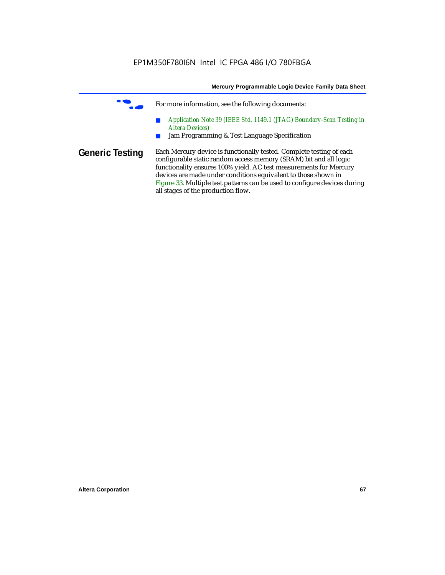|                        | Mercury Programmable Logic Device Family Data Sheet                                                                                                                                                             |
|------------------------|-----------------------------------------------------------------------------------------------------------------------------------------------------------------------------------------------------------------|
|                        | For more information, see the following documents:                                                                                                                                                              |
|                        | Application Note 39 (IEEE Std. 1149.1 (JTAG) Boundary-Scan Testing in<br><b>Altera Devices</b> )<br>Jam Programming & Test Language Specification                                                               |
| <b>Generic Testing</b> | Each Mercury device is functionally tested. Complete testing of each<br>configurable static random access memory (SRAM) bit and all logic<br>functionality ensures 100% yield. AC test measurements for Mercury |
|                        | devices are made under conditions equivalent to those shown in<br>Figure 33. Multiple test patterns can be used to configure devices during<br>all stages of the production flow.                               |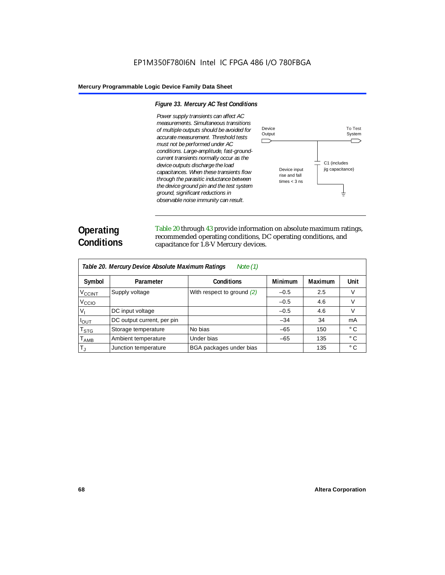#### *Figure 33. Mercury AC Test Conditions*

*Power supply transients can affect AC measurements. Simultaneous transitions of multiple outputs should be avoided for accurate measurement. Threshold tests must not be performed under AC conditions. Large-amplitude, fast-groundcurrent transients normally occur as the device outputs discharge the load capacitances. When these transients flow through the parasitic inductance between the device ground pin and the test system ground, significant reductions in observable noise immunity can result.*



# **Operating Conditions**

Table 20 through 43 provide information on absolute maximum ratings, recommended operating conditions, DC operating conditions, and capacitance for 1.8-V Mercury devices.

| Table 20. Mercury Device Absolute Maximum Ratings<br>Note $(1)$ |                            |                              |                |                |              |  |
|-----------------------------------------------------------------|----------------------------|------------------------------|----------------|----------------|--------------|--|
| Symbol                                                          | Parameter                  | <b>Conditions</b>            | <b>Minimum</b> | <b>Maximum</b> | Unit         |  |
| <b>V<sub>CCINT</sub></b>                                        | Supply voltage             | With respect to ground $(2)$ | $-0.5$         | 2.5            | V            |  |
| V <sub>CCIO</sub>                                               |                            |                              | $-0.5$         | 4.6            | V            |  |
| $V_{I}$                                                         | DC input voltage           |                              | $-0.5$         | 4.6            | V            |  |
| <b>I</b> OUT                                                    | DC output current, per pin |                              | $-34$          | 34             | mA           |  |
| $\mathsf{T}_{\textsf{STG}}$                                     | Storage temperature        | No bias                      | $-65$          | 150            | $^{\circ}$ C |  |
| $\mathsf{T}_{\mathsf{AMB}}$                                     | Ambient temperature        | Under bias                   | $-65$          | 135            | $^{\circ}$ C |  |
| T,                                                              | Junction temperature       | BGA packages under bias      |                | 135            | $^{\circ}$ C |  |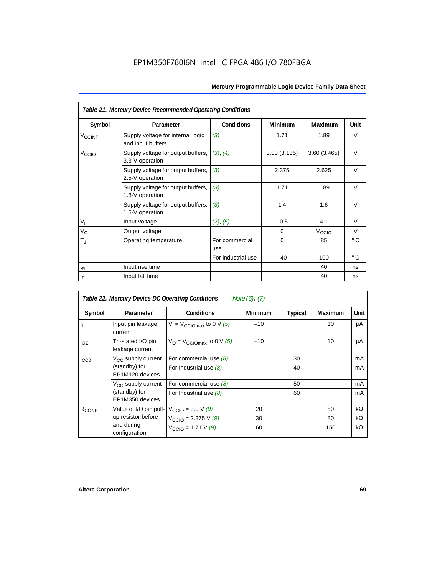| Table 21. Mercury Device Recommended Operating Conditions |                                                        |                       |                |                   |              |  |
|-----------------------------------------------------------|--------------------------------------------------------|-----------------------|----------------|-------------------|--------------|--|
| Symbol                                                    | Parameter                                              | <b>Conditions</b>     | <b>Minimum</b> | Maximum           | Unit         |  |
| <b>V<sub>CCINT</sub></b>                                  | Supply voltage for internal logic<br>and input buffers | (3)                   | 1.71           | 1.89              | V            |  |
| V <sub>CCIO</sub>                                         | Supply voltage for output buffers,<br>3.3-V operation  | (3), (4)              | 3.00(3.135)    | 3.60(3.465)       | $\vee$       |  |
|                                                           | Supply voltage for output buffers,<br>2.5-V operation  | (3)                   | 2.375          | 2.625             | $\vee$       |  |
|                                                           | Supply voltage for output buffers,<br>1.8-V operation  | (3)                   | 1.71           | 1.89              | V            |  |
|                                                           | Supply voltage for output buffers,<br>1.5-V operation  | (3)                   | 1.4            | 1.6               | $\vee$       |  |
| $\mathsf{V}_{\mathsf{I}}$                                 | Input voltage                                          | (2), (5)              | $-0.5$         | 4.1               | V            |  |
| $V_{\rm O}$                                               | Output voltage                                         |                       | $\Omega$       | V <sub>CCIO</sub> | V            |  |
| $\mathsf{T}_\mathrm{J}$                                   | Operating temperature                                  | For commercial<br>use | $\Omega$       | 85                | $^{\circ}$ C |  |
|                                                           |                                                        | For industrial use    | $-40$          | 100               | $^{\circ}$ C |  |
| $t_{\mathsf{R}}$                                          | Input rise time                                        |                       |                | 40                | ns           |  |
| $t_{\mathsf{F}}$                                          | Input fall time                                        |                       |                | 40                | ns           |  |

| Table 22. Mercury Device DC Operating Conditions<br>Note (6), (7) |                                                             |                                                |                |                |                |      |
|-------------------------------------------------------------------|-------------------------------------------------------------|------------------------------------------------|----------------|----------------|----------------|------|
| Symbol                                                            | Parameter                                                   | <b>Conditions</b>                              | <b>Minimum</b> | <b>Typical</b> | <b>Maximum</b> | Unit |
| ı,                                                                | Input pin leakage<br>current                                | $V_1 = V_{\text{CCIOmax}}$ to 0 V (5)          | $-10$          |                | 10             | μA   |
| $I_{OZ}$                                                          | Tri-stated I/O pin<br>leakage current                       | $V_{\Omega}$ = V <sub>CCIOmax</sub> to 0 V (5) | $-10$          |                | 10             | μA   |
| $I_{CC0}$                                                         | $V_{CC}$ supply current<br>(standby) for<br>EP1M120 devices | For commercial use $(8)$                       |                | 30             |                | mA   |
|                                                                   |                                                             | For Industrial use $(8)$                       |                | 40             |                | mA   |
|                                                                   | $V_{CC}$ supply current<br>(standby) for<br>EP1M350 devices | For commercial use $(8)$                       |                | 50             |                | mA   |
|                                                                   |                                                             | For Industrial use $(8)$                       |                | 60             |                | mA   |
| R <sub>CONF</sub>                                                 | Value of I/O pin pull-                                      | $V_{\text{CCIO}} = 3.0 V (9)$                  | 20             |                | 50             | kΩ   |
|                                                                   | up resistor before                                          | $V_{\text{CCIO}} = 2.375 \text{ V } (9)$       | 30             |                | 80             | kΩ   |
|                                                                   | and during<br>configuration                                 | $V_{\text{CCIO}} = 1.71 \text{ V } (9)$        | 60             |                | 150            | kΩ   |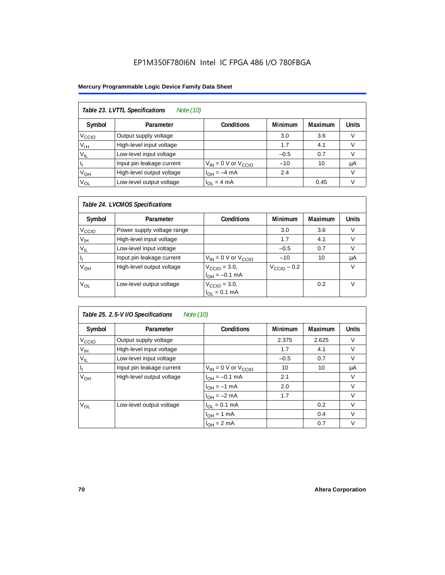### EP1M350F780I6N Intel IC FPGA 486 I/O 780FBGA

### **Mercury Programmable Logic Device Family Data Sheet**

| Table 23. LVTTL Specifications<br>Note (10) |                           |                              |                |                |              |  |  |
|---------------------------------------------|---------------------------|------------------------------|----------------|----------------|--------------|--|--|
| Symbol                                      | Parameter                 | <b>Conditions</b>            | <b>Minimum</b> | <b>Maximum</b> | <b>Units</b> |  |  |
| V <sub>CCIO</sub>                           | Output supply voltage     |                              | 3.0            | 3.6            | v            |  |  |
| Уιн                                         | High-level input voltage  |                              | 1.7            | 4.1            |              |  |  |
| $V_{IL}$                                    | Low-level input voltage   |                              | $-0.5$         | 0.7            |              |  |  |
|                                             | Input pin leakage current | $V_{IN} = 0$ V or $V_{CCIO}$ | $-10$          | 10             | μA           |  |  |
| V <sub>OH</sub>                             | High-level output voltage | $I_{OH} = -4$ mA             | 2.4            |                | V            |  |  |
| $V_{OL}$                                    | Low-level output voltage  | $I_{OL} = 4 mA$              |                | 0.45           |              |  |  |

### *Table 24. LVCMOS Specifications*

| Symbol            | Parameter                  | <b>Conditions</b>                                             | <b>Minimum</b>          | <b>Maximum</b> | <b>Units</b> |
|-------------------|----------------------------|---------------------------------------------------------------|-------------------------|----------------|--------------|
| V <sub>CCIO</sub> | Power supply voltage range |                                                               | 3.0                     | 3.6            | v            |
| ۷ін               | High-level input voltage   |                                                               | 1.7                     | 4.1            | V            |
| $V_{IL}$          | Low-level input voltage    |                                                               | $-0.5$                  | 0.7            | V            |
|                   | Input pin leakage current  | $V_{IN}$ = 0 V or $V_{C CIO}$                                 | $-10$                   | 10             | μA           |
| Ѵ <sub>он</sub>   | High-level output voltage  | $V_{\text{CCIO}} = 3.0,$<br>$I_{\text{OH}} = -0.1 \text{ mA}$ | $V_{\text{CCIO}} - 0.2$ |                | V            |
| $V_{OL}$          | Low-level output voltage   | $V_{\text{CCIO}} = 3.0,$<br>$I_{\text{OL}} = 0.1 \text{ mA}$  |                         | 0.2            |              |

### *Table 25. 2.5-V I/O Specifications Note (10)*

| Symbol            | Parameter                 | <b>Conditions</b>            | <b>Minimum</b> | <b>Maximum</b> | <b>Units</b> |
|-------------------|---------------------------|------------------------------|----------------|----------------|--------------|
| V <sub>ccio</sub> | Output supply voltage     |                              | 2.375          | 2.625          | V            |
| $V_{\text{IH}}$   | High-level input voltage  |                              | 1.7            | 4.1            | V            |
| $V_{IL}$          | Low-level input voltage   |                              | $-0.5$         | 0.7            | V            |
| J,                | Input pin leakage current | $V_{IN}$ = 0 V or $V_{CCIO}$ | 10             | 10             | μA           |
| V <sub>OH</sub>   | High-level output voltage | $I_{OH} = -0.1$ mA           | 2.1            |                | V            |
|                   |                           | $I_{OH} = -1$ mA             | 2.0            |                | $\vee$       |
|                   |                           | $I_{OH} = -2 mA$             | 1.7            |                | V            |
| $V_{OL}$          | Low-level output voltage  | $I_{OL} = 0.1$ mA            |                | 0.2            | V            |
|                   |                           | $I_{OH} = 1$ mA              |                | 0.4            | $\vee$       |
|                   |                           | $I_{OH} = 2 mA$              |                | 0.7            | V            |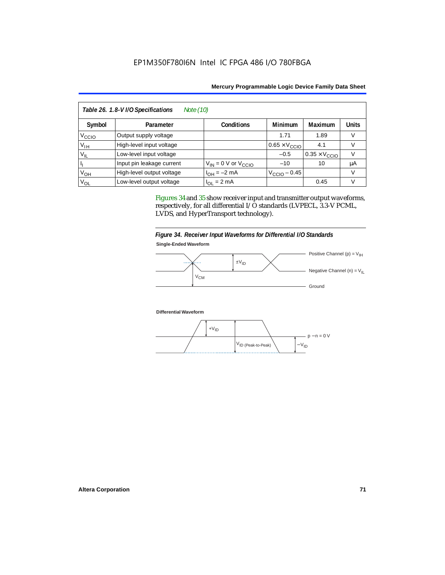| Table 26. 1.8-V I/O Specifications<br>Note (10) |                           |                              |                               |                               |              |  |  |
|-------------------------------------------------|---------------------------|------------------------------|-------------------------------|-------------------------------|--------------|--|--|
| Symbol                                          | Parameter                 | <b>Conditions</b>            | <b>Minimum</b>                | Maximum                       | <b>Units</b> |  |  |
| Vccio                                           | Output supply voltage     |                              | 1.71                          | 1.89                          |              |  |  |
| V <sub>IН</sub>                                 | High-level input voltage  |                              | $0.65 \times V_{\text{CCIO}}$ | 4.1                           |              |  |  |
| $V_{IL}$                                        | Low-level input voltage   |                              | $-0.5$                        | $0.35 \times V_{\text{CCIO}}$ |              |  |  |
|                                                 | Input pin leakage current | $V_{IN} = 0$ V or $V_{CCIO}$ | $-10$                         | 10                            | μA           |  |  |
| V <sub>OH</sub>                                 | High-level output voltage | $I_{OH} = -2$ mA             | $VCCIO - 0.45$                |                               |              |  |  |
| V <sub>OL</sub>                                 | Low-level output voltage  | $I_{OL} = 2 mA$              |                               | 0.45                          | v            |  |  |

Figures 34 and 35 show receiver input and transmitter output waveforms, respectively, for all differential I/O standards (LVPECL, 3.3-V PCML, LVDS, and HyperTransport technology).





**Differential Waveform**

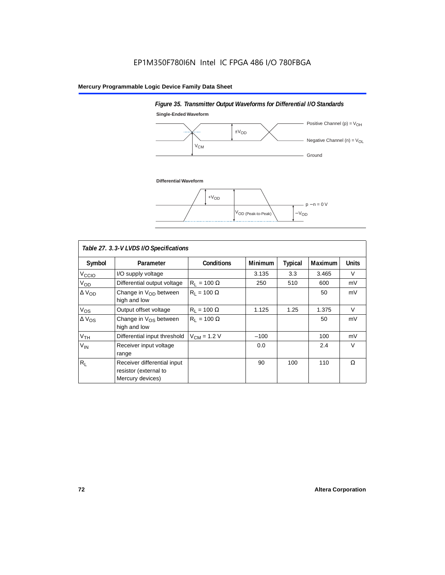# **Single-Ended Waveform** Positive Channel (p) =  $V_{OH}$  $\pm V_{OD}$ ... - Negative Channel (n) =  $V_{OL}$ **V<sub>CM</sub>** - Ground **Differential Waveform**  $+V<sub>OD</sub>$ p − n = 0 V  $V_{OD}$  (Peak-to-Peak)  $-V_{OD}$

*Figure 35. Transmitter Output Waveforms for Differential I/O Standards*

| Table 27. 3.3-V LVDS I/O Specifications |                                                                          |                    |                |         |                |              |  |  |
|-----------------------------------------|--------------------------------------------------------------------------|--------------------|----------------|---------|----------------|--------------|--|--|
| Symbol                                  | Parameter                                                                | <b>Conditions</b>  | <b>Minimum</b> | Typical | <b>Maximum</b> | <b>Units</b> |  |  |
| V <sub>ccio</sub>                       | I/O supply voltage                                                       |                    | 3.135          | 3.3     | 3.465          | $\vee$       |  |  |
| V <sub>OD</sub>                         | Differential output voltage                                              | $R_1 = 100 \Omega$ | 250            | 510     | 600            | mV           |  |  |
| $\Delta$ V <sub>OD</sub>                | Change in $V_{OD}$ between<br>high and low                               | $R_1 = 100 \Omega$ |                |         | 50             | mV           |  |  |
| $V_{OS}$                                | Output offset voltage                                                    | $R_1 = 100 \Omega$ | 1.125          | 1.25    | 1.375          | $\vee$       |  |  |
| $\Delta V_{OS}$                         | Change in $V_{OS}$ between<br>high and low                               | $R_1 = 100 \Omega$ |                |         | 50             | mV           |  |  |
| V <sub>TH</sub>                         | Differential input threshold                                             | $V_{CM}$ = 1.2 V   | $-100$         |         | 100            | mV           |  |  |
| $V_{IN}$                                | Receiver input voltage<br>range                                          |                    | 0.0            |         | 2.4            | $\vee$       |  |  |
| $R_{\rm L}$                             | Receiver differential input<br>resistor (external to<br>Mercury devices) |                    | 90             | 100     | 110            | Ω            |  |  |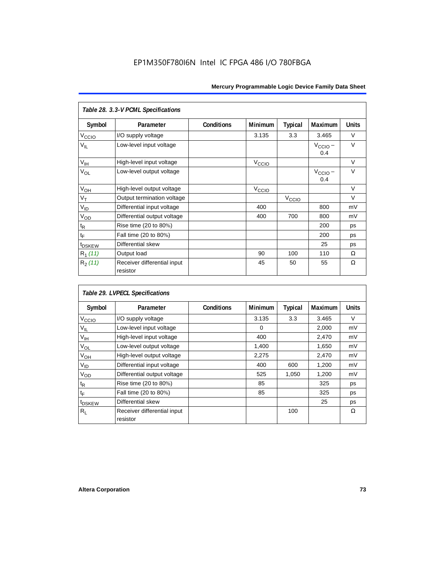| Table 28. 3.3-V PCML Specifications |                                         |                   |                               |                   |                            |              |  |
|-------------------------------------|-----------------------------------------|-------------------|-------------------------------|-------------------|----------------------------|--------------|--|
| Symbol                              | Parameter                               | <b>Conditions</b> | <b>Minimum</b>                | <b>Typical</b>    | Maximum                    | <b>Units</b> |  |
| V <sub>CCIO</sub>                   | I/O supply voltage                      |                   | 3.135                         | 3.3               | 3.465                      | V            |  |
| $V_{IL}$                            | Low-level input voltage                 |                   |                               |                   | $V_{\text{CCIO}}$ –<br>0.4 | $\vee$       |  |
| $V_{\text{IH}}$                     | High-level input voltage                |                   | V <sub>CCIO</sub>             |                   |                            | $\vee$       |  |
| VOL                                 | Low-level output voltage                |                   |                               |                   | $V_{\text{CCIO}}$ –<br>0.4 | $\vee$       |  |
| V <sub>OH</sub>                     | High-level output voltage               |                   | $V_{\text{CCI}\underline{O}}$ |                   |                            | $\vee$       |  |
| $V_T$                               | Output termination voltage              |                   |                               | V <sub>CCIO</sub> |                            | $\vee$       |  |
| $V_{ID}$                            | Differential input voltage              |                   | 400                           |                   | 800                        | mV           |  |
| $V_{OD}$                            | Differential output voltage             |                   | 400                           | 700               | 800                        | mV           |  |
| $\mathfrak{t}_{\mathsf{R}}$         | Rise time (20 to 80%)                   |                   |                               |                   | 200                        | ps           |  |
| $t_{\mathsf{F}}$                    | Fall time (20 to 80%)                   |                   |                               |                   | 200                        | ps           |  |
| t <sub>DSKEW</sub>                  | Differential skew                       |                   |                               |                   | 25                         | ps           |  |
| $R_1(11)$                           | Output load                             |                   | 90                            | 100               | 110                        | Ω            |  |
| $R_2(11)$                           | Receiver differential input<br>resistor |                   | 45                            | 50                | 55                         | Ω            |  |

| Table 29. LVPECL Specifications |                                         |                   |                |         |                |              |  |  |
|---------------------------------|-----------------------------------------|-------------------|----------------|---------|----------------|--------------|--|--|
| Symbol                          | Parameter                               | <b>Conditions</b> | <b>Minimum</b> | Typical | <b>Maximum</b> | <b>Units</b> |  |  |
| V <sub>CCIO</sub>               | I/O supply voltage                      |                   | 3.135          | 3.3     | 3.465          | $\vee$       |  |  |
| V <sub>IL</sub>                 | Low-level input voltage                 |                   | 0              |         | 2,000          | mV           |  |  |
| $V_{\text{IH}}$                 | High-level input voltage                |                   | 400            |         | 2,470          | mV           |  |  |
| V <sub>OL</sub>                 | Low-level output voltage                |                   | 1,400          |         | 1,650          | mV           |  |  |
| V <sub>OH</sub>                 | High-level output voltage               |                   | 2,275          |         | 2,470          | mV           |  |  |
| V <sub>ID</sub>                 | Differential input voltage              |                   | 400            | 600     | 1,200          | mV           |  |  |
| V <sub>OD</sub>                 | Differential output voltage             |                   | 525            | 1,050   | 1,200          | mV           |  |  |
| t <sub>R</sub>                  | Rise time (20 to 80%)                   |                   | 85             |         | 325            | ps           |  |  |
| t⊧                              | Fall time (20 to 80%)                   |                   | 85             |         | 325            | ps           |  |  |
| t <sub>DSKEW</sub>              | Differential skew                       |                   |                |         | 25             | ps           |  |  |
| Rı.                             | Receiver differential input<br>resistor |                   |                | 100     |                | Ω            |  |  |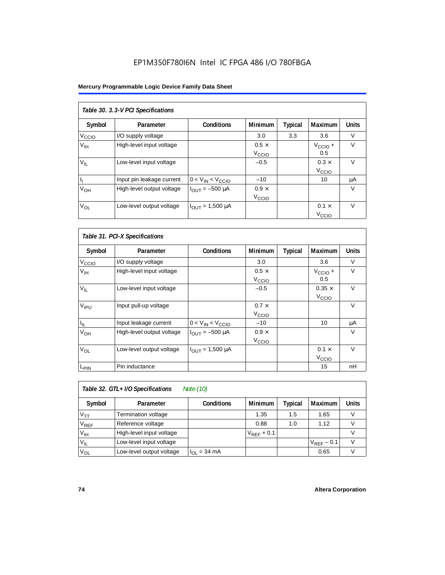#### **Mercury Programmable Logic Device Family Data Sheet**

| Table 30. 3.3-V PCI Specifications |                           |                         |                   |         |                     |              |  |  |
|------------------------------------|---------------------------|-------------------------|-------------------|---------|---------------------|--------------|--|--|
| Symbol                             | Parameter                 | <b>Conditions</b>       | <b>Minimum</b>    | Typical | Maximum             | <b>Units</b> |  |  |
| V <sub>CCIO</sub>                  | I/O supply voltage        |                         | 3.0               | 3.3     | 3.6                 | V            |  |  |
| V <sub>IH</sub>                    | High-level input voltage  |                         | $0.5 \times$      |         | $V_{\text{CCIO}} +$ | V            |  |  |
|                                    |                           |                         | V <sub>CCIO</sub> |         | 0.5                 |              |  |  |
| $V_{IL}$                           | Low-level input voltage   |                         | $-0.5$            |         | $0.3 \times$        | $\vee$       |  |  |
|                                    |                           |                         |                   |         | V <sub>CCIO</sub>   |              |  |  |
| h                                  | Input pin leakage current | $0 < V_{IN} < V_{CCIO}$ | $-10$             |         | 10                  | μA           |  |  |
| $V_{OH}$                           | High-level output voltage | $I_{OUIT} = -500 \mu A$ | $0.9 \times$      |         |                     | V            |  |  |
|                                    |                           |                         | V <sub>CCIO</sub> |         |                     |              |  |  |
| $V_{OL}$                           | Low-level output voltage  | $I_{OUT} = 1,500 \mu A$ |                   |         | $0.1 \times$        | $\vee$       |  |  |
|                                    |                           |                         |                   |         | V <sub>ccio</sub>   |              |  |  |

| Table 31. PCI-X Specifications |                           |                               |                                   |         |                                    |              |  |  |
|--------------------------------|---------------------------|-------------------------------|-----------------------------------|---------|------------------------------------|--------------|--|--|
| Symbol                         | Parameter                 | <b>Conditions</b>             | <b>Minimum</b>                    | Typical | Maximum                            | <b>Units</b> |  |  |
| V <sub>C</sub> CO              | I/O supply voltage        |                               | 3.0                               |         | 3.6                                | $\vee$       |  |  |
| $V_{\text{IH}}$                | High-level input voltage  |                               | $0.5 \times$<br>V <sub>ccio</sub> |         | $V_{\text{CCIO}} +$<br>0.5         | $\vee$       |  |  |
| $V_{IL}$                       | Low-level input voltage   |                               | $-0.5$                            |         | $0.35 \times$<br>V <sub>CCIO</sub> | $\vee$       |  |  |
| V <sub>IPU</sub>               | Input pull-up voltage     |                               | $0.7 \times$<br>V <sub>CCIO</sub> |         |                                    | $\vee$       |  |  |
| $I_{\parallel L}$              | Input leakage current     | $0 < V_{IN} < V_{CCIO}$       | $-10$                             |         | 10                                 | μA           |  |  |
| $V_{OH}$                       | High-level output voltage | $I_{\text{OUT}} = -500 \mu A$ | $0.9 \times$<br>V <sub>CCIO</sub> |         |                                    | V            |  |  |
| $V_{OL}$                       | Low-level output voltage  | $I_{OUT} = 1,500 \mu A$       |                                   |         | $0.1 \times$<br>V <sub>CCIO</sub>  | $\vee$       |  |  |
| L <sub>PIN</sub>               | Pin inductance            |                               |                                   |         | 15                                 | nH           |  |  |

| Note (10)<br>Table 32. GTL+ I/O Specifications |                          |                   |                 |         |                 |              |  |
|------------------------------------------------|--------------------------|-------------------|-----------------|---------|-----------------|--------------|--|
| Symbol                                         | Parameter                | <b>Conditions</b> | <b>Minimum</b>  | Typical | <b>Maximum</b>  | <b>Units</b> |  |
| $V_{TT}$                                       | Termination voltage      |                   | 1.35            | 1.5     | 1.65            |              |  |
| $V_{REF}$                                      | Reference voltage        |                   | 0.88            | 1.0     | 1.12            |              |  |
| V <sub>IH</sub>                                | High-level input voltage |                   | $V_{REF}$ + 0.1 |         |                 |              |  |
| $\rm V_{\rm IL}$                               | Low-level input voltage  |                   |                 |         | $V_{RFF}$ – 0.1 | V            |  |
| $V_{OL}$                                       | Low-level output voltage | $I_{OL}$ = 34 mA  |                 |         | 0.65            |              |  |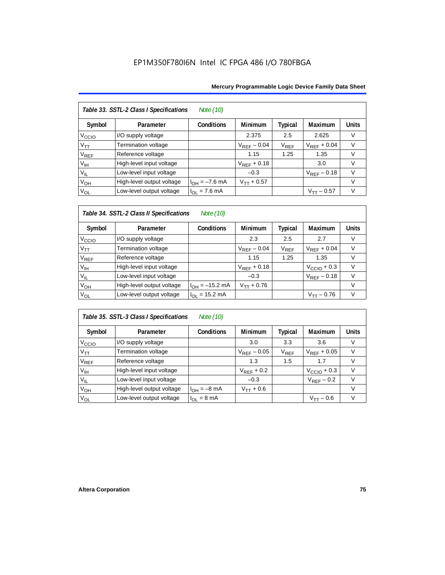|                   | Table 33. SSTL-2 Class I Specifications<br>Note (10) |                           |                  |           |                  |              |  |  |  |
|-------------------|------------------------------------------------------|---------------------------|------------------|-----------|------------------|--------------|--|--|--|
| Symbol            | Parameter                                            | <b>Conditions</b>         | <b>Minimum</b>   | Typical   | Maximum          | <b>Units</b> |  |  |  |
| V <sub>ccio</sub> | I/O supply voltage                                   |                           | 2.375            | 2.5       | 2.625            | v            |  |  |  |
| $V_{TT}$          | <b>Termination voltage</b>                           |                           | $V_{REF}$ – 0.04 | $V_{REF}$ | $V_{REF}$ + 0.04 | $\vee$       |  |  |  |
| V <sub>REF</sub>  | Reference voltage                                    |                           | 1.15             | 1.25      | 1.35             | V            |  |  |  |
| $V_{\text{IH}}$   | High-level input voltage                             |                           | $V_{REF}$ + 0.18 |           | 3.0              | $\vee$       |  |  |  |
| $V_{IL}$          | Low-level input voltage                              |                           | $-0.3$           |           | $V_{RFF}$ – 0.18 | v            |  |  |  |
| V <sub>OH</sub>   | High-level output voltage                            | $I_{OH} = -7.6$ mA        | $V_{TT} + 0.57$  |           |                  | $\vee$       |  |  |  |
| $V_{OL}$          | Low-level output voltage                             | $I_{OL} = 7.6 \text{ mA}$ |                  |           | $V_{TT}$ – 0.57  | V            |  |  |  |

#### *Table 34. SSTL-2 Class II Specifications Note (10)*

| Symbol            | Parameter                 | <b>Conditions</b>   | <b>Minimum</b>   | <b>Typical</b>              | Maximum          | <b>Units</b> |
|-------------------|---------------------------|---------------------|------------------|-----------------------------|------------------|--------------|
| V <sub>ccio</sub> | I/O supply voltage        |                     | 2.3              | 2.5                         | 2.7              | V            |
| $V_{TT}$          | Termination voltage       |                     | $V_{REF}$ – 0.04 | $\mathsf{V}_{\mathsf{REF}}$ | $V_{RFF}$ + 0.04 | v            |
| $V_{REF}$         | Reference voltage         |                     | 1.15             | 1.25                        | 1.35             |              |
| $V_{\text{IH}}$   | High-level input voltage  |                     | $V_{RFF}$ + 0.18 |                             | $VCCIO + 0.3$    | v            |
| $V_{IL}$          | Low-level input voltage   |                     | $-0.3$           |                             | $V_{REF}$ – 0.18 | V            |
| $V_{OH}$          | High-level output voltage | $I_{OH} = -15.2$ mA | $V_{TT} + 0.76$  |                             |                  | v            |
| $V_{OL}$          | Low-level output voltage  | $I_{OL}$ = 15.2 mA  |                  |                             | $V_{TT} - 0.76$  | V            |

### *Table 35. SSTL-3 Class I Specifications Note (10)*

| Symbol                 | Parameter                  | <b>Conditions</b>       | <b>Minimum</b>   | Typical                     | Maximum                 | <b>Units</b>  |
|------------------------|----------------------------|-------------------------|------------------|-----------------------------|-------------------------|---------------|
| Vccio                  | I/O supply voltage         |                         | 3.0              | 3.3                         | 3.6                     |               |
| $V_{TT}$               | <b>Termination voltage</b> |                         | $V_{RFF}$ – 0.05 | $\mathsf{V}_{\mathsf{REF}}$ | $V_{RFF}$ + 0.05        |               |
| <b>V<sub>REF</sub></b> | Reference voltage          |                         | 1.3              | 1.5                         | 1.7                     |               |
| V <sub>IH</sub>        | High-level input voltage   |                         | $V_{REF}$ + 0.2  |                             | $V_{\text{CCIO}} + 0.3$ | $\mathcal{U}$ |
| $V_{IL}$               | Low-level input voltage    |                         | $-0.3$           |                             | $V_{REF}$ – 0.2         |               |
| V <sub>OH</sub>        | High-level output voltage  | $I_{OH} = -8$ mA        | $V_{TT} + 0.6$   |                             |                         |               |
| $V_{OL}$               | Low-level output voltage   | $I_{OL} = 8 \text{ mA}$ |                  |                             | $V_{\texttt{TT}}$ — 0.6 |               |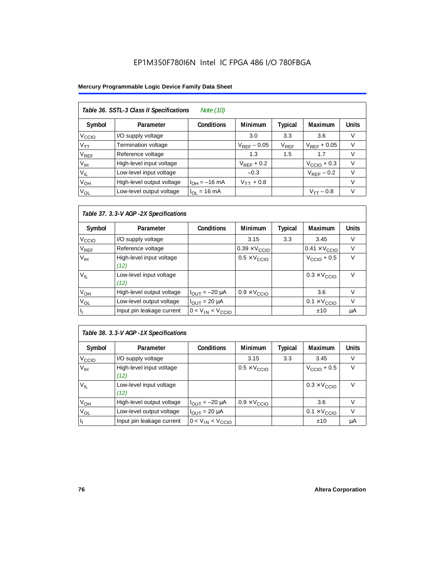#### **Mercury Programmable Logic Device Family Data Sheet**

|                        | Table 36. SSTL-3 Class II Specifications<br>Note (10) |                   |                  |           |                         |              |  |  |  |
|------------------------|-------------------------------------------------------|-------------------|------------------|-----------|-------------------------|--------------|--|--|--|
| Symbol                 | Parameter                                             | <b>Conditions</b> | <b>Minimum</b>   | Typical   | Maximum                 | <b>Units</b> |  |  |  |
| V <sub>CCIO</sub>      | I/O supply voltage                                    |                   | 3.0              | 3.3       | 3.6                     | V            |  |  |  |
| $V_{\mathsf{TT}}$      | Termination voltage                                   |                   | $V_{RFF}$ – 0.05 | $V_{REF}$ | $V_{RFF}$ + 0.05        | $\vee$       |  |  |  |
| <b>V<sub>REF</sub></b> | Reference voltage                                     |                   | 1.3              | 1.5       | 1.7                     | V            |  |  |  |
| $V_{\text{IH}}$        | High-level input voltage                              |                   | $V_{RFF}$ + 0.2  |           | $V_{\text{CCIO}} + 0.3$ | $\vee$       |  |  |  |
| $V_{IL}$               | Low-level input voltage                               |                   | $-0.3$           |           | $V_{RFF}$ – 0.2         | V            |  |  |  |
| $V_{OH}$               | High-level output voltage                             | $I_{OH} = -16$ mA | $V_{TT}$ + 0.8   |           |                         | V            |  |  |  |
| $V_{OL}$               | Low-level output voltage                              | $I_{OL}$ = 16 mA  |                  |           | $V_{TT} - 0.8$          | $\vee$       |  |  |  |

#### *Table 37. 3.3-V AGP -2X Specifications*

| Symbol                      | Parameter                        | <b>Conditions</b>            | <b>Minimum</b>                | <b>Typical</b> | Maximum                       | <b>Units</b> |
|-----------------------------|----------------------------------|------------------------------|-------------------------------|----------------|-------------------------------|--------------|
| V <sub>CCIO</sub>           | I/O supply voltage               |                              | 3.15                          | 3.3            | 3.45                          | V            |
| $\mathsf{V}_{\mathsf{REF}}$ | Reference voltage                |                              | $0.39 \times V_{\text{CCIO}}$ |                | $0.41 \times V_{\text{CCIO}}$ | V            |
| $V_{\text{IH}}$             | High-level input voltage<br>(12) |                              | $0.5 \times V_{\text{CCIO}}$  |                | $VCCIO + 0.5$                 | V            |
| $V_{IL}$                    | Low-level input voltage<br>(12)  |                              |                               |                | $0.3 \times V_{\text{CCIO}}$  | V            |
| $V_{OH}$                    | High-level output voltage        | $I_{\text{OUT}} = -20 \mu A$ | $0.9 \times V_{\text{CCIO}}$  |                | 3.6                           | v            |
| V <sub>OL</sub>             | Low-level output voltage         | $I_{OUIT}$ = 20 µA           |                               |                | $0.1 \times V_{\text{CCIO}}$  | V            |
|                             | Input pin leakage current        | $0 < V_{IN} < V_{CCIO}$      |                               |                | ±10                           | μA           |

| Table 38. 3.3-V AGP -1X Specifications |                                  |                              |                              |                |                              |              |  |  |
|----------------------------------------|----------------------------------|------------------------------|------------------------------|----------------|------------------------------|--------------|--|--|
| Symbol                                 | Parameter                        | <b>Conditions</b>            | <b>Minimum</b>               | <b>Typical</b> | <b>Maximum</b>               | <b>Units</b> |  |  |
| V <sub>ccio</sub>                      | I/O supply voltage               |                              | 3.15                         | 3.3            | 3.45                         | V            |  |  |
| V <sub>IH</sub>                        | High-level input voltage<br>(12) |                              | $0.5 \times V_{\text{CCIO}}$ |                | $VCCIO + 0.5$                | V            |  |  |
| $V_{IL}$                               | Low-level input voltage<br>(12)  |                              |                              |                | $0.3 \times V_{\text{CCIO}}$ | V            |  |  |
| V <sub>OH</sub>                        | High-level output voltage        | $I_{\text{OUT}} = -20 \mu A$ | $0.9 \times V_{\text{CCIO}}$ |                | 3.6                          | V            |  |  |
| $V_{OL}$                               | Low-level output voltage         | $I_{OUT}$ = 20 $\mu$ A       |                              |                | $0.1 \times V_{\text{CCIO}}$ | $\vee$       |  |  |
| h                                      | Input pin leakage current        | $0 < V_{IN} < V_{CCIO}$      |                              |                | ±10                          | μA           |  |  |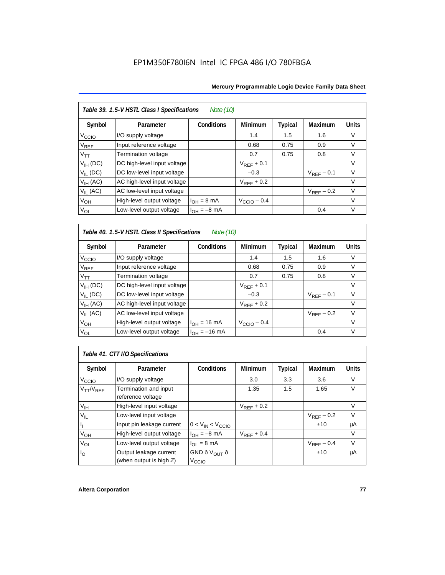| Table 39. 1.5-V HSTL Class I Specifications<br>Note (10) |                             |                         |                         |                |                 |              |  |  |
|----------------------------------------------------------|-----------------------------|-------------------------|-------------------------|----------------|-----------------|--------------|--|--|
| Symbol                                                   | Parameter                   | Conditions              | <b>Minimum</b>          | <b>Typical</b> | Maximum         | <b>Units</b> |  |  |
| V <sub>CCIO</sub>                                        | I/O supply voltage          |                         | 1.4                     | 1.5            | 1.6             | v            |  |  |
| $\rm V_{REF}$                                            | Input reference voltage     |                         | 0.68                    | 0.75           | 0.9             | V            |  |  |
| $V_{TT}$                                                 | Termination voltage         |                         | 0.7                     | 0.75           | 0.8             | $\vee$       |  |  |
| $V_{IH}$ (DC)                                            | DC high-level input voltage |                         | $V_{REF}$ + 0.1         |                |                 | $\vee$       |  |  |
| $V_{II}$ (DC)                                            | DC low-level input voltage  |                         | $-0.3$                  |                | $V_{RFF}$ – 0.1 | $\vee$       |  |  |
| $V_{IH}$ (AC)                                            | AC high-level input voltage |                         | $V_{REF}$ + 0.2         |                |                 | $\vee$       |  |  |
| $V_{IL}$ (AC)                                            | AC low-level input voltage  |                         |                         |                | $V_{RFF}$ – 0.2 | $\vee$       |  |  |
| $V_{OH}$                                                 | High-level output voltage   | $I_{OH} = 8 \text{ mA}$ | $V_{\text{CCIO}} - 0.4$ |                |                 | $\vee$       |  |  |
| $V_{OL}$                                                 | Low-level output voltage    | $I_{OH} = -8$ mA        |                         |                | 0.4             | $\vee$       |  |  |

### *Table 40. 1.5-V HSTL Class II Specifications Note (10)*

| Symbol                      | Parameter                   | <b>Conditions</b>        | <b>Minimum</b>  | <b>Typical</b> | Maximum         | <b>Units</b> |
|-----------------------------|-----------------------------|--------------------------|-----------------|----------------|-----------------|--------------|
| V <sub>CCIO</sub>           | I/O supply voltage          |                          | 1.4             | 1.5            | 1.6             | V            |
| $\mathsf{V}_{\mathsf{REF}}$ | Input reference voltage     |                          | 0.68            | 0.75           | 0.9             | $\vee$       |
| $V_{TT}$                    | Termination voltage         |                          | 0.7             | 0.75           | 0.8             | $\vee$       |
| $V_{IH}$ (DC)               | DC high-level input voltage |                          | $V_{RFF}$ + 0.1 |                |                 | V            |
| $V_{II}$ (DC)               | DC low-level input voltage  |                          | $-0.3$          |                | $V_{RFF}$ – 0.1 | $\vee$       |
| $V_{IH}$ (AC)               | AC high-level input voltage |                          | $V_{RFF}$ + 0.2 |                |                 | V            |
| $V_{II}$ (AC)               | AC low-level input voltage  |                          |                 |                | $V_{RFF}$ – 0.2 | $\vee$       |
| $V_{OH}$                    | High-level output voltage   | $I_{OH} = 16 \text{ mA}$ | $VCCIO - 0.4$   |                |                 | V            |
| $V_{OL}$                    | Low-level output voltage    | $I_{OH} = -16$ mA        |                 |                | 0.4             | V            |

## *Table 41. CTT I/O Specifications*

| Symbol            | Parameter                  | <b>Conditions</b>        | <b>Minimum</b>  | Typical | Maximum         | <b>Units</b> |
|-------------------|----------------------------|--------------------------|-----------------|---------|-----------------|--------------|
| V <sub>ccio</sub> | I/O supply voltage         |                          | 3.0             | 3.3     | 3.6             | V            |
| $V_{TT}/V_{REF}$  | Termination and input      |                          | 1.35            | 1.5     | 1.65            | $\vee$       |
|                   | reference voltage          |                          |                 |         |                 |              |
| V <sub>IH</sub>   | High-level input voltage   |                          | $V_{RFF}$ + 0.2 |         |                 | v            |
| $V_{IL}$          | Low-level input voltage    |                          |                 |         | $V_{RFF}$ – 0.2 | V            |
| h                 | Input pin leakage current  | $0 < V_{IN} < V_{CCIO}$  |                 |         | ±10             | μA           |
| $V_{OH}$          | High-level output voltage  | $I_{OH} = -8$ mA         | $V_{RFF}$ + 0.4 |         |                 | V            |
| $V_{OL}$          | Low-level output voltage   | $I_{OL} = 8 \text{ mA}$  |                 |         | $V_{RFF}$ – 0.4 | V            |
| I <sub>O</sub>    | Output leakage current     | GND ð V <sub>OUT</sub> ð |                 |         | ±10             | μA           |
|                   | (when output is high $Z$ ) | V <sub>CCIO</sub>        |                 |         |                 |              |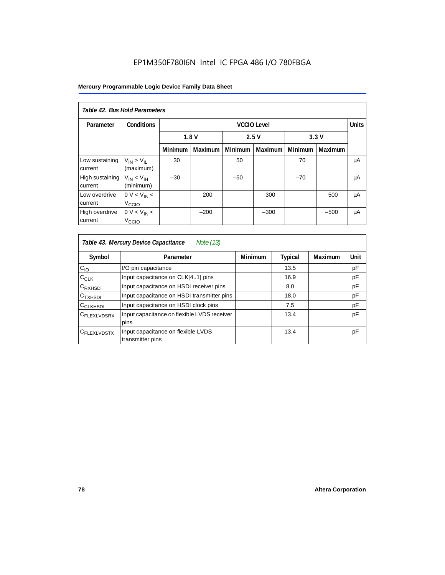#### **Mercury Programmable Logic Device Family Data Sheet**

| Table 42, Bus Hold Parameters |                                            |                    |                      |                |         |         |                |              |
|-------------------------------|--------------------------------------------|--------------------|----------------------|----------------|---------|---------|----------------|--------------|
| Parameter                     | <b>Conditions</b>                          | <b>VCCIO Level</b> |                      |                |         |         |                | <b>Units</b> |
|                               |                                            |                    | 1.8V<br>2.5V<br>3.3V |                |         |         |                |              |
|                               |                                            | <b>Minimum</b>     | <b>Maximum</b>       | <b>Minimum</b> | Maximum | Minimum | <b>Maximum</b> |              |
| Low sustaining<br>current     | $V_{IN}$ > $V_{II}$<br>(maximum)           | 30                 |                      | 50             |         | 70      |                | μA           |
| High sustaining<br>current    | $V_{IN}$ < $V_{IH}$<br>(minimum)           | $-30$              |                      | $-50$          |         | $-70$   |                | μA           |
| Low overdrive<br>current      | 0 V < V <sub>IN</sub><br>V <sub>CCIO</sub> |                    | 200                  |                | 300     |         | 500            | μA           |
| High overdrive<br>current     | $0 V < V_{IN}$<br>V <sub>CCIO</sub>        |                    | $-200$               |                | $-300$  |         | $-500$         | μA           |

| Table 43. Mercury Device Capacitance<br>Note (13) |                                                        |                |                |         |      |  |  |  |
|---------------------------------------------------|--------------------------------------------------------|----------------|----------------|---------|------|--|--|--|
| Symbol                                            | Parameter                                              | <b>Minimum</b> | <b>Typical</b> | Maximum | Unit |  |  |  |
| $C_{10}$                                          | I/O pin capacitance                                    |                | 13.5           |         | pF   |  |  |  |
| $C_{CLK}$                                         | Input capacitance on CLK[41] pins                      |                | 16.9           |         | pF   |  |  |  |
| $C_{\mathsf{RXHSDI}}$                             | Input capacitance on HSDI receiver pins                |                | 8.0            |         | pF   |  |  |  |
| $C_{TXHSDI}$                                      | Input capacitance on HSDI transmitter pins             |                | 18.0           |         | pF   |  |  |  |
| C <sub>CLKHSDI</sub>                              | Input capacitance on HSDI clock pins                   |                | 7.5            |         | pF   |  |  |  |
| C <sub>FLEXLVDSRX</sub>                           | Input capacitance on flexible LVDS receiver<br>pins    |                | 13.4           |         | pF   |  |  |  |
| CFLEXLVDSTX                                       | Input capacitance on flexible LVDS<br>transmitter pins |                | 13.4           |         | pF   |  |  |  |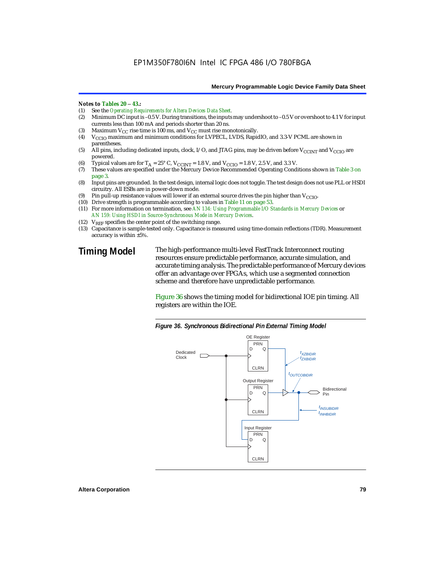#### *Notes to Tables 20* – *43.:*

- (1) See the *Operating Requirements for Altera Devices Data Sheet.*
- Minimum DC input is –0.5 V. During transitions, the inputs may undershoot to –0.5 V or overshoot to 4.1 V for input currents less than 100 mA and periods shorter than 20 ns.
- (3) Maximum  $V_{CC}$  rise time is 100 ms, and  $V_{CC}$  must rise monotonically.<br>(4)  $V_{CC}$  maximum and minimum conditions for LVPECL, LVDS, Rapic
- V<sub>CCIO</sub> maximum and minimum conditions for LVPECL, LVDS, RapidIO, and 3.3-V PCML are shown in parentheses.
- (5) All pins, including dedicated inputs, clock, I/O, and JTAG pins, may be driven before V<sub>CCINT</sub> and V<sub>CCIO</sub> are powered.
- (6) Typical values are for  $T_A = 25^\circ$  C,  $V_{CCINT} = 1.8$  V, and  $V_{CCIO} = 1.8$  V, 2.5 V, and 3.3 V.<br>(7) These values are specified under the Mercury Device Recommended Operating Cond
- These values are specified under the Mercury Device Recommended Operating Conditions shown in Table 3 on page 3.
- (8) Input pins are grounded. In the test design, internal logic does not toggle. The test design does not use PLL or HSDI circuitry. All ESBs are in power-down mode.
- (9) Pin pull-up resistance values will lower if an external source drives the pin higher than  $V_{\text{CCIO}}$ .
- (10) Drive strength is programmable according to values in Table 11 on page 53.
- (11) For more information on termination, see *AN 134: Using Programmable I/O Standards in Mercury Devices* or *AN 159: Using HSDI in Source-Synchronous Mode in Mercury Devices*.
- (12)  $V_{REF}$  specifies the center point of the switching range.
- (13) Capacitance is sample-tested only. Capacitance is measured using time-domain reflections (TDR). Measurement accuracy is within ±5%.

**Timing Model** The high-performance multi-level FastTrack Interconnect routing resources ensure predictable performance, accurate simulation, and accurate timing analysis. The predictable performance of Mercury devices offer an advantage over FPGAs, which use a segmented connection scheme and therefore have unpredictable performance.

> Figure 36 shows the timing model for bidirectional IOE pin timing. All registers are within the IOE.



*Figure 36. Synchronous Bidirectional Pin External Timing Model*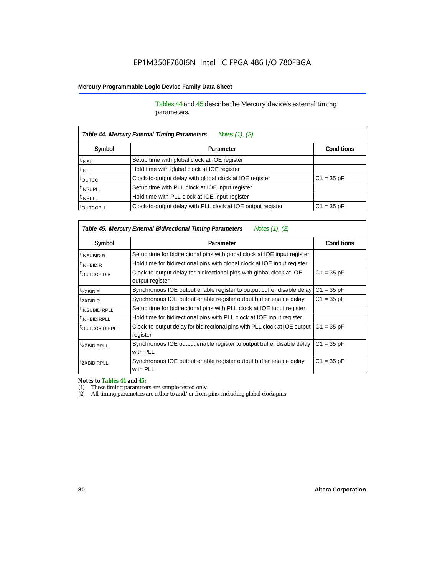Tables 44 and 45 describe the Mercury device's external timing parameters.

| Table 44. Mercury External Timing Parameters<br>Notes (1), (2) |                                                             |                   |  |  |  |  |
|----------------------------------------------------------------|-------------------------------------------------------------|-------------------|--|--|--|--|
| Symbol                                                         | Parameter                                                   | <b>Conditions</b> |  |  |  |  |
| <sup>t</sup> insu                                              | Setup time with global clock at IOE register                |                   |  |  |  |  |
| $t_{INH}$                                                      | Hold time with global clock at IOE register                 |                   |  |  |  |  |
| toutco                                                         | Clock-to-output delay with global clock at IOE register     | $C1 = 35 pF$      |  |  |  |  |
| <sup>t</sup> INSUPLL                                           | Setup time with PLL clock at IOE input register             |                   |  |  |  |  |
| <sup>t</sup> INHPLL                                            | Hold time with PLL clock at IOE input register              |                   |  |  |  |  |
| <b><i>LOUTCOPLL</i></b>                                        | Clock-to-output delay with PLL clock at IOE output register | $C1 = 35 pF$      |  |  |  |  |

*Table 45. Mercury External Bidirectional Timing Parameters Notes (1), (2)*

| Symbol                    | Parameter                                                                                | <b>Conditions</b> |
|---------------------------|------------------------------------------------------------------------------------------|-------------------|
| <sup>I</sup> INSUBIDIR    | Setup time for bidirectional pins with gobal clock at IOE input register                 |                   |
| <sup>I</sup> INHBIDIR     | Hold time for bidirectional pins with global clock at IOE input register                 |                   |
| <b><i>LOUTCOBIDIR</i></b> | Clock-to-output delay for bidirectional pins with global clock at IOE<br>output register | $C1 = 35 pF$      |
| <sup>T</sup> XZBIDIR      | Synchronous IOE output enable register to output buffer disable delay                    | $C1 = 35 pF$      |
| <sup>t</sup> ZXBIDIR      | Synchronous IOE output enable register output buffer enable delay                        | $C1 = 35 pF$      |
| <sup>I</sup> INSUBIDIRPLL | Setup time for bidirectional pins with PLL clock at IOE input register                   |                   |
| <sup>T</sup> INHBIDIRPLL  | Hold time for bidirectional pins with PLL clock at IOE input register                    |                   |
| <b>FOUTCOBIDIRPLL</b>     | Clock-to-output delay for bidirectional pins with PLL clock at IOE output<br>register    | $C1 = 35 pF$      |
| <sup>t</sup> XZBIDIRPLL   | Synchronous IOE output enable register to output buffer disable delay<br>with PLL        | $C1 = 35 pF$      |
| <sup>T</sup> ZXBIDIRPLL   | Synchronous IOE output enable register output buffer enable delay<br>with PLL            | $C1 = 35 pF$      |

*Notes to Tables 44 and 45:*

(1) These timing parameters are sample-tested only.

(2) All timing parameters are either to and/or from pins, including global clock pins.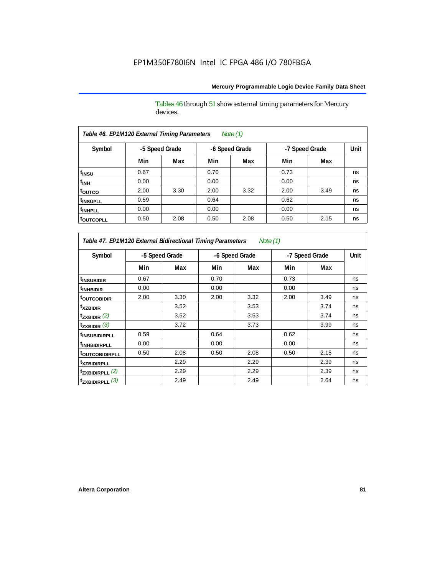Tables 46 through 51 show external timing parameters for Mercury devices.

| Table 46. EP1M120 External Timing Parameters<br>Note $(1)$ |                |      |      |                |      |                |      |  |
|------------------------------------------------------------|----------------|------|------|----------------|------|----------------|------|--|
| Symbol                                                     | -5 Speed Grade |      |      | -6 Speed Grade |      | -7 Speed Grade | Unit |  |
|                                                            | Min            | Max  | Min  | Max            | Min  | Max            |      |  |
| t <sub>INSU</sub>                                          | 0.67           |      | 0.70 |                | 0.73 |                | ns   |  |
| $t_{\text{INH}}$                                           | 0.00           |      | 0.00 |                | 0.00 |                | ns   |  |
| toutco                                                     | 2.00           | 3.30 | 2.00 | 3.32           | 2.00 | 3.49           | ns   |  |
| <sup>t</sup> INSUPLL                                       | 0.59           |      | 0.64 |                | 0.62 |                | ns   |  |
| <sup>t</sup> INHPLL                                        | 0.00           |      | 0.00 |                | 0.00 |                | ns   |  |
| <b>toutcopll</b>                                           | 0.50           | 2.08 | 0.50 | 2.08           | 0.50 | 2.15           | ns   |  |

*Table 47. EP1M120 External Bidirectional Timing Parameters Note (1)*

| Symbol                           |      | -5 Speed Grade |      | -6 Speed Grade |      | -7 Speed Grade |    |
|----------------------------------|------|----------------|------|----------------|------|----------------|----|
|                                  | Min  | Max            | Min  | Max            | Min  | Max            |    |
| <sup>t</sup> INSUBIDIR           | 0.67 |                | 0.70 |                | 0.73 |                | ns |
| <sup>t</sup> INHBIDIR            | 0.00 |                | 0.00 |                | 0.00 |                | ns |
| <sup>t</sup> outcobidir          | 2.00 | 3.30           | 2.00 | 3.32           | 2.00 | 3.49           | ns |
| <sup>t</sup> xzbidir             |      | 3.52           |      | 3.53           |      | 3.74           | ns |
| $t_{ZXBIDIR}$ (2)                |      | 3.52           |      | 3.53           |      | 3.74           | ns |
| $t_{ZXBIDIR}$ (3)                |      | 3.72           |      | 3.73           |      | 3.99           | ns |
| <sup>t</sup> INSUBIDIRPLL        | 0.59 |                | 0.64 |                | 0.62 |                | ns |
| <sup>t</sup> INHBIDIRPLL         | 0.00 |                | 0.00 |                | 0.00 |                | ns |
| <b><sup>t</sup>OUTCOBIDIRPLL</b> | 0.50 | 2.08           | 0.50 | 2.08           | 0.50 | 2.15           | ns |
| <sup>t</sup> xzbidirpll          |      | 2.29           |      | 2.29           |      | 2.39           | ns |
| $t_{ZXBIDIRPLL}$ (2)             |      | 2.29           |      | 2.29           |      | 2.39           | ns |
| $t_{ZXBIDIRPLL}$ (3)             |      | 2.49           |      | 2.49           |      | 2.64           | ns |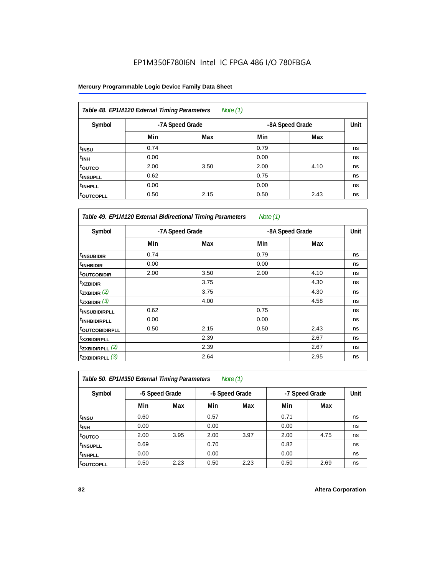#### **Mercury Programmable Logic Device Family Data Sheet**

| Table 48. EP1M120 External Timing Parameters<br>Note $(1)$ |      |                 |                 |      |    |  |  |  |
|------------------------------------------------------------|------|-----------------|-----------------|------|----|--|--|--|
| Symbol                                                     |      | -7A Speed Grade | -8A Speed Grade | Unit |    |  |  |  |
|                                                            | Min  | Max             | Min             | Max  |    |  |  |  |
| t <sub>insu</sub>                                          | 0.74 |                 | 0.79            |      | ns |  |  |  |
| $t_{\text{INH}}$                                           | 0.00 |                 | 0.00            |      | ns |  |  |  |
| toutco                                                     | 2.00 | 3.50            | 2.00            | 4.10 | ns |  |  |  |
| <sup>t</sup> INSUPLL                                       | 0.62 |                 | 0.75            |      | ns |  |  |  |
| <sup>t</sup> INHPLL                                        | 0.00 |                 | 0.00            |      | ns |  |  |  |
| <sup>T</sup> OUTCOPLL                                      | 0.50 | 2.15            | 0.50            | 2.43 | ns |  |  |  |

| Table 49. EP1M120 External Bidirectional Timing Parameters<br>Note (1) |      |                 |      |                 |    |  |  |  |
|------------------------------------------------------------------------|------|-----------------|------|-----------------|----|--|--|--|
| Symbol                                                                 |      | -7A Speed Grade |      | -8A Speed Grade |    |  |  |  |
|                                                                        | Min  | Max             | Min  | Max             |    |  |  |  |
| <sup>t</sup> INSUBIDIR                                                 | 0.74 |                 | 0.79 |                 | ns |  |  |  |
| <sup>t</sup> INHBIDIR                                                  | 0.00 |                 | 0.00 |                 | ns |  |  |  |
| <b>toutcobidir</b>                                                     | 2.00 | 3.50            | 2.00 | 4.10            | ns |  |  |  |
| <sup>t</sup> xzbidir                                                   |      | 3.75            |      | 4.30            | ns |  |  |  |
| $t_{ZXBIDIR}$ (2)                                                      |      | 3.75            |      | 4.30            | ns |  |  |  |
| $t_{ZXBIDIR}$ (3)                                                      |      | 4.00            |      | 4.58            | ns |  |  |  |
| <sup>t</sup> insubidirpll                                              | 0.62 |                 | 0.75 |                 | ns |  |  |  |
| <sup>t</sup> INHBIDIRPLL                                               | 0.00 |                 | 0.00 |                 | ns |  |  |  |
| <b>toutcobidirpll</b>                                                  | 0.50 | 2.15            | 0.50 | 2.43            | ns |  |  |  |
| <sup>t</sup> xzbidirpll                                                |      | 2.39            |      | 2.67            | ns |  |  |  |
| $t_{ZXBIDIRPLL}$ (2)                                                   |      | 2.39            |      | 2.67            | ns |  |  |  |
| $t_{ZXBIDIRPLL}$ (3)                                                   |      | 2.64            |      | 2.95            | ns |  |  |  |

| Table 50. EP1M350 External Timing Parameters<br>Note $(1)$ |                |      |                |      |                |      |      |  |  |
|------------------------------------------------------------|----------------|------|----------------|------|----------------|------|------|--|--|
| Symbol                                                     | -5 Speed Grade |      | -6 Speed Grade |      | -7 Speed Grade |      | Unit |  |  |
|                                                            | Min            | Max  | Min            | Max  | Min            | Max  |      |  |  |
| t <sub>INSU</sub>                                          | 0.60           |      | 0.57           |      | 0.71           |      | ns   |  |  |
| $t_{INH}$                                                  | 0.00           |      | 0.00           |      | 0.00           |      | ns   |  |  |
| toutco                                                     | 2.00           | 3.95 | 2.00           | 3.97 | 2.00           | 4.75 | ns   |  |  |
| t <sub>INSUPLL</sub>                                       | 0.69           |      | 0.70           |      | 0.82           |      | ns   |  |  |
| <sup>t</sup> INHPLL                                        | 0.00           |      | 0.00           |      | 0.00           |      | ns   |  |  |
| t <sub>outcopll</sub>                                      | 0.50           | 2.23 | 0.50           | 2.23 | 0.50           | 2.69 | ns   |  |  |

٦

 $\mathbf{r}$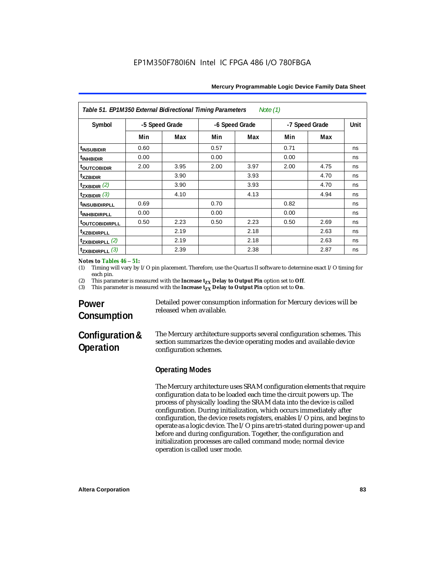| Table 51. EP1M350 External Bidirectional Timing Parameters<br>Note (1) |                |      |                |      |                |      |      |  |
|------------------------------------------------------------------------|----------------|------|----------------|------|----------------|------|------|--|
| Symbol                                                                 | -5 Speed Grade |      | -6 Speed Grade |      | -7 Speed Grade |      | Unit |  |
|                                                                        | Min            | Max  | Min            | Max  | Min            | Max  |      |  |
| <sup>t</sup> INSUBIDIR                                                 | 0.60           |      | 0.57           |      | 0.71           |      | ns   |  |
| <sup>t</sup> INHBIDIR                                                  | 0.00           |      | 0.00           |      | 0.00           |      | ns   |  |
| <b>toutcobidir</b>                                                     | 2.00           | 3.95 | 2.00           | 3.97 | 2.00           | 4.75 | ns   |  |
| <sup>t</sup> xzbidir                                                   |                | 3.90 |                | 3.93 |                | 4.70 | ns   |  |
| $t_{ZXBIDIR}$ (2)                                                      |                | 3.90 |                | 3.93 |                | 4.70 | ns   |  |
| $t_{ZXBIDIR}$ (3)                                                      |                | 4.10 |                | 4.13 |                | 4.94 | ns   |  |
| <sup>t</sup> INSUBIDIRPLL                                              | 0.69           |      | 0.70           |      | 0.82           |      | ns   |  |
| <sup>t</sup> INHBIDIRPLL                                               | 0.00           |      | 0.00           |      | 0.00           |      | ns   |  |
| <b>toutcobidirpll</b>                                                  | 0.50           | 2.23 | 0.50           | 2.23 | 0.50           | 2.69 | ns   |  |
| <sup>t</sup> xzbidirpll                                                |                | 2.19 |                | 2.18 |                | 2.63 | ns   |  |
| $t_{ZXBIDIRPLL}$ (2)                                                   |                | 2.19 |                | 2.18 |                | 2.63 | ns   |  |
| $t_{ZXBIDIRPLL}$ (3)                                                   |                | 2.39 |                | 2.38 |                | 2.87 | ns   |  |

#### *Notes to Tables 46* – *51:*

(1) Timing will vary by I/O pin placement. Therefore, use the Quartus II software to determine exact I/O timing for each pin.

(2) This parameter is measured with the **Increase**  $t_{ZX}$  **Delay to Output Pin** option set to **Off.**<br>(3) This parameter is measured with the **Increase**  $t_{XX}$  **Delay to Output Pin** option set to **On**.

This parameter is measured with the **Increase t<sub>ZX</sub> Delay to Output Pin** option set to **On**.

# **Power Consumption**

Detailed power consumption information for Mercury devices will be released when available.

# **Configuration & Operation**

The Mercury architecture supports several configuration schemes. This section summarizes the device operating modes and available device configuration schemes.

### **Operating Modes**

The Mercury architecture uses SRAM configuration elements that require configuration data to be loaded each time the circuit powers up. The process of physically loading the SRAM data into the device is called configuration. During initialization, which occurs immediately after configuration, the device resets registers, enables I/O pins, and begins to operate as a logic device. The I/O pins are tri-stated during power-up and before and during configuration. Together, the configuration and initialization processes are called command mode; normal device operation is called user mode.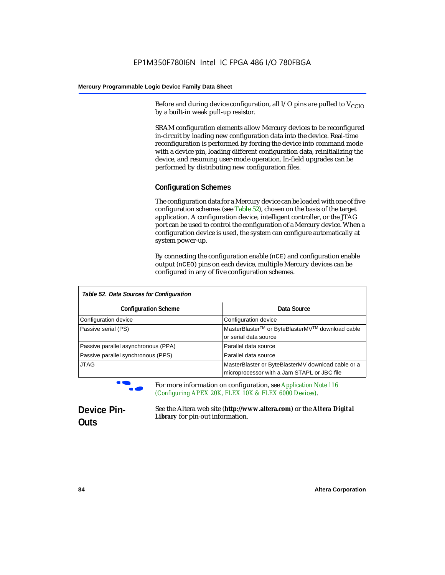Before and during device configuration, all I/O pins are pulled to  $V_{CCD}$ by a built-in weak pull-up resistor.

SRAM configuration elements allow Mercury devices to be reconfigured in-circuit by loading new configuration data into the device. Real-time reconfiguration is performed by forcing the device into command mode with a device pin, loading different configuration data, reinitializing the device, and resuming user-mode operation. In-field upgrades can be performed by distributing new configuration files.

#### **Configuration Schemes**

The configuration data for a Mercury device can be loaded with one of five configuration schemes (see Table 52), chosen on the basis of the target application. A configuration device, intelligent controller, or the JTAG port can be used to control the configuration of a Mercury device. When a configuration device is used, the system can configure automatically at system power-up.

By connecting the configuration enable (nCE) and configuration enable output (nCEO) pins on each device, multiple Mercury devices can be configured in any of five configuration schemes.

| Table 52. Data Sources for Configuration |                                                                                                   |  |  |  |  |
|------------------------------------------|---------------------------------------------------------------------------------------------------|--|--|--|--|
| <b>Configuration Scheme</b>              | Data Source                                                                                       |  |  |  |  |
| Configuration device                     | Configuration device                                                                              |  |  |  |  |
| Passive serial (PS)                      | MasterBlaster™ or ByteBlasterMV™ download cable<br>or serial data source                          |  |  |  |  |
| Passive parallel asynchronous (PPA)      | Parallel data source                                                                              |  |  |  |  |
| Passive parallel synchronous (PPS)       | Parallel data source                                                                              |  |  |  |  |
| <b>JTAG</b>                              | MasterBlaster or ByteBlasterMV download cable or a<br>microprocessor with a Jam STAPL or JBC file |  |  |  |  |

f For more information on configuration, see *Application Note 116 (Configuring APEX 20K, FLEX 10K & FLEX 6000 Devices).*

# **Device Pin-Outs**

See the Altera web site (**http://www.altera.com**) or the *Altera Digital Library* for pin-out information.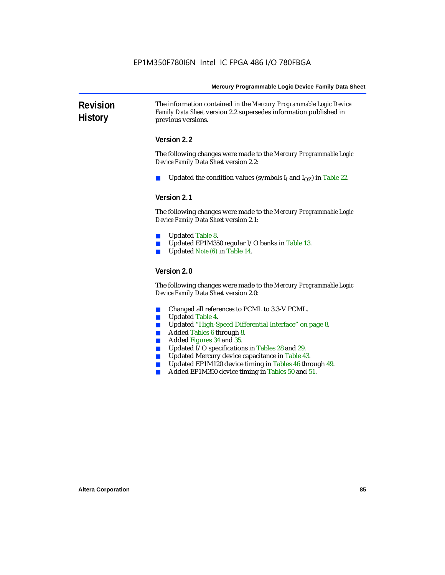**Revision History** The information contained in the *Mercury Programmable Logic Device Family Data Sheet* version 2.2 supersedes information published in previous versions.

#### **Version 2.2**

The following changes were made to the *Mercury Programmable Logic Device Family Data Sheet* version 2.2:

Updated the condition values (symbols  $I_I$  and  $I_{OZ}$ ) in Table 22.

#### **Version 2.1**

The following changes were made to the *Mercury Programmable Logic Device Family Data Sheet* version 2.1:

- Updated Table 8.
- Updated EP1M350 regular I/O banks in Table 13.
- Updated *Note (6)* in Table 14.

#### **Version 2.0**

The following changes were made to the *Mercury Programmable Logic Device Family Data Sheet* version 2.0:

- Changed all references to PCML to 3.3-V PCML.
- Updated Table 4.
- Updated "High-Speed Differential Interface" on page 8.
- Added Tables 6 through 8.
- Added Figures 34 and 35.
- Updated I/O specifications in Tables 28 and 29.
- Updated Mercury device capacitance in Table 43.
- Updated EP1M120 device timing in Tables 46 through 49.
- Added EP1M350 device timing in Tables 50 and 51.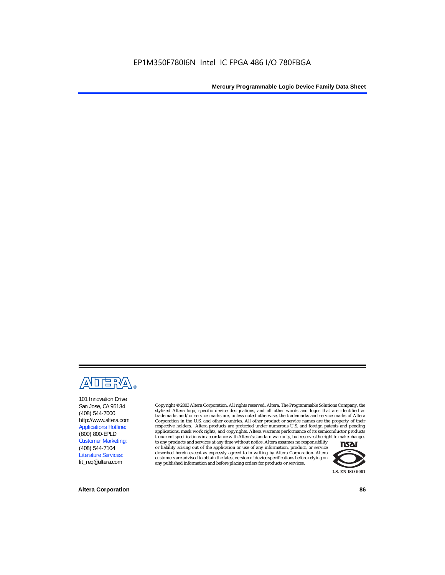

101 Innovation Drive San Jose, CA 95134 (408) 544-7000 http://www.altera.com Applications Hotline: (800) 800-EPLD Customer Marketing: (408) 544-7104 Literature Services: lit\_req@altera.com

Copyright © 2003 Altera Corporation. All rights reserved. Altera, The Programmable Solutions Company, the stylized Altera logo, specific device designations, and all other words and logos that are identified as trademarks and/or service marks are, unless noted otherwise, the trademarks and service marks of Altera Corporation in the U.S. and other countries. All other product or service names are the property of their respective holders. Altera products are protected under numerous U.S. and foreign patents and pending applications, mask work rights, and copyrights. Altera warrants performance of its semiconductor products to current specifications in accordance with Altera's standard warranty, but reserves the right to make changes

to any products and services at any time without notice. Altera assumes no responsibility or liability arising out of the application or use of any information, product, or service described herein except as expressly agreed to in writing by Altera Corporation. Altera customers are advised to obtain the latest version of device specifications before relying on any published information and before placing orders for products or services.